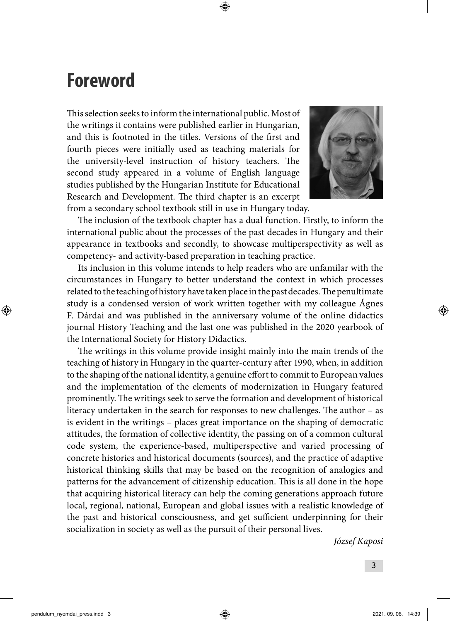# **Foreword**

This selection seeks to inform the international public. Most of the writings it contains were published earlier in Hungarian, and this is footnoted in the titles. Versions of the first and fourth pieces were initially used as teaching materials for the university-level instruction of history teachers. The second study appeared in a volume of English language studies published by the Hungarian Institute for Educational Research and Development. The third chapter is an excerpt from a secondary school textbook still in use in Hungary today.



The inclusion of the textbook chapter has a dual function. Firstly, to inform the international public about the processes of the past decades in Hungary and their appearance in textbooks and secondly, to showcase multiperspectivity as well as competency- and activity-based preparation in teaching practice.

⊕

Its inclusion in this volume intends to help readers who are unfamilar with the circumstances in Hungary to better understand the context in which processes related to the teaching of history have taken place in the past decades. The penultimate study is a condensed version of work written together with my colleague Ágnes F. Dárdai and was published in the anniversary volume of the online didactics journal History Teaching and the last one was published in the 2020 yearbook of the International Society for History Didactics.

The writings in this volume provide insight mainly into the main trends of the teaching of history in Hungary in the quarter-century after 1990, when, in addition to the shaping of the national identity, a genuine effort to commit to European values and the implementation of the elements of modernization in Hungary featured prominently. The writings seek to serve the formation and development of historical literacy undertaken in the search for responses to new challenges. The author – as is evident in the writings – places great importance on the shaping of democratic attitudes, the formation of collective identity, the passing on of a common cultural code system, the experience-based, multiperspective and varied processing of concrete histories and historical documents (sources), and the practice of adaptive historical thinking skills that may be based on the recognition of analogies and patterns for the advancement of citizenship education. This is all done in the hope that acquiring historical literacy can help the coming generations approach future local, regional, national, European and global issues with a realistic knowledge of the past and historical consciousness, and get sufficient underpinning for their socialization in society as well as the pursuit of their personal lives.

*József Kaposi*

3

⊕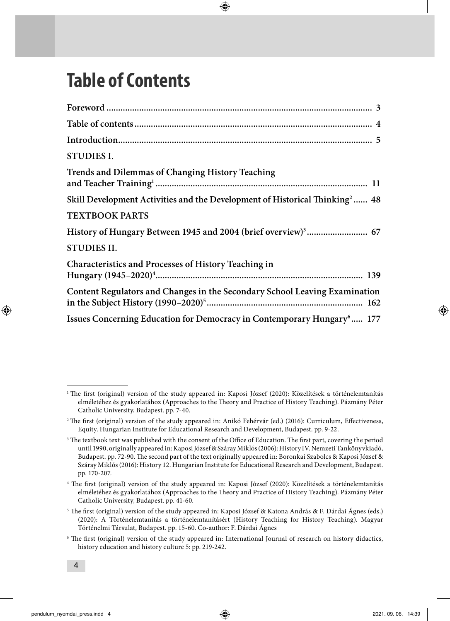# **Table of Contents**

| <b>STUDIES I.</b>                                                                       |
|-----------------------------------------------------------------------------------------|
| <b>Trends and Dilemmas of Changing History Teaching</b>                                 |
| Skill Development Activities and the Development of Historical Thinking <sup>2</sup> 48 |
| <b>TEXTBOOK PARTS</b>                                                                   |
| History of Hungary Between 1945 and 2004 (brief overview) <sup>3</sup> 67               |
| <b>STUDIES II.</b>                                                                      |
| <b>Characteristics and Processes of History Teaching in</b>                             |
| Content Regulators and Changes in the Secondary School Leaving Examination              |
| Issues Concerning Education for Democracy in Contemporary Hungary <sup>6</sup> 177      |

⊕

◈

<sup>1</sup> The first (original) version of the study appeared in: Kaposi József (2020): Közelítések a történelemtanítás elméletéhez és gyakorlatához (Approaches to the Theory and Practice of History Teaching). Pázmány Péter Catholic University, Budapest. pp. 7-40.

<sup>2</sup> The first (original) version of the study appeared in: Anikó Fehérvár (ed.) (2016): Curriculum, Effectiveness, Equity. Hungarian Institute for Educational Research and Development, Budapest. pp. 9-22.

<sup>&</sup>lt;sup>3</sup> The textbook text was published with the consent of the Office of Education. The first part, covering the period until 1990, originally appeared in: Kaposi József & Száray Miklós (2006): History IV. Nemzeti Tankönyvkiadó, Budapest. pp. 72-90. The second part of the text originally appeared in: Boronkai Szabolcs & Kaposi József & Száray Miklós (2016): History 12. Hungarian Institute for Educational Research and Development, Budapest. pp. 170-207.

<sup>4</sup> The first (original) version of the study appeared in: Kaposi József (2020): Közelítések a történelemtanítás elméletéhez és gyakorlatához (Approaches to the Theory and Practice of History Teaching). Pázmány Péter Catholic University, Budapest. pp. 41-60.

<sup>5</sup> The first (original) version of the study appeared in: Kaposi József & Katona András & F. Dárdai Ágnes (eds.) (2020): A Történelemtanítás a történelemtanításért (History Teaching for History Teaching). Magyar Történelmi Társulat, Budapest. pp. 15-60. Co-author: F. Dárdai Ágnes

<sup>6</sup> The first (original) version of the study appeared in: International Journal of research on history didactics, history education and history culture 5: pp. 219-242.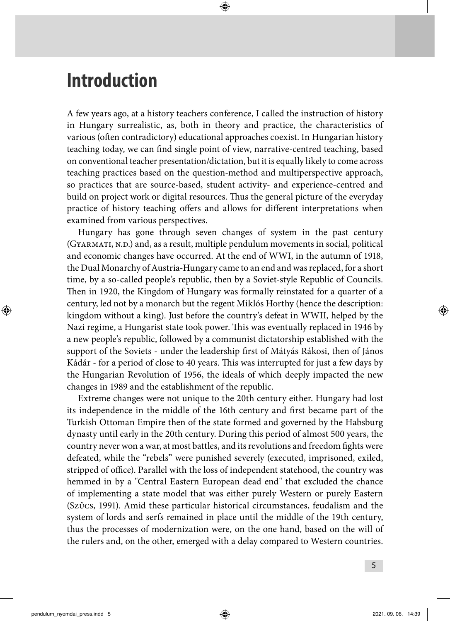# **Introduction**

A few years ago, at a history teachers conference, I called the instruction of history in Hungary surrealistic, as, both in theory and practice, the characteristics of various (often contradictory) educational approaches coexist. In Hungarian history teaching today, we can find single point of view, narrative-centred teaching, based on conventional teacher presentation/dictation, but it is equally likely to come across teaching practices based on the question-method and multiperspective approach, so practices that are source-based, student activity- and experience-centred and build on project work or digital resources. Thus the general picture of the everyday practice of history teaching offers and allows for different interpretations when examined from various perspectives.

⊕

Hungary has gone through seven changes of system in the past century (GYARMATI, N.D.) and, as a result, multiple pendulum movements in social, political and economic changes have occurred. At the end of WWI, in the autumn of 1918, the Dual Monarchy of Austria-Hungary came to an end and was replaced, for a short time, by a so-called people's republic, then by a Soviet-style Republic of Councils. Then in 1920, the Kingdom of Hungary was formally reinstated for a quarter of a century, led not by a monarch but the regent Miklós Horthy (hence the description: kingdom without a king). Just before the country's defeat in WWII, helped by the Nazi regime, a Hungarist state took power. This was eventually replaced in 1946 by a new people's republic, followed by a communist dictatorship established with the support of the Soviets - under the leadership first of Mátyás Rákosi, then of János Kádár - for a period of close to 40 years. This was interrupted for just a few days by the Hungarian Revolution of 1956, the ideals of which deeply impacted the new changes in 1989 and the establishment of the republic.

Extreme changes were not unique to the 20th century either. Hungary had lost its independence in the middle of the 16th century and first became part of the Turkish Ottoman Empire then of the state formed and governed by the Habsburg dynasty until early in the 20th century. During this period of almost 500 years, the country never won a war, at most battles, and its revolutions and freedom fights were defeated, while the "rebels" were punished severely (executed, imprisoned, exiled, stripped of office). Parallel with the loss of independent statehood, the country was hemmed in by a "Central Eastern European dead end" that excluded the chance of implementing a state model that was either purely Western or purely Eastern (Szűcs, 1991). Amid these particular historical circumstances, feudalism and the system of lords and serfs remained in place until the middle of the 19th century, thus the processes of modernization were, on the one hand, based on the will of the rulers and, on the other, emerged with a delay compared to Western countries.

⊕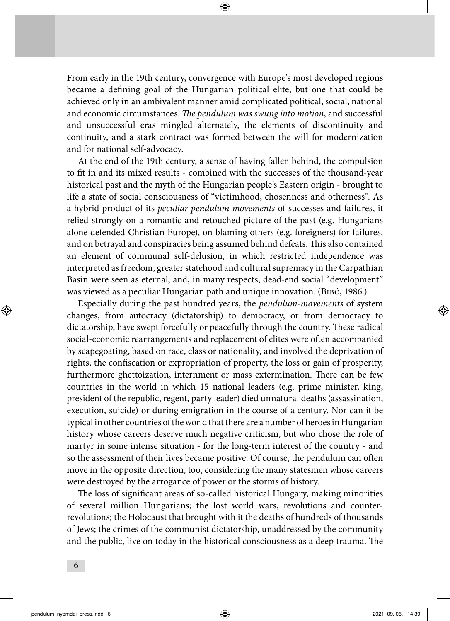From early in the 19th century, convergence with Europe's most developed regions became a defining goal of the Hungarian political elite, but one that could be achieved only in an ambivalent manner amid complicated political, social, national and economic circumstances. *The pendulum was swung into motion*, and successful and unsuccessful eras mingled alternately, the elements of discontinuity and continuity, and a stark contract was formed between the will for modernization and for national self-advocacy.

⊕

At the end of the 19th century, a sense of having fallen behind, the compulsion to fit in and its mixed results - combined with the successes of the thousand-year historical past and the myth of the Hungarian people's Eastern origin - brought to life a state of social consciousness of "victimhood, chosenness and otherness". As a hybrid product of its *peculiar pendulum movements* of successes and failures, it relied strongly on a romantic and retouched picture of the past (e.g. Hungarians alone defended Christian Europe), on blaming others (e.g. foreigners) for failures, and on betrayal and conspiracies being assumed behind defeats. This also contained an element of communal self-delusion, in which restricted independence was interpreted as freedom, greater statehood and cultural supremacy in the Carpathian Basin were seen as eternal, and, in many respects, dead-end social "development" was viewed as a peculiar Hungarian path and unique innovation. (Bibó, 1986.)

Especially during the past hundred years, the *pendulum-movements* of system changes, from autocracy (dictatorship) to democracy, or from democracy to dictatorship, have swept forcefully or peacefully through the country. These radical social-economic rearrangements and replacement of elites were often accompanied by scapegoating, based on race, class or nationality, and involved the deprivation of rights, the confiscation or expropriation of property, the loss or gain of prosperity, furthermore ghettoization, internment or mass extermination. There can be few countries in the world in which 15 national leaders (e.g. prime minister, king, president of the republic, regent, party leader) died unnatural deaths (assassination, execution, suicide) or during emigration in the course of a century. Nor can it be typical in other countries of the world that there are a number of heroes in Hungarian history whose careers deserve much negative criticism, but who chose the role of martyr in some intense situation - for the long-term interest of the country - and so the assessment of their lives became positive. Of course, the pendulum can often move in the opposite direction, too, considering the many statesmen whose careers were destroyed by the arrogance of power or the storms of history.

The loss of significant areas of so-called historical Hungary, making minorities of several million Hungarians; the lost world wars, revolutions and counterrevolutions; the Holocaust that brought with it the deaths of hundreds of thousands of Jews; the crimes of the communist dictatorship, unaddressed by the community and the public, live on today in the historical consciousness as a deep trauma. The

6

⊕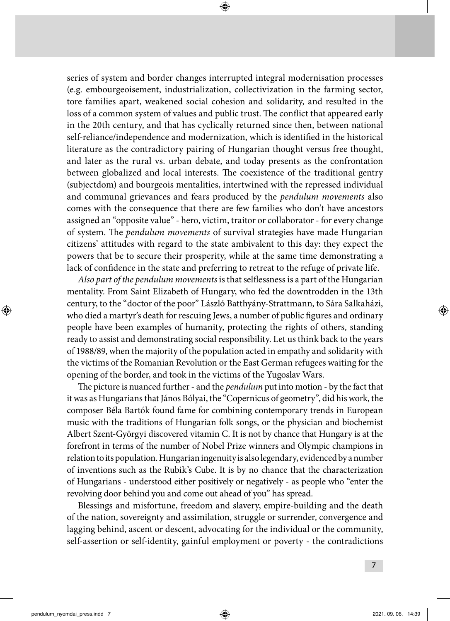series of system and border changes interrupted integral modernisation processes (e.g. embourgeoisement, industrialization, collectivization in the farming sector, tore families apart, weakened social cohesion and solidarity, and resulted in the loss of a common system of values and public trust. The conflict that appeared early in the 20th century, and that has cyclically returned since then, between national self-reliance/independence and modernization, which is identified in the historical literature as the contradictory pairing of Hungarian thought versus free thought, and later as the rural vs. urban debate, and today presents as the confrontation between globalized and local interests. The coexistence of the traditional gentry (subjectdom) and bourgeois mentalities, intertwined with the repressed individual and communal grievances and fears produced by the *pendulum movements* also comes with the consequence that there are few families who don't have ancestors assigned an "opposite value" - hero, victim, traitor or collaborator - for every change of system. The *pendulum movements* of survival strategies have made Hungarian citizens' attitudes with regard to the state ambivalent to this day: they expect the powers that be to secure their prosperity, while at the same time demonstrating a lack of confidence in the state and preferring to retreat to the refuge of private life.

⊕

*Also part of the pendulum movements* is that selflessness is a part of the Hungarian mentality. From Saint Elizabeth of Hungary, who fed the downtrodden in the 13th century, to the "doctor of the poor" László Batthyány-Strattmann, to Sára Salkaházi, who died a martyr's death for rescuing Jews, a number of public figures and ordinary people have been examples of humanity, protecting the rights of others, standing ready to assist and demonstrating social responsibility. Let us think back to the years of 1988/89, when the majority of the population acted in empathy and solidarity with the victims of the Romanian Revolution or the East German refugees waiting for the opening of the border, and took in the victims of the Yugoslav Wars.

The picture is nuanced further - and the *pendulum* put into motion - by the fact that it was as Hungarians that János Bólyai, the "Copernicus of geometry", did his work, the composer Béla Bartók found fame for combining contemporary trends in European music with the traditions of Hungarian folk songs, or the physician and biochemist Albert Szent-Györgyi discovered vitamin C. It is not by chance that Hungary is at the forefront in terms of the number of Nobel Prize winners and Olympic champions in relation to its population. Hungarian ingenuity is also legendary, evidenced by a number of inventions such as the Rubik's Cube. It is by no chance that the characterization of Hungarians - understood either positively or negatively - as people who "enter the revolving door behind you and come out ahead of you" has spread.

Blessings and misfortune, freedom and slavery, empire-building and the death of the nation, sovereignty and assimilation, struggle or surrender, convergence and lagging behind, ascent or descent, advocating for the individual or the community, self-assertion or self-identity, gainful employment or poverty - the contradictions

7

◈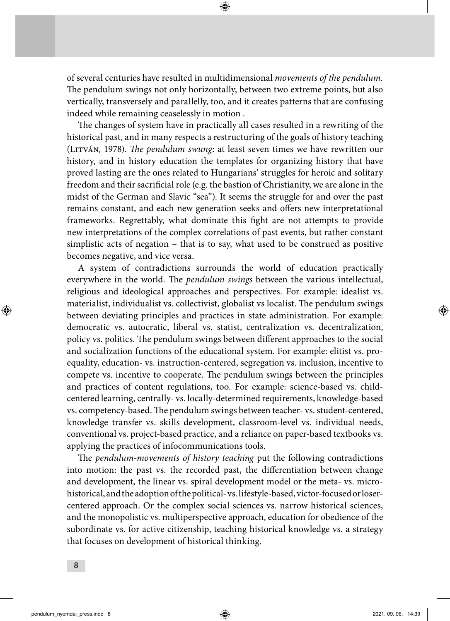of several centuries have resulted in multidimensional *movements of the pendulum.* The pendulum swings not only horizontally, between two extreme points, but also vertically, transversely and parallelly, too, and it creates patterns that are confusing indeed while remaining ceaselessly in motion .

⊕

The changes of system have in practically all cases resulted in a rewriting of the historical past, and in many respects a restructuring of the goals of history teaching (Litván, 1978). *The pendulum swung*: at least seven times we have rewritten our history, and in history education the templates for organizing history that have proved lasting are the ones related to Hungarians' struggles for heroic and solitary freedom and their sacrificial role (e.g. the bastion of Christianity, we are alone in the midst of the German and Slavic "sea"). It seems the struggle for and over the past remains constant, and each new generation seeks and offers new interpretational frameworks. Regrettably, what dominate this fight are not attempts to provide new interpretations of the complex correlations of past events, but rather constant simplistic acts of negation – that is to say, what used to be construed as positive becomes negative, and vice versa.

A system of contradictions surrounds the world of education practically everywhere in the world. The *pendulum swings* between the various intellectual, religious and ideological approaches and perspectives. For example: idealist vs. materialist, individualist vs. collectivist, globalist vs localist. The pendulum swings between deviating principles and practices in state administration. For example: democratic vs. autocratic, liberal vs. statist, centralization vs. decentralization, policy vs. politics. The pendulum swings between different approaches to the social and socialization functions of the educational system. For example: elitist vs. proequality, education- vs. instruction-centered, segregation vs. inclusion, incentive to compete vs. incentive to cooperate. The pendulum swings between the principles and practices of content regulations, too. For example: science-based vs. childcentered learning, centrally- vs. locally-determined requirements, knowledge-based vs. competency-based. The pendulum swings between teacher- vs. student-centered, knowledge transfer vs. skills development, classroom-level vs. individual needs, conventional vs. project-based practice, and a reliance on paper-based textbooks vs. applying the practices of infocommunications tools.

The *pendulum-movements of history teaching* put the following contradictions into motion: the past vs. the recorded past, the differentiation between change and development, the linear vs. spiral development model or the meta- vs. microhistorical, and the adoption of the political- vs. lifestyle-based, victor-focused or losercentered approach. Or the complex social sciences vs. narrow historical sciences, and the monopolistic vs. multiperspective approach, education for obedience of the subordinate vs. for active citizenship, teaching historical knowledge vs. a strategy that focuses on development of historical thinking.

8

⊕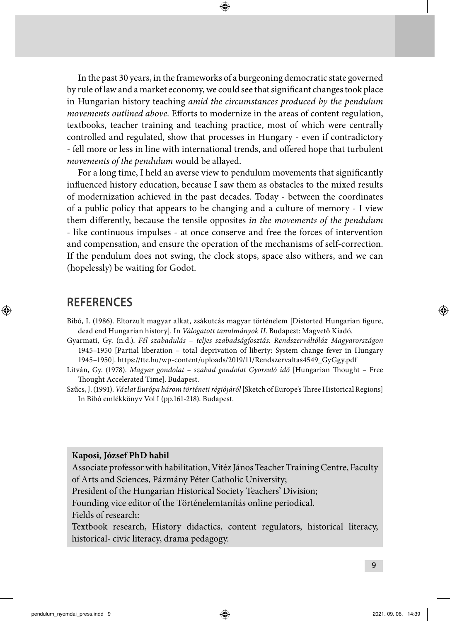In the past 30 years, in the frameworks of a burgeoning democratic state governed by rule of law and a market economy, we could see that significant changes took place in Hungarian history teaching *amid the circumstances produced by the pendulum movements outlined above*. Efforts to modernize in the areas of content regulation, textbooks, teacher training and teaching practice, most of which were centrally controlled and regulated, show that processes in Hungary - even if contradictory - fell more or less in line with international trends, and offered hope that turbulent *movements of the pendulum* would be allayed.

⊕

For a long time, I held an averse view to pendulum movements that significantly influenced history education, because I saw them as obstacles to the mixed results of modernization achieved in the past decades. Today - between the coordinates of a public policy that appears to be changing and a culture of memory - I view them differently, because the tensile opposites *in the movements of the pendulum*  - like continuous impulses - at once conserve and free the forces of intervention and compensation, and ensure the operation of the mechanisms of self-correction. If the pendulum does not swing, the clock stops, space also withers, and we can (hopelessly) be waiting for Godot.

### **REFERENCES**

⊕

- Bibó, I. (1986). Eltorzult magyar alkat, zsákutcás magyar történelem [Distorted Hungarian figure, dead end Hungarian history]. In *Válogatott tanulmányok II*. Budapest: Magvető Kiadó.
- Gyarmati, Gy. (n.d.). *Fél szabadulás teljes szabadságfosztás: Rendszerváltóláz Magyarországon*  1945–1950 [Partial liberation – total deprivation of liberty: System change fever in Hungary 1945–1950]. https://tte.hu/wp-content/uploads/2019/11/Rendszervaltas4549\_GyGgy.pdf
- Litván, Gy. (1978). *Magyar gondolat szabad gondolat Gyorsuló idő* [Hungarian Thought Free Thought Accelerated Time]. Budapest.
- Szűcs, J. (1991). *Vázlat Európa három történeti régiójáról* [Sketch of Europe's Three Historical Regions] In Bibó emlékkönyv Vol I (pp.161-218). Budapest.

#### **Kaposi, József PhD habil**

Associate professor with habilitation, Vitéz János Teacher Training Centre, Faculty of Arts and Sciences, Pázmány Péter Catholic University;

President of the Hungarian Historical Society Teachers' Division;

Founding vice editor of the Történelemtanítás online periodical.

Fields of research:

Textbook research, History didactics, content regulators, historical literacy, historical- civic literacy, drama pedagogy.

9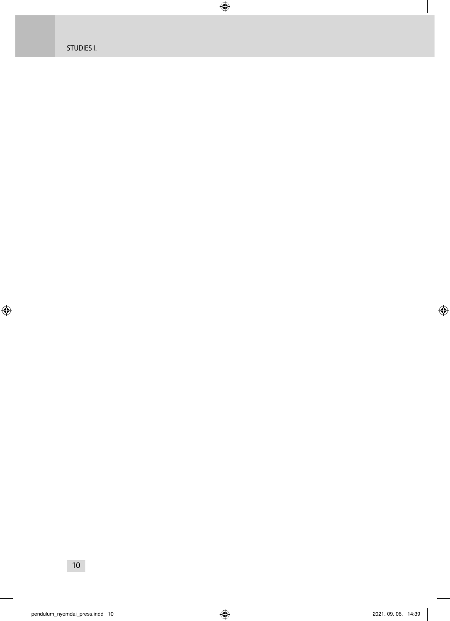STUDIES I.

 $\bigoplus$ 

 $\bigoplus$ 

 $\overline{\phantom{a}}$ 

 $\bigoplus$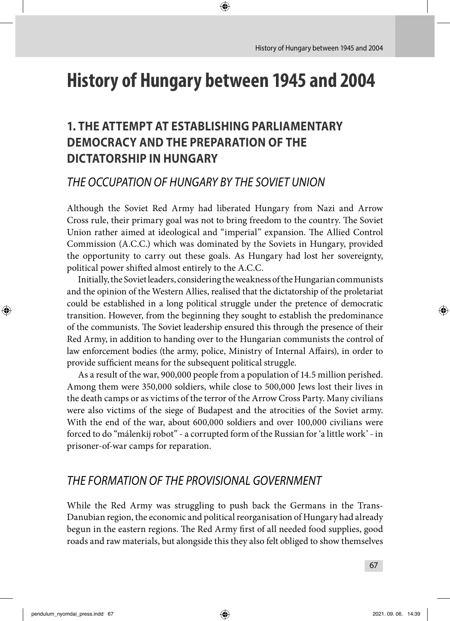# **History of Hungary between 1945 and 2004**

⊕

# **1. THE ATTEMPT AT ESTABLISHING PARLIAMENTARY DEMOCRACY AND THE PREPARATION OF THE DICTATORSHIP IN HUNGARY**

### *THE OCCUPATION OF HUNGARY BY THE SOVIET UNION*

Although the Soviet Red Army had liberated Hungary from Nazi and Arrow Cross rule, their primary goal was not to bring freedom to the country. The Soviet Union rather aimed at ideological and "imperial" expansion. The Allied Control Commission (A.C.C.) which was dominated by the Soviets in Hungary, provided the opportunity to carry out these goals. As Hungary had lost her sovereignty, political power shifted almost entirely to the A.C.C.

Initially, the Soviet leaders, considering the weakness of the Hungarian communists and the opinion of the Western Allies, realised that the dictatorship of the proletariat could be established in a long political struggle under the pretence of democratic transition. However, from the beginning they sought to establish the predominance of the communists. The Soviet leadership ensured this through the presence of their Red Army, in addition to handing over to the Hungarian communists the control of law enforcement bodies (the army, police, Ministry of Internal Affairs), in order to provide sufficient means for the subsequent political struggle.

As a result of the war, 900,000 people from a population of 14.5 million perished. Among them were 350,000 soldiers, while close to 500,000 Jews lost their lives in the death camps or as victims of the terror of the Arrow Cross Party. Many civilians were also victims of the siege of Budapest and the atrocities of the Soviet army. With the end of the war, about 600,000 soldiers and over 100,000 civilians were forced to do "málenkij robot" - a corrupted form of the Russian for 'a little work' - in prisoner-of-war camps for reparation.

### *THE FORMATION OF THE PROVISIONAL GOVERNMENT*

While the Red Army was struggling to push back the Germans in the Trans-Danubian region, the economic and political reorganisation of Hungary had already begun in the eastern regions. The Red Army first of all needed food supplies, good roads and raw materials, but alongside this they also felt obliged to show themselves

67

⊕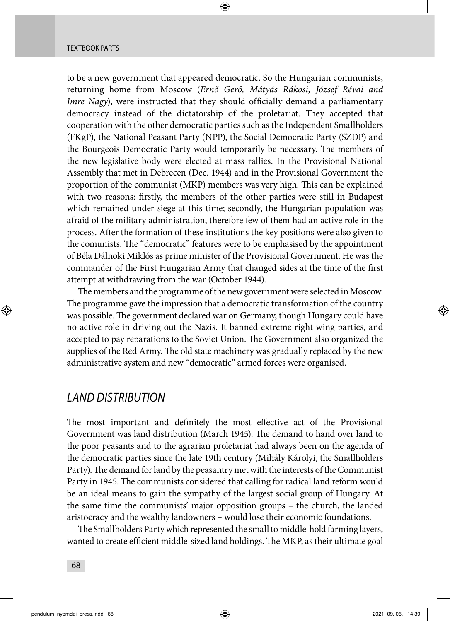#### TEXTBOOK PARTS

to be a new government that appeared democratic. So the Hungarian communists, returning home from Moscow (*Ernő Gerő, Mátyás Rákosi, József Révai and Imre Nagy*), were instructed that they should officially demand a parliamentary democracy instead of the dictatorship of the proletariat. They accepted that cooperation with the other democratic parties such as the Independent Smallholders (FKgP), the National Peasant Party (NPP), the Social Democratic Party (SZDP) and the Bourgeois Democratic Party would temporarily be necessary. The members of the new legislative body were elected at mass rallies. In the Provisional National Assembly that met in Debrecen (Dec. 1944) and in the Provisional Government the proportion of the communist (MKP) members was very high. This can be explained with two reasons: firstly, the members of the other parties were still in Budapest which remained under siege at this time; secondly, the Hungarian population was afraid of the military administration, therefore few of them had an active role in the process. After the formation of these institutions the key positions were also given to the comunists. The "democratic" features were to be emphasised by the appointment of Béla Dálnoki Miklós as prime minister of the Provisional Government. He was the commander of the First Hungarian Army that changed sides at the time of the first attempt at withdrawing from the war (October 1944).

⊕

The members and the programme of the new government were selected in Moscow. The programme gave the impression that a democratic transformation of the country was possible. The government declared war on Germany, though Hungary could have no active role in driving out the Nazis. It banned extreme right wing parties, and accepted to pay reparations to the Soviet Union. The Government also organized the supplies of the Red Army. The old state machinery was gradually replaced by the new administrative system and new "democratic" armed forces were organised.

### *LAND DISTRIBUTION*

The most important and definitely the most effective act of the Provisional Government was land distribution (March 1945). The demand to hand over land to the poor peasants and to the agrarian proletariat had always been on the agenda of the democratic parties since the late 19th century (Mihály Károlyi, the Smallholders Party). The demand for land by the peasantry met with the interests of the Communist Party in 1945. The communists considered that calling for radical land reform would be an ideal means to gain the sympathy of the largest social group of Hungary. At the same time the communists' major opposition groups – the church, the landed aristocracy and the wealthy landowners – would lose their economic foundations.

The Smallholders Party which represented the small to middle-hold farming layers, wanted to create efficient middle-sized land holdings. The MKP, as their ultimate goal

68

⊕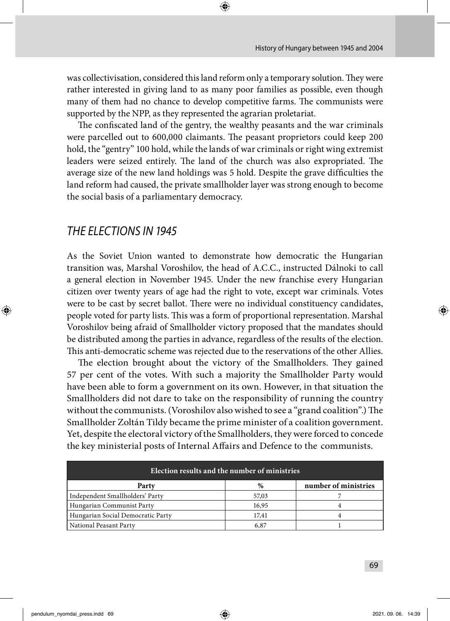was collectivisation, considered this land reform only a temporary solution. They were rather interested in giving land to as many poor families as possible, even though many of them had no chance to develop competitive farms. The communists were supported by the NPP, as they represented the agrarian proletariat.

⊕

The confiscated land of the gentry, the wealthy peasants and the war criminals were parcelled out to 600,000 claimants. The peasant proprietors could keep 200 hold, the "gentry" 100 hold, while the lands of war criminals or right wing extremist leaders were seized entirely. The land of the church was also expropriated. The average size of the new land holdings was 5 hold. Despite the grave difficulties the land reform had caused, the private smallholder layer was strong enough to become the social basis of a parliamentary democracy.

### *THE ELECTIONS IN 1945*

As the Soviet Union wanted to demonstrate how democratic the Hungarian transition was, Marshal Voroshilov, the head of A.C.C., instructed Dálnoki to call a general election in November 1945. Under the new franchise every Hungarian citizen over twenty years of age had the right to vote, except war criminals. Votes were to be cast by secret ballot. There were no individual constituency candidates, people voted for party lists. This was a form of proportional representation. Marshal Voroshilov being afraid of Smallholder victory proposed that the mandates should be distributed among the parties in advance, regardless of the results of the election. This anti-democratic scheme was rejected due to the reservations of the other Allies.

The election brought about the victory of the Smallholders. They gained 57 per cent of the votes. With such a majority the Smallholder Party would have been able to form a government on its own. However, in that situation the Smallholders did not dare to take on the responsibility of running the country without the communists. (Voroshilov also wished to see a "grand coalition".) The Smallholder Zoltán Tildy became the prime minister of a coalition government. Yet, despite the electoral victory of the Smallholders, they were forced to concede the key ministerial posts of Internal Affairs and Defence to the communists.

| Election results and the number of ministries |       |                      |  |
|-----------------------------------------------|-------|----------------------|--|
| Party                                         | %     | number of ministries |  |
| Independent Smallholders' Party               | 57,03 |                      |  |
| Hungarian Communist Party                     | 16,95 |                      |  |
| Hungarian Social Democratic Party             | 17,41 |                      |  |
| National Peasant Party                        | 6,87  |                      |  |

pendulum\_nyomdai\_press.indd 69 2021. 09. 06. 14:39

⊕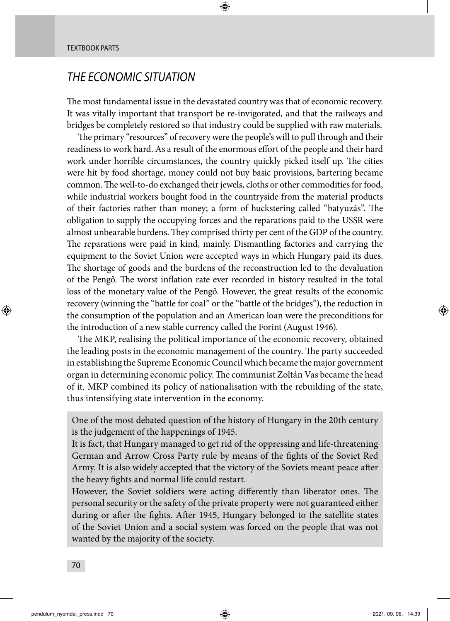### *THE ECONOMIC SITUATION*

The most fundamental issue in the devastated country was that of economic recovery. It was vitally important that transport be re-invigorated, and that the railways and bridges be completely restored so that industry could be supplied with raw materials.

⊕

The primary "resources" of recovery were the people's will to pull through and their readiness to work hard. As a result of the enormous effort of the people and their hard work under horrible circumstances, the country quickly picked itself up. The cities were hit by food shortage, money could not buy basic provisions, bartering became common. The well-to-do exchanged their jewels, cloths or other commodities for food, while industrial workers bought food in the countryside from the material products of their factories rather than money; a form of huckstering called "batyuzás". The obligation to supply the occupying forces and the reparations paid to the USSR were almost unbearable burdens. They comprised thirty per cent of the GDP of the country. The reparations were paid in kind, mainly. Dismantling factories and carrying the equipment to the Soviet Union were accepted ways in which Hungary paid its dues. The shortage of goods and the burdens of the reconstruction led to the devaluation of the Pengő. The worst inflation rate ever recorded in history resulted in the total loss of the monetary value of the Pengő. However, the great results of the economic recovery (winning the "battle for coal" or the "battle of the bridges"), the reduction in the consumption of the population and an American loan were the preconditions for the introduction of a new stable currency called the Forint (August 1946).

The MKP, realising the political importance of the economic recovery, obtained the leading posts in the economic management of the country. The party succeeded in establishing the Supreme Economic Council which became the major government organ in determining economic policy. The communist Zoltán Vas became the head of it. MKP combined its policy of nationalisation with the rebuilding of the state, thus intensifying state intervention in the economy.

One of the most debated question of the history of Hungary in the 20th century is the judgement of the happenings of 1945.

It is fact, that Hungary managed to get rid of the oppressing and life-threatening German and Arrow Cross Party rule by means of the fights of the Soviet Red Army. It is also widely accepted that the victory of the Soviets meant peace after the heavy fights and normal life could restart.

However, the Soviet soldiers were acting differently than liberator ones. The personal security or the safety of the private property were not guaranteed either during or after the fights. After 1945, Hungary belonged to the satellite states of the Soviet Union and a social system was forced on the people that was not wanted by the majority of the society.

70

⊕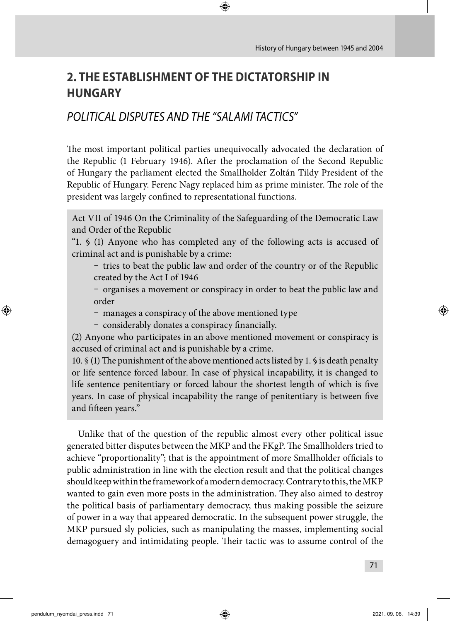# **2. THE ESTABLISHMENT OF THE DICTATORSHIP IN HUNGARY**

### *POLITICAL DISPUTES AND THE "SALAMI TACTICS"*

The most important political parties unequivocally advocated the declaration of the Republic (1 February 1946). After the proclamation of the Second Republic of Hungary the parliament elected the Smallholder Zoltán Tildy President of the Republic of Hungary. Ferenc Nagy replaced him as prime minister. The role of the president was largely confined to representational functions.

♠

Act VII of 1946 On the Criminality of the Safeguarding of the Democratic Law and Order of the Republic

"1. § (1) Anyone who has completed any of the following acts is accused of criminal act and is punishable by a crime:

- tries to beat the public law and order of the country or of the Republic created by the Act I of 1946

- organises a movement or conspiracy in order to beat the public law and order

- manages a conspiracy of the above mentioned type
- considerably donates a conspiracy financially.

(2) Anyone who participates in an above mentioned movement or conspiracy is accused of criminal act and is punishable by a crime.

10. § (1) The punishment of the above mentioned acts listed by 1. § is death penalty or life sentence forced labour. In case of physical incapability, it is changed to life sentence penitentiary or forced labour the shortest length of which is five years. In case of physical incapability the range of penitentiary is between five and fifteen years."

Unlike that of the question of the republic almost every other political issue generated bitter disputes between the MKP and the FKgP. The Smallholders tried to achieve "proportionality"; that is the appointment of more Smallholder officials to public administration in line with the election result and that the political changes should keep within the framework of a modern democracy. Contrary to this, the MKP wanted to gain even more posts in the administration. They also aimed to destroy the political basis of parliamentary democracy, thus making possible the seizure of power in a way that appeared democratic. In the subsequent power struggle, the MKP pursued sly policies, such as manipulating the masses, implementing social demagoguery and intimidating people. Their tactic was to assume control of the

⊕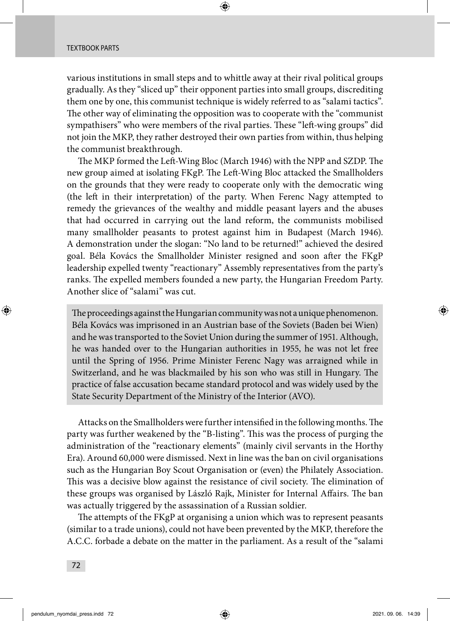#### TEXTBOOK PARTS

various institutions in small steps and to whittle away at their rival political groups gradually. As they "sliced up" their opponent parties into small groups, discrediting them one by one, this communist technique is widely referred to as "salami tactics". The other way of eliminating the opposition was to cooperate with the "communist sympathisers" who were members of the rival parties. These "left-wing groups" did not join the MKP, they rather destroyed their own parties from within, thus helping the communist breakthrough.

⊕

The MKP formed the Left-Wing Bloc (March 1946) with the NPP and SZDP. The new group aimed at isolating FKgP. The Left-Wing Bloc attacked the Smallholders on the grounds that they were ready to cooperate only with the democratic wing (the left in their interpretation) of the party. When Ferenc Nagy attempted to remedy the grievances of the wealthy and middle peasant layers and the abuses that had occurred in carrying out the land reform, the communists mobilised many smallholder peasants to protest against him in Budapest (March 1946). A demonstration under the slogan: "No land to be returned!" achieved the desired goal. Béla Kovács the Smallholder Minister resigned and soon after the FKgP leadership expelled twenty "reactionary" Assembly representatives from the party's ranks. The expelled members founded a new party, the Hungarian Freedom Party. Another slice of "salami" was cut.

The proceedings against the Hungarian community was not a unique phenomenon. Béla Kovács was imprisoned in an Austrian base of the Soviets (Baden bei Wien) and he was transported to the Soviet Union during the summer of 1951. Although, he was handed over to the Hungarian authorities in 1955, he was not let free until the Spring of 1956. Prime Minister Ferenc Nagy was arraigned while in Switzerland, and he was blackmailed by his son who was still in Hungary. The practice of false accusation became standard protocol and was widely used by the State Security Department of the Ministry of the Interior (AVO).

Attacks on the Smallholders were further intensified in the following months. The party was further weakened by the "B-listing". This was the process of purging the administration of the "reactionary elements" (mainly civil servants in the Horthy Era). Around 60,000 were dismissed. Next in line was the ban on civil organisations such as the Hungarian Boy Scout Organisation or (even) the Philately Association. This was a decisive blow against the resistance of civil society. The elimination of these groups was organised by László Rajk, Minister for Internal Affairs. The ban was actually triggered by the assassination of a Russian soldier.

The attempts of the FKgP at organising a union which was to represent peasants (similar to a trade unions), could not have been prevented by the MKP, therefore the A.C.C. forbade a debate on the matter in the parliament. As a result of the "salami

72

⊕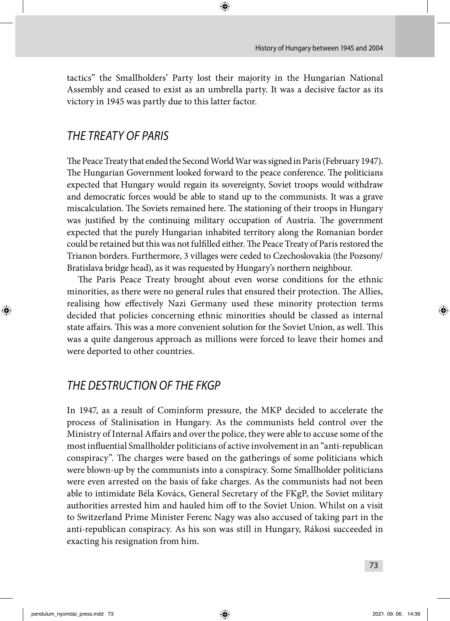tactics" the Smallholders' Party lost their majority in the Hungarian National Assembly and ceased to exist as an umbrella party. It was a decisive factor as its victory in 1945 was partly due to this latter factor.

⊕

### *THE TREATY OF PARIS*

The Peace Treaty that ended the Second World War was signed in Paris (February 1947). The Hungarian Government looked forward to the peace conference. The politicians expected that Hungary would regain its sovereignty, Soviet troops would withdraw and democratic forces would be able to stand up to the communists. It was a grave miscalculation. The Soviets remained here. The stationing of their troops in Hungary was justified by the continuing military occupation of Austria. The government expected that the purely Hungarian inhabited territory along the Romanian border could be retained but this was not fulfilled either. The Peace Treaty of Paris restored the Trianon borders. Furthermore, 3 villages were ceded to Czechoslovakia (the Pozsony/ Bratislava bridge head), as it was requested by Hungary's northern neighbour.

The Paris Peace Treaty brought about even worse conditions for the ethnic minorities, as there were no general rules that ensured their protection. The Allies, realising how effectively Nazi Germany used these minority protection terms decided that policies concerning ethnic minorities should be classed as internal state affairs. This was a more convenient solution for the Soviet Union, as well. This was a quite dangerous approach as millions were forced to leave their homes and were deported to other countries.

### *THE DESTRUCTION OF THE FKGP*

In 1947, as a result of Cominform pressure, the MKP decided to accelerate the process of Stalinisation in Hungary. As the communists held control over the Ministry of Internal Affairs and over the police, they were able to accuse some of the most influential Smallholder politicians of active involvement in an "anti-republican conspiracy". The charges were based on the gatherings of some politicians which were blown-up by the communists into a conspiracy. Some Smallholder politicians were even arrested on the basis of fake charges. As the communists had not been able to intimidate Béla Kovács, General Secretary of the FKgP, the Soviet military authorities arrested him and hauled him off to the Soviet Union. Whilst on a visit to Switzerland Prime Minister Ferenc Nagy was also accused of taking part in the anti-republican conspiracy. As his son was still in Hungary, Rákosi succeeded in exacting his resignation from him.

73

⊕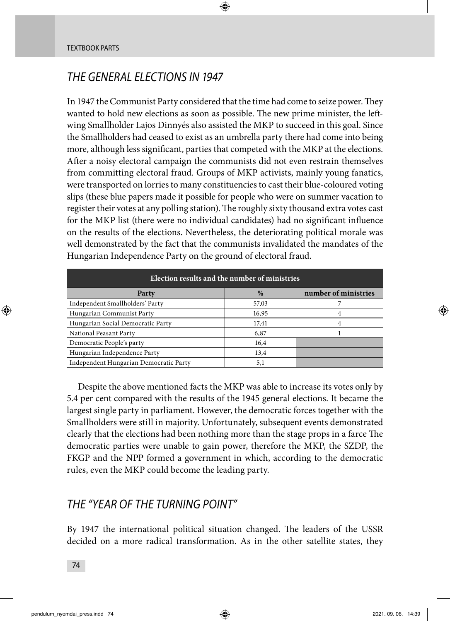### *THE GENERAL ELECTIONS IN 1947*

In 1947 the Communist Party considered that the time had come to seize power. They wanted to hold new elections as soon as possible. The new prime minister, the leftwing Smallholder Lajos Dinnyés also assisted the MKP to succeed in this goal. Since the Smallholders had ceased to exist as an umbrella party there had come into being more, although less significant, parties that competed with the MKP at the elections. After a noisy electoral campaign the communists did not even restrain themselves from committing electoral fraud. Groups of MKP activists, mainly young fanatics, were transported on lorries to many constituencies to cast their blue-coloured voting slips (these blue papers made it possible for people who were on summer vacation to register their votes at any polling station). The roughly sixty thousand extra votes cast for the MKP list (there were no individual candidates) had no significant influence on the results of the elections. Nevertheless, the deteriorating political morale was well demonstrated by the fact that the communists invalidated the mandates of the Hungarian Independence Party on the ground of electoral fraud.

⊕

| Election results and the number of ministries |       |                      |  |
|-----------------------------------------------|-------|----------------------|--|
| Party                                         | %     | number of ministries |  |
| Independent Smallholders' Party               | 57,03 |                      |  |
| Hungarian Communist Party                     | 16,95 | 4                    |  |
| Hungarian Social Democratic Party             | 17,41 |                      |  |
| National Peasant Party                        | 6,87  |                      |  |
| Democratic People's party                     | 16,4  |                      |  |
| Hungarian Independence Party                  | 13,4  |                      |  |
| Independent Hungarian Democratic Party        | 5,1   |                      |  |

Despite the above mentioned facts the MKP was able to increase its votes only by 5.4 per cent compared with the results of the 1945 general elections. It became the largest single party in parliament. However, the democratic forces together with the Smallholders were still in majority. Unfortunately, subsequent events demonstrated clearly that the elections had been nothing more than the stage props in a farce The democratic parties were unable to gain power, therefore the MKP, the SZDP, the FKGP and the NPP formed a government in which, according to the democratic rules, even the MKP could become the leading party.

### *THE "YEAR OF THE TURNING POINT"*

By 1947 the international political situation changed. The leaders of the USSR decided on a more radical transformation. As in the other satellite states, they

⊕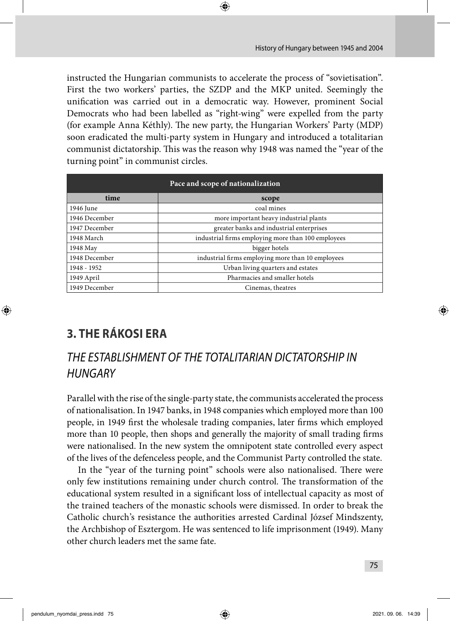instructed the Hungarian communists to accelerate the process of "sovietisation". First the two workers' parties, the SZDP and the MKP united. Seemingly the unification was carried out in a democratic way. However, prominent Social Democrats who had been labelled as "right-wing" were expelled from the party (for example Anna Kéthly). The new party, the Hungarian Workers' Party (MDP) soon eradicated the multi-party system in Hungary and introduced a totalitarian communist dictatorship. This was the reason why 1948 was named the "year of the turning point" in communist circles.

♠

| Pace and scope of nationalization |                                                    |  |  |
|-----------------------------------|----------------------------------------------------|--|--|
| time                              | scope                                              |  |  |
| 1946 June                         | coal mines                                         |  |  |
| 1946 December                     | more important heavy industrial plants             |  |  |
| 1947 December                     | greater banks and industrial enterprises           |  |  |
| 1948 March                        | industrial firms employing more than 100 employees |  |  |
| 1948 May                          | bigger hotels                                      |  |  |
| 1948 December                     | industrial firms employing more than 10 employees  |  |  |
| 1948 - 1952                       | Urban living quarters and estates                  |  |  |
| 1949 April                        | Pharmacies and smaller hotels                      |  |  |
| 1949 December                     | Cinemas, theatres                                  |  |  |

## **3. THE RÁKOSI ERA**

⊕

# *THE ESTABLISHMENT OF THE TOTALITARIAN DICTATORSHIP IN HUNGARY*

Parallel with the rise of the single-party state, the communists accelerated the process of nationalisation. In 1947 banks, in 1948 companies which employed more than 100 people, in 1949 first the wholesale trading companies, later firms which employed more than 10 people, then shops and generally the majority of small trading firms were nationalised. In the new system the omnipotent state controlled every aspect of the lives of the defenceless people, and the Communist Party controlled the state.

In the "year of the turning point" schools were also nationalised. There were only few institutions remaining under church control. The transformation of the educational system resulted in a significant loss of intellectual capacity as most of the trained teachers of the monastic schools were dismissed. In order to break the Catholic church's resistance the authorities arrested Cardinal József Mindszenty, the Archbishop of Esztergom. He was sentenced to life imprisonment (1949). Many other church leaders met the same fate.

75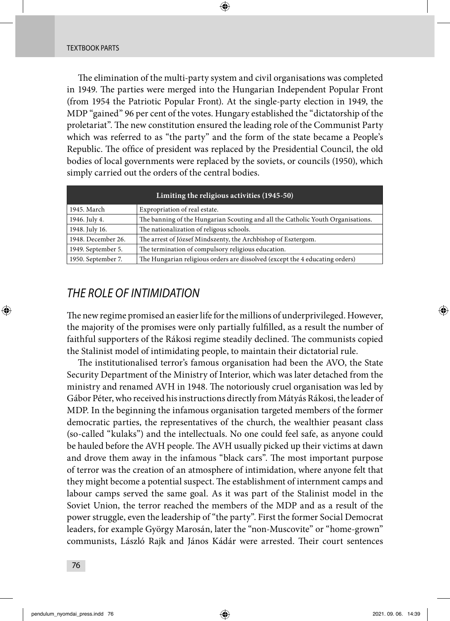The elimination of the multi-party system and civil organisations was completed in 1949. The parties were merged into the Hungarian Independent Popular Front (from 1954 the Patriotic Popular Front). At the single-party election in 1949, the MDP "gained" 96 per cent of the votes. Hungary established the "dictatorship of the proletariat". The new constitution ensured the leading role of the Communist Party which was referred to as "the party" and the form of the state became a People's Republic. The office of president was replaced by the Presidential Council, the old bodies of local governments were replaced by the soviets, or councils (1950), which simply carried out the orders of the central bodies.

⊕

| Limiting the religious activities (1945-50) |                                                                                 |  |
|---------------------------------------------|---------------------------------------------------------------------------------|--|
| 1945. March                                 | Expropriation of real estate.                                                   |  |
| 1946. July 4.                               | The banning of the Hungarian Scouting and all the Catholic Youth Organisations. |  |
| 1948. July 16.                              | The nationalization of religous schools.                                        |  |
| 1948. December 26.                          | The arrest of József Mindszenty, the Archbishop of Esztergom.                   |  |
| 1949. September 5.                          | The termination of compulsory religious education.                              |  |
| 1950. September 7.                          | The Hungarian religious orders are dissolved (except the 4 educating orders)    |  |

### *THE ROLE OF INTIMIDATION*

The new regime promised an easier life for the millions of underprivileged. However, the majority of the promises were only partially fulfilled, as a result the number of faithful supporters of the Rákosi regime steadily declined. The communists copied the Stalinist model of intimidating people, to maintain their dictatorial rule.

The institutionalised terror's famous organisation had been the AVO, the State Security Department of the Ministry of Interior, which was later detached from the ministry and renamed AVH in 1948. The notoriously cruel organisation was led by Gábor Péter, who received his instructions directly from Mátyás Rákosi, the leader of MDP. In the beginning the infamous organisation targeted members of the former democratic parties, the representatives of the church, the wealthier peasant class (so-called "kulaks") and the intellectuals. No one could feel safe, as anyone could be hauled before the AVH people. The AVH usually picked up their victims at dawn and drove them away in the infamous "black cars". The most important purpose of terror was the creation of an atmosphere of intimidation, where anyone felt that they might become a potential suspect. The establishment of internment camps and labour camps served the same goal. As it was part of the Stalinist model in the Soviet Union, the terror reached the members of the MDP and as a result of the power struggle, even the leadership of "the party". First the former Social Democrat leaders, for example György Marosán, later the "non-Muscovite" or "home-grown" communists, László Rajk and János Kádár were arrested. Their court sentences

76

⊕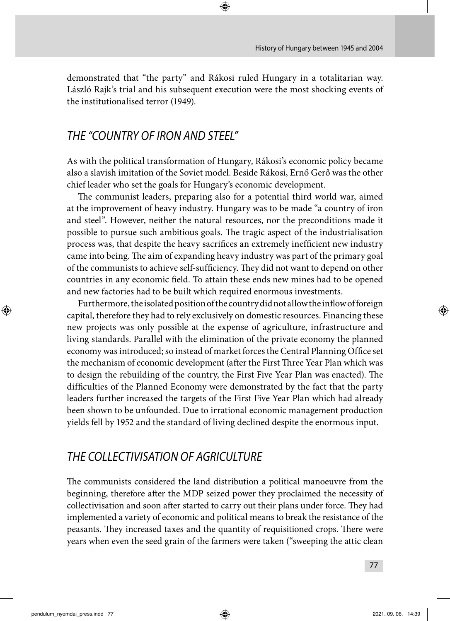demonstrated that "the party" and Rákosi ruled Hungary in a totalitarian way. László Rajk's trial and his subsequent execution were the most shocking events of the institutionalised terror (1949).

⊕

### *THE "COUNTRY OF IRON AND STEEL"*

As with the political transformation of Hungary, Rákosi's economic policy became also a slavish imitation of the Soviet model. Beside Rákosi, Ernő Gerő was the other chief leader who set the goals for Hungary's economic development.

The communist leaders, preparing also for a potential third world war, aimed at the improvement of heavy industry. Hungary was to be made "a country of iron and steel". However, neither the natural resources, nor the preconditions made it possible to pursue such ambitious goals. The tragic aspect of the industrialisation process was, that despite the heavy sacrifices an extremely inefficient new industry came into being. The aim of expanding heavy industry was part of the primary goal of the communists to achieve self-sufficiency. They did not want to depend on other countries in any economic field. To attain these ends new mines had to be opened and new factories had to be built which required enormous investments.

Furthermore, the isolated position of the country did not allow the inflow of foreign capital, therefore they had to rely exclusively on domestic resources. Financing these new projects was only possible at the expense of agriculture, infrastructure and living standards. Parallel with the elimination of the private economy the planned economy was introduced; so instead of market forces the Central Planning Office set the mechanism of economic development (after the First Three Year Plan which was to design the rebuilding of the country, the First Five Year Plan was enacted). The difficulties of the Planned Economy were demonstrated by the fact that the party leaders further increased the targets of the First Five Year Plan which had already been shown to be unfounded. Due to irrational economic management production yields fell by 1952 and the standard of living declined despite the enormous input.

### *THE COLLECTIVISATION OF AGRICULTURE*

The communists considered the land distribution a political manoeuvre from the beginning, therefore after the MDP seized power they proclaimed the necessity of collectivisation and soon after started to carry out their plans under force. They had implemented a variety of economic and political means to break the resistance of the peasants. They increased taxes and the quantity of requisitioned crops. There were years when even the seed grain of the farmers were taken ("sweeping the attic clean

77

⊕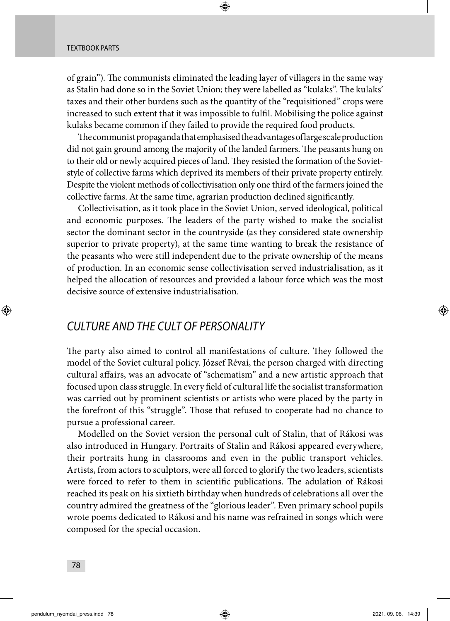of grain"). The communists eliminated the leading layer of villagers in the same way as Stalin had done so in the Soviet Union; they were labelled as "kulaks". The kulaks' taxes and their other burdens such as the quantity of the "requisitioned" crops were increased to such extent that it was impossible to fulfil. Mobilising the police against kulaks became common if they failed to provide the required food products.

⊕

The communist propaganda that emphasised the advantages of large scale production did not gain ground among the majority of the landed farmers. The peasants hung on to their old or newly acquired pieces of land. They resisted the formation of the Sovietstyle of collective farms which deprived its members of their private property entirely. Despite the violent methods of collectivisation only one third of the farmers joined the collective farms. At the same time, agrarian production declined significantly.

Collectivisation, as it took place in the Soviet Union, served ideological, political and economic purposes. The leaders of the party wished to make the socialist sector the dominant sector in the countryside (as they considered state ownership superior to private property), at the same time wanting to break the resistance of the peasants who were still independent due to the private ownership of the means of production. In an economic sense collectivisation served industrialisation, as it helped the allocation of resources and provided a labour force which was the most decisive source of extensive industrialisation.

### *CULTURE AND THE CULT OF PERSONALITY*

The party also aimed to control all manifestations of culture. They followed the model of the Soviet cultural policy. József Révai, the person charged with directing cultural affairs, was an advocate of "schematism" and a new artistic approach that focused upon class struggle. In every field of cultural life the socialist transformation was carried out by prominent scientists or artists who were placed by the party in the forefront of this "struggle". Those that refused to cooperate had no chance to pursue a professional career.

Modelled on the Soviet version the personal cult of Stalin, that of Rákosi was also introduced in Hungary. Portraits of Stalin and Rákosi appeared everywhere, their portraits hung in classrooms and even in the public transport vehicles. Artists, from actors to sculptors, were all forced to glorify the two leaders, scientists were forced to refer to them in scientific publications. The adulation of Rákosi reached its peak on his sixtieth birthday when hundreds of celebrations all over the country admired the greatness of the "glorious leader". Even primary school pupils wrote poems dedicated to Rákosi and his name was refrained in songs which were composed for the special occasion.

⊕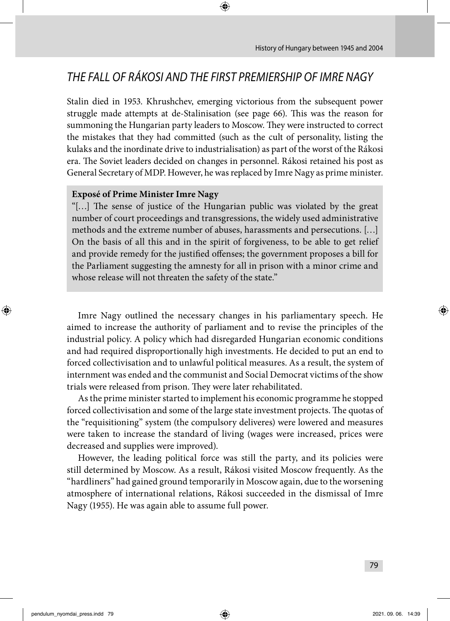## *THE FALL OF RÁKOSI AND THE FIRST PREMIERSHIP OF IMRE NAGY*

♠

Stalin died in 1953. Khrushchev, emerging victorious from the subsequent power struggle made attempts at de-Stalinisation (see page 66). This was the reason for summoning the Hungarian party leaders to Moscow. They were instructed to correct the mistakes that they had committed (such as the cult of personality, listing the kulaks and the inordinate drive to industrialisation) as part of the worst of the Rákosi era. The Soviet leaders decided on changes in personnel. Rákosi retained his post as General Secretary of MDP. However, he was replaced by Imre Nagy as prime minister.

#### **Exposé of Prime Minister Imre Nagy**

"[…] The sense of justice of the Hungarian public was violated by the great number of court proceedings and transgressions, the widely used administrative methods and the extreme number of abuses, harassments and persecutions. […] On the basis of all this and in the spirit of forgiveness, to be able to get relief and provide remedy for the justified offenses; the government proposes a bill for the Parliament suggesting the amnesty for all in prison with a minor crime and whose release will not threaten the safety of the state."

Imre Nagy outlined the necessary changes in his parliamentary speech. He aimed to increase the authority of parliament and to revise the principles of the industrial policy. A policy which had disregarded Hungarian economic conditions and had required disproportionally high investments. He decided to put an end to forced collectivisation and to unlawful political measures. As a result, the system of internment was ended and the communist and Social Democrat victims of the show trials were released from prison. They were later rehabilitated.

As the prime minister started to implement his economic programme he stopped forced collectivisation and some of the large state investment projects. The quotas of the "requisitioning" system (the compulsory deliveres) were lowered and measures were taken to increase the standard of living (wages were increased, prices were decreased and supplies were improved).

However, the leading political force was still the party, and its policies were still determined by Moscow. As a result, Rákosi visited Moscow frequently. As the "hardliners" had gained ground temporarily in Moscow again, due to the worsening atmosphere of international relations, Rákosi succeeded in the dismissal of Imre Nagy (1955). He was again able to assume full power.

79

⊕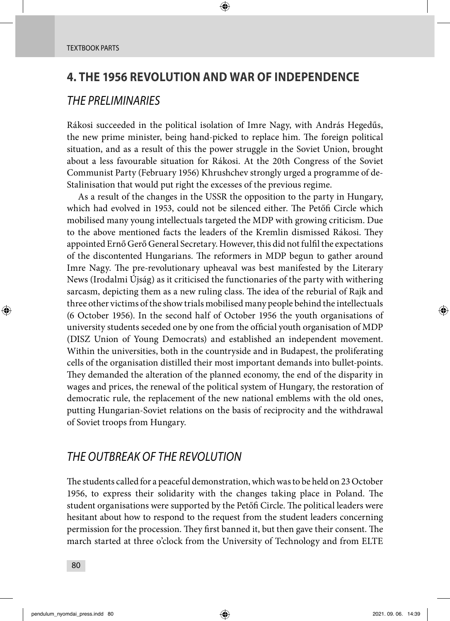### **4. THE 1956 REVOLUTION AND WAR OF INDEPENDENCE**

♠

### *THE PRELIMINARIES*

Rákosi succeeded in the political isolation of Imre Nagy, with András Hegedűs, the new prime minister, being hand-picked to replace him. The foreign political situation, and as a result of this the power struggle in the Soviet Union, brought about a less favourable situation for Rákosi. At the 20th Congress of the Soviet Communist Party (February 1956) Khrushchev strongly urged a programme of de-Stalinisation that would put right the excesses of the previous regime.

As a result of the changes in the USSR the opposition to the party in Hungary, which had evolved in 1953, could not be silenced either. The Petőfi Circle which mobilised many young intellectuals targeted the MDP with growing criticism. Due to the above mentioned facts the leaders of the Kremlin dismissed Rákosi. They appointed Ernő Gerő General Secretary. However, this did not fulfil the expectations of the discontented Hungarians. The reformers in MDP begun to gather around Imre Nagy. The pre-revolutionary upheaval was best manifested by the Literary News (Irodalmi Újság) as it criticised the functionaries of the party with withering sarcasm, depicting them as a new ruling class. The idea of the reburial of Rajk and three other victims of the show trials mobilised many people behind the intellectuals (6 October 1956). In the second half of October 1956 the youth organisations of university students seceded one by one from the official youth organisation of MDP (DISZ Union of Young Democrats) and established an independent movement. Within the universities, both in the countryside and in Budapest, the proliferating cells of the organisation distilled their most important demands into bullet-points. They demanded the alteration of the planned economy, the end of the disparity in wages and prices, the renewal of the political system of Hungary, the restoration of democratic rule, the replacement of the new national emblems with the old ones, putting Hungarian-Soviet relations on the basis of reciprocity and the withdrawal of Soviet troops from Hungary.

### *THE OUTBREAK OF THE REVOLUTION*

The students called for a peaceful demonstration, which was to be held on 23 October 1956, to express their solidarity with the changes taking place in Poland. The student organisations were supported by the Petőfi Circle. The political leaders were hesitant about how to respond to the request from the student leaders concerning permission for the procession. They first banned it, but then gave their consent. The march started at three o'clock from the University of Technology and from ELTE

80

⊕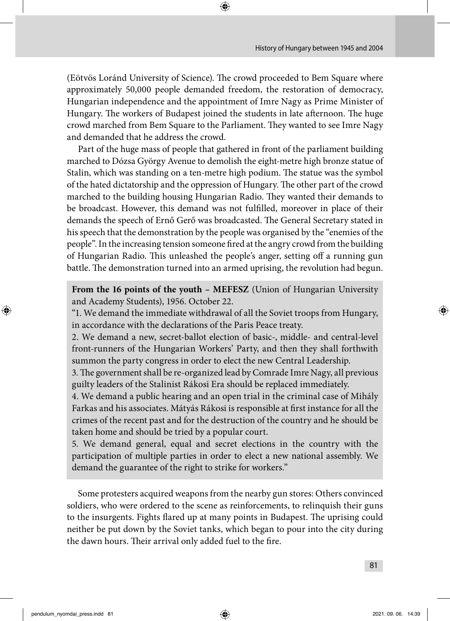(Eötvös Loránd University of Science). The crowd proceeded to Bem Square where approximately 50,000 people demanded freedom, the restoration of democracy, Hungarian independence and the appointment of Imre Nagy as Prime Minister of Hungary. The workers of Budapest joined the students in late afternoon. The huge crowd marched from Bem Square to the Parliament. They wanted to see Imre Nagy and demanded that he address the crowd.

⊕

Part of the huge mass of people that gathered in front of the parliament building marched to Dózsa György Avenue to demolish the eight-metre high bronze statue of Stalin, which was standing on a ten-metre high podium. The statue was the symbol of the hated dictatorship and the oppression of Hungary. The other part of the crowd marched to the building housing Hungarian Radio. They wanted their demands to be broadcast. However, this demand was not fulfilled, moreover in place of their demands the speech of Ernő Gerő was broadcasted. The General Secretary stated in his speech that the demonstration by the people was organised by the "enemies of the people". In the increasing tension someone fired at the angry crowd from the building of Hungarian Radio. This unleashed the people's anger, setting off a running gun battle. The demonstration turned into an armed uprising, the revolution had begun.

**From the 16 points of the youth – MEFESZ** (Union of Hungarian University and Academy Students), 1956. October 22.

"1. We demand the immediate withdrawal of all the Soviet troops from Hungary, in accordance with the declarations of the Paris Peace treaty.

2. We demand a new, secret-ballot election of basic-, middle- and central-level front-runners of the Hungarian Workers' Party, and then they shall forthwith summon the party congress in order to elect the new Central Leadership.

3. The government shall be re-organized lead by Comrade Imre Nagy, all previous guilty leaders of the Stalinist Rákosi Era should be replaced immediately.

4. We demand a public hearing and an open trial in the criminal case of Mihály Farkas and his associates. Mátyás Rákosi is responsible at first instance for all the crimes of the recent past and for the destruction of the country and he should be taken home and should be tried by a popular court.

5. We demand general, equal and secret elections in the country with the participation of multiple parties in order to elect a new national assembly. We demand the guarantee of the right to strike for workers."

Some protesters acquired weapons from the nearby gun stores: Others convinced soldiers, who were ordered to the scene as reinforcements, to relinquish their guns to the insurgents. Fights flared up at many points in Budapest. The uprising could neither be put down by the Soviet tanks, which began to pour into the city during the dawn hours. Their arrival only added fuel to the fire.

⊕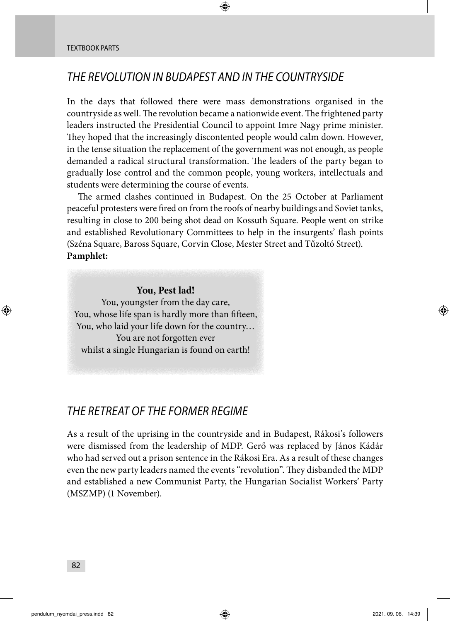### *THE REVOLUTION IN BUDAPEST AND IN THE COUNTRYSIDE*

In the days that followed there were mass demonstrations organised in the countryside as well. The revolution became a nationwide event. The frightened party leaders instructed the Presidential Council to appoint Imre Nagy prime minister. They hoped that the increasingly discontented people would calm down. However, in the tense situation the replacement of the government was not enough, as people demanded a radical structural transformation. The leaders of the party began to gradually lose control and the common people, young workers, intellectuals and students were determining the course of events.

♠

The armed clashes continued in Budapest. On the 25 October at Parliament peaceful protesters were fired on from the roofs of nearby buildings and Soviet tanks, resulting in close to 200 being shot dead on Kossuth Square. People went on strike and established Revolutionary Committees to help in the insurgents' flash points (Széna Square, Baross Square, Corvin Close, Mester Street and Tűzoltó Street). **Pamphlet:**

#### **You, Pest lad!**

You, youngster from the day care, You, whose life span is hardly more than fifteen, You, who laid your life down for the country… You are not forgotten ever whilst a single Hungarian is found on earth!

### *THE RETREAT OF THE FORMER REGIME*

As a result of the uprising in the countryside and in Budapest, Rákosi's followers were dismissed from the leadership of MDP. Gerő was replaced by János Kádár who had served out a prison sentence in the Rákosi Era. As a result of these changes even the new party leaders named the events "revolution". They disbanded the MDP and established a new Communist Party, the Hungarian Socialist Workers' Party (MSZMP) (1 November).

82

⊕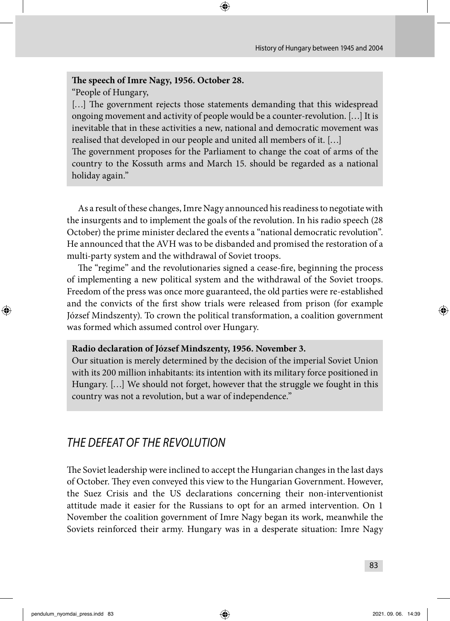#### **The speech of Imre Nagy, 1956. October 28.**

"People of Hungary,

[...] The government rejects those statements demanding that this widespread ongoing movement and activity of people would be a counter-revolution. […] It is inevitable that in these activities a new, national and democratic movement was realised that developed in our people and united all members of it. […]

♠

The government proposes for the Parliament to change the coat of arms of the country to the Kossuth arms and March 15. should be regarded as a national holiday again."

As a result of these changes, Imre Nagy announced his readiness to negotiate with the insurgents and to implement the goals of the revolution. In his radio speech (28 October) the prime minister declared the events a "national democratic revolution". He announced that the AVH was to be disbanded and promised the restoration of a multi-party system and the withdrawal of Soviet troops.

The "regime" and the revolutionaries signed a cease-fire, beginning the process of implementing a new political system and the withdrawal of the Soviet troops. Freedom of the press was once more guaranteed, the old parties were re-established and the convicts of the first show trials were released from prison (for example József Mindszenty). To crown the political transformation, a coalition government was formed which assumed control over Hungary.

#### **Radio declaration of József Mindszenty, 1956. November 3.**

Our situation is merely determined by the decision of the imperial Soviet Union with its 200 million inhabitants: its intention with its military force positioned in Hungary. […] We should not forget, however that the struggle we fought in this country was not a revolution, but a war of independence."

### *THE DEFEAT OF THE REVOLUTION*

The Soviet leadership were inclined to accept the Hungarian changes in the last days of October. They even conveyed this view to the Hungarian Government. However, the Suez Crisis and the US declarations concerning their non-interventionist attitude made it easier for the Russians to opt for an armed intervention. On 1 November the coalition government of Imre Nagy began its work, meanwhile the Soviets reinforced their army. Hungary was in a desperate situation: Imre Nagy

⊕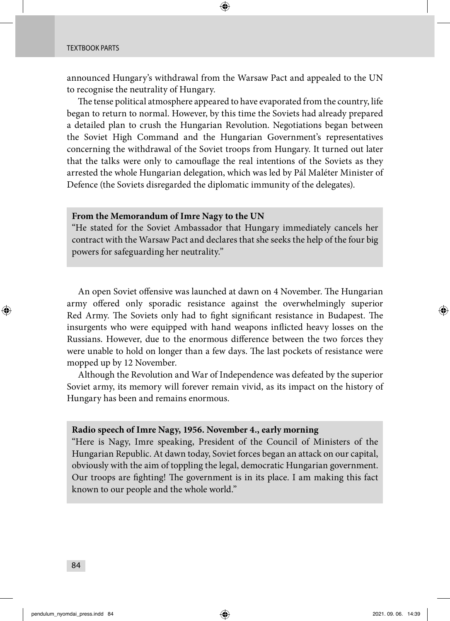announced Hungary's withdrawal from the Warsaw Pact and appealed to the UN to recognise the neutrality of Hungary.

⊕

The tense political atmosphere appeared to have evaporated from the country, life began to return to normal. However, by this time the Soviets had already prepared a detailed plan to crush the Hungarian Revolution. Negotiations began between the Soviet High Command and the Hungarian Government's representatives concerning the withdrawal of the Soviet troops from Hungary. It turned out later that the talks were only to camouflage the real intentions of the Soviets as they arrested the whole Hungarian delegation, which was led by Pál Maléter Minister of Defence (the Soviets disregarded the diplomatic immunity of the delegates).

#### **From the Memorandum of Imre Nagy to the UN**

"He stated for the Soviet Ambassador that Hungary immediately cancels her contract with the Warsaw Pact and declares that she seeks the help of the four big powers for safeguarding her neutrality."

An open Soviet offensive was launched at dawn on 4 November. The Hungarian army offered only sporadic resistance against the overwhelmingly superior Red Army. The Soviets only had to fight significant resistance in Budapest. The insurgents who were equipped with hand weapons inflicted heavy losses on the Russians. However, due to the enormous difference between the two forces they were unable to hold on longer than a few days. The last pockets of resistance were mopped up by 12 November.

Although the Revolution and War of Independence was defeated by the superior Soviet army, its memory will forever remain vivid, as its impact on the history of Hungary has been and remains enormous.

#### **Radio speech of Imre Nagy, 1956. November 4., early morning**

"Here is Nagy, Imre speaking, President of the Council of Ministers of the Hungarian Republic. At dawn today, Soviet forces began an attack on our capital, obviously with the aim of toppling the legal, democratic Hungarian government. Our troops are fighting! The government is in its place. I am making this fact known to our people and the whole world."

84

⊕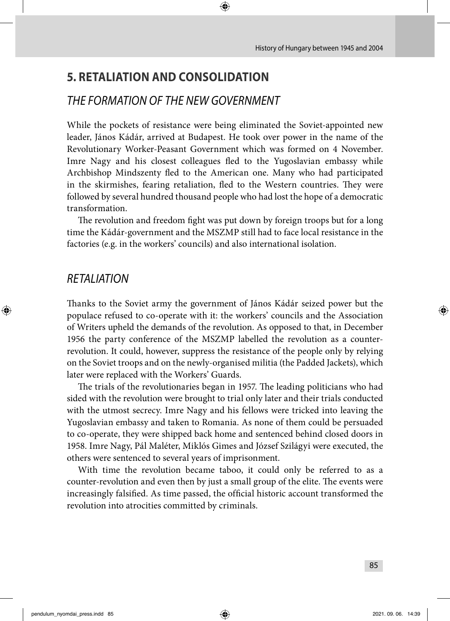### **5. RETALIATION AND CONSOLIDATION**

### *THE FORMATION OF THE NEW GOVERNMENT*

While the pockets of resistance were being eliminated the Soviet-appointed new leader, János Kádár, arrived at Budapest. He took over power in the name of the Revolutionary Worker-Peasant Government which was formed on 4 November. Imre Nagy and his closest colleagues fled to the Yugoslavian embassy while Archbishop Mindszenty fled to the American one. Many who had participated in the skirmishes, fearing retaliation, fled to the Western countries. They were followed by several hundred thousand people who had lost the hope of a democratic transformation.

⊕

The revolution and freedom fight was put down by foreign troops but for a long time the Kádár-government and the MSZMP still had to face local resistance in the factories (e.g. in the workers' councils) and also international isolation.

### *RETALIATION*

⊕

Thanks to the Soviet army the government of János Kádár seized power but the populace refused to co-operate with it: the workers' councils and the Association of Writers upheld the demands of the revolution. As opposed to that, in December 1956 the party conference of the MSZMP labelled the revolution as a counterrevolution. It could, however, suppress the resistance of the people only by relying on the Soviet troops and on the newly-organised militia (the Padded Jackets), which later were replaced with the Workers' Guards.

The trials of the revolutionaries began in 1957. The leading politicians who had sided with the revolution were brought to trial only later and their trials conducted with the utmost secrecy. Imre Nagy and his fellows were tricked into leaving the Yugoslavian embassy and taken to Romania. As none of them could be persuaded to co-operate, they were shipped back home and sentenced behind closed doors in 1958. Imre Nagy, Pál Maléter, Miklós Gimes and József Szilágyi were executed, the others were sentenced to several years of imprisonment.

With time the revolution became taboo, it could only be referred to as a counter-revolution and even then by just a small group of the elite. The events were increasingly falsified. As time passed, the official historic account transformed the revolution into atrocities committed by criminals.

85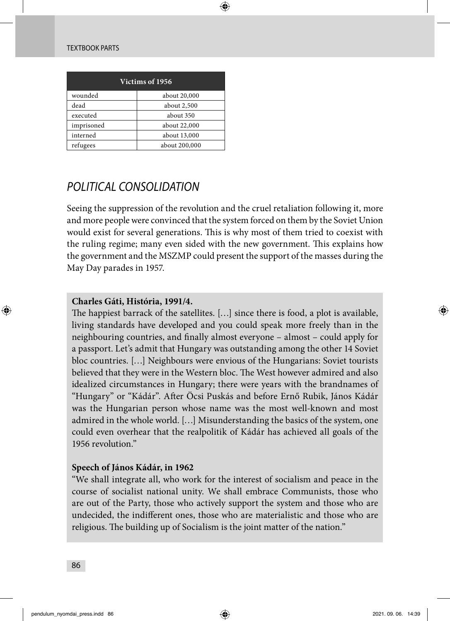#### TEXTBOOK PARTS

| Victims of 1956 |               |  |  |
|-----------------|---------------|--|--|
| wounded         | about 20,000  |  |  |
| dead            | about $2,500$ |  |  |
| executed        | about 350     |  |  |
| imprisoned      | about 22,000  |  |  |
| interned        | about 13,000  |  |  |
| refugees        | about 200,000 |  |  |

### *POLITICAL CONSOLIDATION*

Seeing the suppression of the revolution and the cruel retaliation following it, more and more people were convinced that the system forced on them by the Soviet Union would exist for several generations. This is why most of them tried to coexist with the ruling regime; many even sided with the new government. This explains how the government and the MSZMP could present the support of the masses during the May Day parades in 1957.

#### **Charles Gáti, História, 1991/4.**

The happiest barrack of the satellites. […] since there is food, a plot is available, living standards have developed and you could speak more freely than in the neighbouring countries, and finally almost everyone – almost – could apply for a passport. Let's admit that Hungary was outstanding among the other 14 Soviet bloc countries. […] Neighbours were envious of the Hungarians: Soviet tourists believed that they were in the Western bloc. The West however admired and also idealized circumstances in Hungary; there were years with the brandnames of "Hungary" or "Kádár". After Öcsi Puskás and before Ernő Rubik, János Kádár was the Hungarian person whose name was the most well-known and most admired in the whole world. […] Misunderstanding the basics of the system, one could even overhear that the realpolitik of Kádár has achieved all goals of the 1956 revolution<sup>"</sup>

#### **Speech of János Kádár, in 1962**

"We shall integrate all, who work for the interest of socialism and peace in the course of socialist national unity. We shall embrace Communists, those who are out of the Party, those who actively support the system and those who are undecided, the indifferent ones, those who are materialistic and those who are religious. The building up of Socialism is the joint matter of the nation."

86

⊕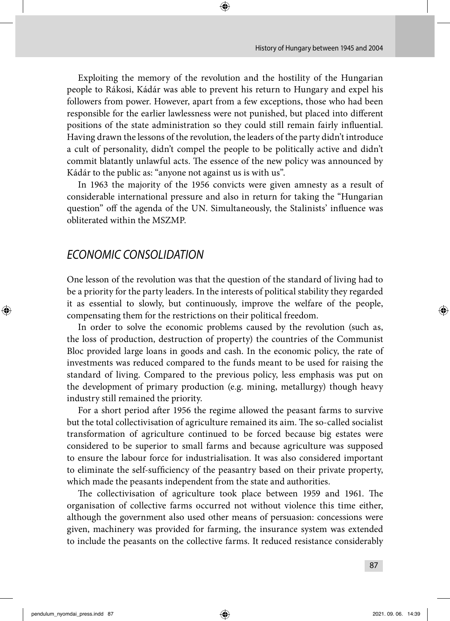Exploiting the memory of the revolution and the hostility of the Hungarian people to Rákosi, Kádár was able to prevent his return to Hungary and expel his followers from power. However, apart from a few exceptions, those who had been responsible for the earlier lawlessness were not punished, but placed into different positions of the state administration so they could still remain fairly influential. Having drawn the lessons of the revolution, the leaders of the party didn't introduce a cult of personality, didn't compel the people to be politically active and didn't commit blatantly unlawful acts. The essence of the new policy was announced by Kádár to the public as: "anyone not against us is with us".

⊕

In 1963 the majority of the 1956 convicts were given amnesty as a result of considerable international pressure and also in return for taking the "Hungarian question" off the agenda of the UN. Simultaneously, the Stalinists' influence was obliterated within the MSZMP.

### *ECONOMIC CONSOLIDATION*

One lesson of the revolution was that the question of the standard of living had to be a priority for the party leaders. In the interests of political stability they regarded it as essential to slowly, but continuously, improve the welfare of the people, compensating them for the restrictions on their political freedom.

In order to solve the economic problems caused by the revolution (such as, the loss of production, destruction of property) the countries of the Communist Bloc provided large loans in goods and cash. In the economic policy, the rate of investments was reduced compared to the funds meant to be used for raising the standard of living. Compared to the previous policy, less emphasis was put on the development of primary production (e.g. mining, metallurgy) though heavy industry still remained the priority.

For a short period after 1956 the regime allowed the peasant farms to survive but the total collectivisation of agriculture remained its aim. The so-called socialist transformation of agriculture continued to be forced because big estates were considered to be superior to small farms and because agriculture was supposed to ensure the labour force for industrialisation. It was also considered important to eliminate the self-sufficiency of the peasantry based on their private property, which made the peasants independent from the state and authorities.

The collectivisation of agriculture took place between 1959 and 1961. The organisation of collective farms occurred not without violence this time either, although the government also used other means of persuasion: concessions were given, machinery was provided for farming, the insurance system was extended to include the peasants on the collective farms. It reduced resistance considerably

87

⊕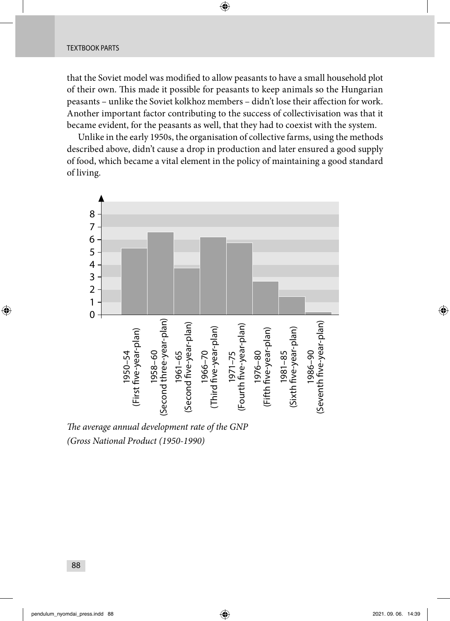#### TEXTBOOK PARTS

that the Soviet model was modified to allow peasants to have a small household plot of their own. This made it possible for peasants to keep animals so the Hungarian peasants – unlike the Soviet kolkhoz members – didn't lose their affection for work. Another important factor contributing to the success of collectivisation was that it became evident, for the peasants as well, that they had to coexist with the system.

 $\bigoplus$ 

Unlike in the early 1950s, the organisation of collective farms, using the methods described above, didn't cause a drop in production and later ensured a good supply of food, which became a vital element in the policy of maintaining a good standard of living.



*The average annual development rate of the GNP (Gross National Product (1950-1990)*

88

⊕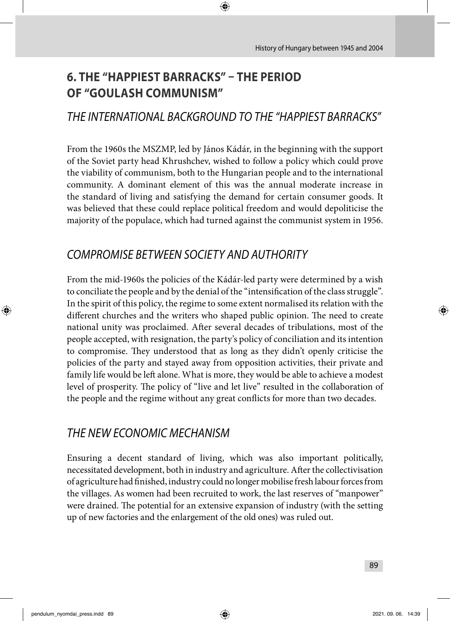# **6. THE "HAPPIEST BARRACKS" – THE PERIOD OF "GOULASH COMMUNISM"**

### *THE INTERNATIONAL BACKGROUND TO THE "HAPPIEST BARRACKS"*

⊕

From the 1960s the MSZMP, led by János Kádár, in the beginning with the support of the Soviet party head Khrushchev, wished to follow a policy which could prove the viability of communism, both to the Hungarian people and to the international community. A dominant element of this was the annual moderate increase in the standard of living and satisfying the demand for certain consumer goods. It was believed that these could replace political freedom and would depoliticise the majority of the populace, which had turned against the communist system in 1956.

### *COMPROMISE BETWEEN SOCIETY AND AUTHORITY*

From the mid-1960s the policies of the Kádár-led party were determined by a wish to conciliate the people and by the denial of the "intensification of the class struggle". In the spirit of this policy, the regime to some extent normalised its relation with the different churches and the writers who shaped public opinion. The need to create national unity was proclaimed. After several decades of tribulations, most of the people accepted, with resignation, the party's policy of conciliation and its intention to compromise. They understood that as long as they didn't openly criticise the policies of the party and stayed away from opposition activities, their private and family life would be left alone. What is more, they would be able to achieve a modest level of prosperity. The policy of "live and let live" resulted in the collaboration of the people and the regime without any great conflicts for more than two decades.

### *THE NEW ECONOMIC MECHANISM*

Ensuring a decent standard of living, which was also important politically, necessitated development, both in industry and agriculture. After the collectivisation of agriculture had finished, industry could no longer mobilise fresh labour forces from the villages. As women had been recruited to work, the last reserves of "manpower" were drained. The potential for an extensive expansion of industry (with the setting up of new factories and the enlargement of the old ones) was ruled out.

⊕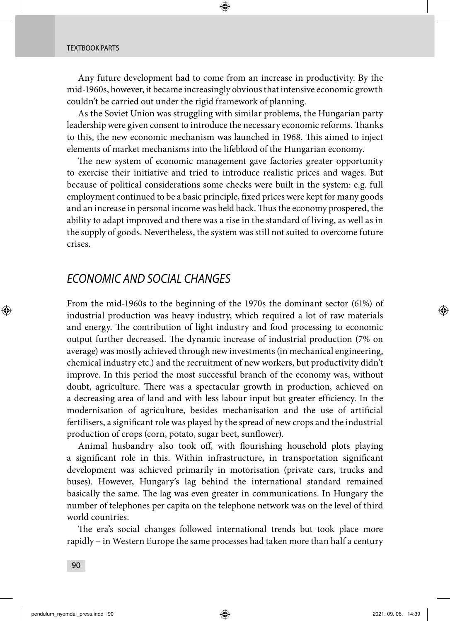Any future development had to come from an increase in productivity. By the mid-1960s, however, it became increasingly obvious that intensive economic growth couldn't be carried out under the rigid framework of planning.

⊕

As the Soviet Union was struggling with similar problems, the Hungarian party leadership were given consent to introduce the necessary economic reforms. Thanks to this, the new economic mechanism was launched in 1968. This aimed to inject elements of market mechanisms into the lifeblood of the Hungarian economy.

The new system of economic management gave factories greater opportunity to exercise their initiative and tried to introduce realistic prices and wages. But because of political considerations some checks were built in the system: e.g. full employment continued to be a basic principle, fixed prices were kept for many goods and an increase in personal income was held back. Thus the economy prospered, the ability to adapt improved and there was a rise in the standard of living, as well as in the supply of goods. Nevertheless, the system was still not suited to overcome future crises.

### *ECONOMIC AND SOCIAL CHANGES*

From the mid-1960s to the beginning of the 1970s the dominant sector (61%) of industrial production was heavy industry, which required a lot of raw materials and energy. The contribution of light industry and food processing to economic output further decreased. The dynamic increase of industrial production (7% on average) was mostly achieved through new investments (in mechanical engineering, chemical industry etc.) and the recruitment of new workers, but productivity didn't improve. In this period the most successful branch of the economy was, without doubt, agriculture. There was a spectacular growth in production, achieved on a decreasing area of land and with less labour input but greater efficiency. In the modernisation of agriculture, besides mechanisation and the use of artificial fertilisers, a significant role was played by the spread of new crops and the industrial production of crops (corn, potato, sugar beet, sunflower).

Animal husbandry also took off, with flourishing household plots playing a significant role in this. Within infrastructure, in transportation significant development was achieved primarily in motorisation (private cars, trucks and buses). However, Hungary's lag behind the international standard remained basically the same. The lag was even greater in communications. In Hungary the number of telephones per capita on the telephone network was on the level of third world countries.

The era's social changes followed international trends but took place more rapidly – in Western Europe the same processes had taken more than half a century

90

⊕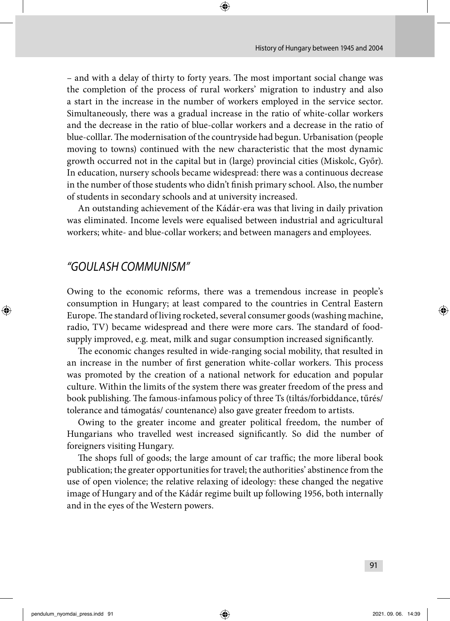– and with a delay of thirty to forty years. The most important social change was the completion of the process of rural workers' migration to industry and also a start in the increase in the number of workers employed in the service sector. Simultaneously, there was a gradual increase in the ratio of white-collar workers and the decrease in the ratio of blue-collar workers and a decrease in the ratio of blue-colllar. The modernisation of the countryside had begun. Urbanisation (people moving to towns) continued with the new characteristic that the most dynamic growth occurred not in the capital but in (large) provincial cities (Miskolc, Győr). In education, nursery schools became widespread: there was a continuous decrease in the number of those students who didn't finish primary school. Also, the number of students in secondary schools and at university increased.

⊕

An outstanding achievement of the Kádár-era was that living in daily privation was eliminated. Income levels were equalised between industrial and agricultural workers; white- and blue-collar workers; and between managers and employees.

### *"GOULASH COMMUNISM"*

Owing to the economic reforms, there was a tremendous increase in people's consumption in Hungary; at least compared to the countries in Central Eastern Europe. The standard of living rocketed, several consumer goods (washing machine, radio, TV) became widespread and there were more cars. The standard of foodsupply improved, e.g. meat, milk and sugar consumption increased significantly.

The economic changes resulted in wide-ranging social mobility, that resulted in an increase in the number of first generation white-collar workers. This process was promoted by the creation of a national network for education and popular culture. Within the limits of the system there was greater freedom of the press and book publishing. The famous-infamous policy of three Ts (tiltás/forbiddance, tűrés/ tolerance and támogatás/ countenance) also gave greater freedom to artists.

Owing to the greater income and greater political freedom, the number of Hungarians who travelled west increased significantly. So did the number of foreigners visiting Hungary.

The shops full of goods; the large amount of car traffic; the more liberal book publication; the greater opportunities for travel; the authorities' abstinence from the use of open violence; the relative relaxing of ideology: these changed the negative image of Hungary and of the Kádár regime built up following 1956, both internally and in the eyes of the Western powers.

91

⊕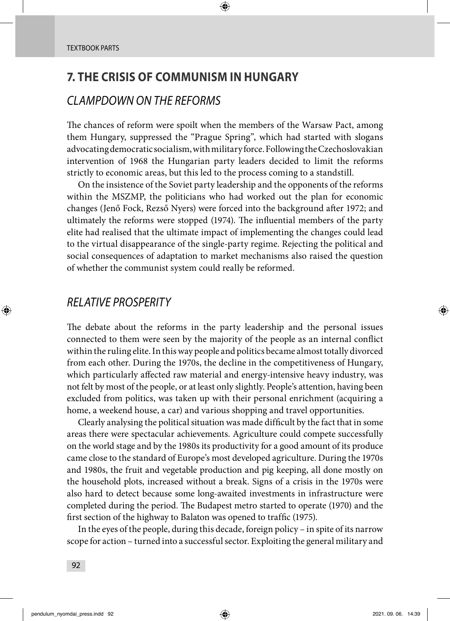### **7. THE CRISIS OF COMMUNISM IN HUNGARY**

### *CLAMPDOWN ON THE REFORMS*

The chances of reform were spoilt when the members of the Warsaw Pact, among them Hungary, suppressed the "Prague Spring", which had started with slogans advocating democratic socialism, with military force. Following the Czechoslovakian intervention of 1968 the Hungarian party leaders decided to limit the reforms strictly to economic areas, but this led to the process coming to a standstill.

♠

On the insistence of the Soviet party leadership and the opponents of the reforms within the MSZMP, the politicians who had worked out the plan for economic changes (Jenő Fock, Rezső Nyers) were forced into the background after 1972; and ultimately the reforms were stopped (1974). The influential members of the party elite had realised that the ultimate impact of implementing the changes could lead to the virtual disappearance of the single-party regime. Rejecting the political and social consequences of adaptation to market mechanisms also raised the question of whether the communist system could really be reformed.

### *RELATIVE PROSPERITY*

⊕

The debate about the reforms in the party leadership and the personal issues connected to them were seen by the majority of the people as an internal conflict within the ruling elite. In this way people and politics became almost totally divorced from each other. During the 1970s, the decline in the competitiveness of Hungary, which particularly affected raw material and energy-intensive heavy industry, was not felt by most of the people, or at least only slightly. People's attention, having been excluded from politics, was taken up with their personal enrichment (acquiring a home, a weekend house, a car) and various shopping and travel opportunities.

Clearly analysing the political situation was made difficult by the fact that in some areas there were spectacular achievements. Agriculture could compete successfully on the world stage and by the 1980s its productivity for a good amount of its produce came close to the standard of Europe's most developed agriculture. During the 1970s and 1980s, the fruit and vegetable production and pig keeping, all done mostly on the household plots, increased without a break. Signs of a crisis in the 1970s were also hard to detect because some long-awaited investments in infrastructure were completed during the period. The Budapest metro started to operate (1970) and the first section of the highway to Balaton was opened to traffic (1975).

In the eyes of the people, during this decade, foreign policy – in spite of its narrow scope for action – turned into a successful sector. Exploiting the general military and

92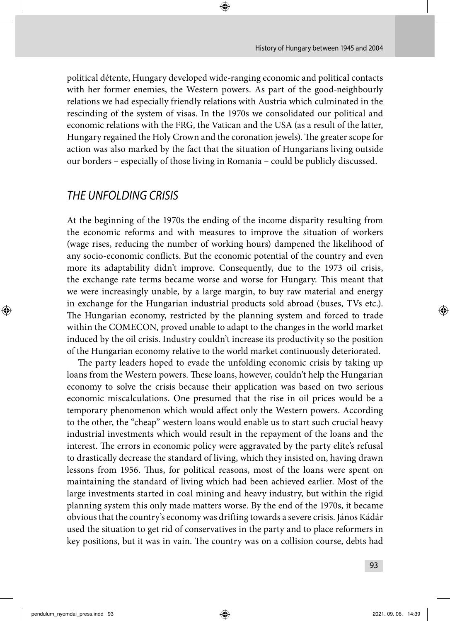political détente, Hungary developed wide-ranging economic and political contacts with her former enemies, the Western powers. As part of the good-neighbourly relations we had especially friendly relations with Austria which culminated in the rescinding of the system of visas. In the 1970s we consolidated our political and economic relations with the FRG, the Vatican and the USA (as a result of the latter, Hungary regained the Holy Crown and the coronation jewels). The greater scope for action was also marked by the fact that the situation of Hungarians living outside our borders – especially of those living in Romania – could be publicly discussed.

⊕

### *THE UNFOLDING CRISIS*

At the beginning of the 1970s the ending of the income disparity resulting from the economic reforms and with measures to improve the situation of workers (wage rises, reducing the number of working hours) dampened the likelihood of any socio-economic conflicts. But the economic potential of the country and even more its adaptability didn't improve. Consequently, due to the 1973 oil crisis, the exchange rate terms became worse and worse for Hungary. This meant that we were increasingly unable, by a large margin, to buy raw material and energy in exchange for the Hungarian industrial products sold abroad (buses, TVs etc.). The Hungarian economy, restricted by the planning system and forced to trade within the COMECON, proved unable to adapt to the changes in the world market induced by the oil crisis. Industry couldn't increase its productivity so the position of the Hungarian economy relative to the world market continuously deteriorated.

The party leaders hoped to evade the unfolding economic crisis by taking up loans from the Western powers. These loans, however, couldn't help the Hungarian economy to solve the crisis because their application was based on two serious economic miscalculations. One presumed that the rise in oil prices would be a temporary phenomenon which would affect only the Western powers. According to the other, the "cheap" western loans would enable us to start such crucial heavy industrial investments which would result in the repayment of the loans and the interest. The errors in economic policy were aggravated by the party elite's refusal to drastically decrease the standard of living, which they insisted on, having drawn lessons from 1956. Thus, for political reasons, most of the loans were spent on maintaining the standard of living which had been achieved earlier. Most of the large investments started in coal mining and heavy industry, but within the rigid planning system this only made matters worse. By the end of the 1970s, it became obvious that the country's economy was drifting towards a severe crisis. János Kádár used the situation to get rid of conservatives in the party and to place reformers in key positions, but it was in vain. The country was on a collision course, debts had

93

◈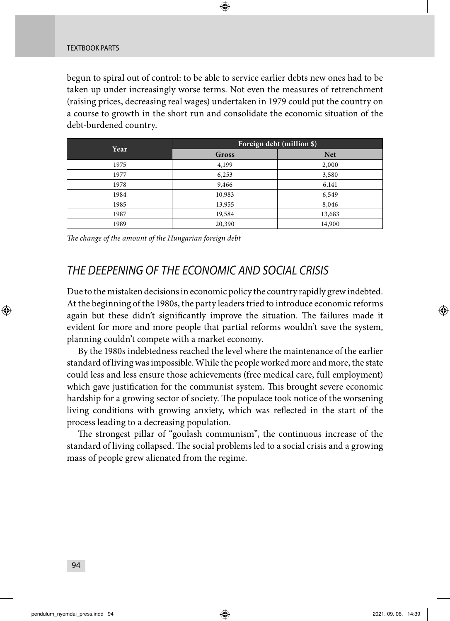begun to spiral out of control: to be able to service earlier debts new ones had to be taken up under increasingly worse terms. Not even the measures of retrenchment (raising prices, decreasing real wages) undertaken in 1979 could put the country on a course to growth in the short run and consolidate the economic situation of the debt-burdened country.

♠

| Year | Foreign debt (million \$) |            |
|------|---------------------------|------------|
|      | Gross                     | <b>Net</b> |
| 1975 | 4,199                     | 2,000      |
| 1977 | 6,253                     | 3,580      |
| 1978 | 9,466                     | 6,141      |
| 1984 | 10,983                    | 6,549      |
| 1985 | 13,955                    | 8,046      |
| 1987 | 19,584                    | 13,683     |
| 1989 | 20,390                    | 14,900     |

*The change of the amount of the Hungarian foreign debt*

### *THE DEEPENING OF THE ECONOMIC AND SOCIAL CRISIS*

Due to the mistaken decisions in economic policy the country rapidly grew indebted. At the beginning of the 1980s, the party leaders tried to introduce economic reforms again but these didn't significantly improve the situation. The failures made it evident for more and more people that partial reforms wouldn't save the system, planning couldn't compete with a market economy.

By the 1980s indebtedness reached the level where the maintenance of the earlier standard of living was impossible. While the people worked more and more, the state could less and less ensure those achievements (free medical care, full employment) which gave justification for the communist system. This brought severe economic hardship for a growing sector of society. The populace took notice of the worsening living conditions with growing anxiety, which was reflected in the start of the process leading to a decreasing population.

The strongest pillar of "goulash communism", the continuous increase of the standard of living collapsed. The social problems led to a social crisis and a growing mass of people grew alienated from the regime.

94

⊕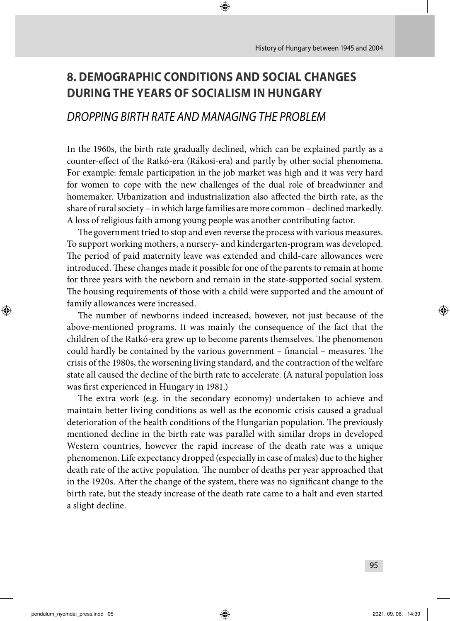# **8. DEMOGRAPHIC CONDITIONS AND SOCIAL CHANGES DURING THE YEARS OF SOCIALISM IN HUNGARY**

♠

## *DROPPING BIRTH RATE AND MANAGING THE PROBLEM*

In the 1960s, the birth rate gradually declined, which can be explained partly as a counter-effect of the Ratkó-era (Rákosi-era) and partly by other social phenomena. For example: female participation in the job market was high and it was very hard for women to cope with the new challenges of the dual role of breadwinner and homemaker. Urbanization and industrialization also affected the birth rate, as the share of rural society – in which large families are more common – declined markedly. A loss of religious faith among young people was another contributing factor.

The government tried to stop and even reverse the process with various measures. To support working mothers, a nursery- and kindergarten-program was developed. The period of paid maternity leave was extended and child-care allowances were introduced. These changes made it possible for one of the parents to remain at home for three years with the newborn and remain in the state-supported social system. The housing requirements of those with a child were supported and the amount of family allowances were increased.

The number of newborns indeed increased, however, not just because of the above-mentioned programs. It was mainly the consequence of the fact that the children of the Ratkó-era grew up to become parents themselves. The phenomenon could hardly be contained by the various government – financial – measures. The crisis of the 1980s, the worsening living standard, and the contraction of the welfare state all caused the decline of the birth rate to accelerate. (A natural population loss was first experienced in Hungary in 1981.)

The extra work (e.g. in the secondary economy) undertaken to achieve and maintain better living conditions as well as the economic crisis caused a gradual deterioration of the health conditions of the Hungarian population. The previously mentioned decline in the birth rate was parallel with similar drops in developed Western countries, however the rapid increase of the death rate was a unique phenomenon. Life expectancy dropped (especially in case of males) due to the higher death rate of the active population. The number of deaths per year approached that in the 1920s. After the change of the system, there was no significant change to the birth rate, but the steady increase of the death rate came to a halt and even started a slight decline.

⊕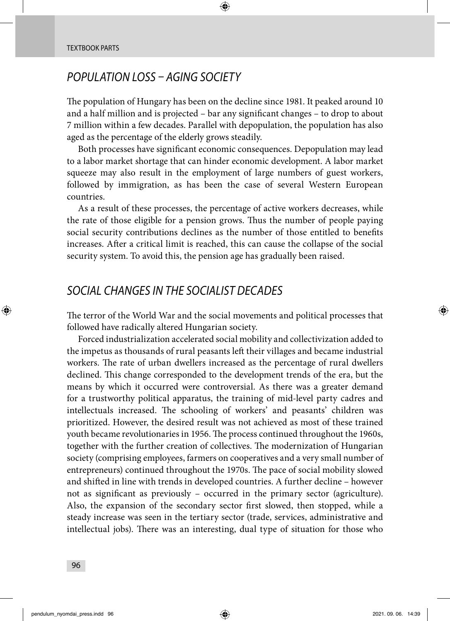# *POPULATION LOSS – AGING SOCIETY*

The population of Hungary has been on the decline since 1981. It peaked around 10 and a half million and is projected – bar any significant changes – to drop to about 7 million within a few decades. Parallel with depopulation, the population has also aged as the percentage of the elderly grows steadily.

♠

Both processes have significant economic consequences. Depopulation may lead to a labor market shortage that can hinder economic development. A labor market squeeze may also result in the employment of large numbers of guest workers, followed by immigration, as has been the case of several Western European countries.

As a result of these processes, the percentage of active workers decreases, while the rate of those eligible for a pension grows. Thus the number of people paying social security contributions declines as the number of those entitled to benefits increases. After a critical limit is reached, this can cause the collapse of the social security system. To avoid this, the pension age has gradually been raised.

# *SOCIAL CHANGES IN THE SOCIALIST DECADES*

The terror of the World War and the social movements and political processes that followed have radically altered Hungarian society.

Forced industrialization accelerated social mobility and collectivization added to the impetus as thousands of rural peasants left their villages and became industrial workers. The rate of urban dwellers increased as the percentage of rural dwellers declined. This change corresponded to the development trends of the era, but the means by which it occurred were controversial. As there was a greater demand for a trustworthy political apparatus, the training of mid-level party cadres and intellectuals increased. The schooling of workers' and peasants' children was prioritized. However, the desired result was not achieved as most of these trained youth became revolutionaries in 1956. The process continued throughout the 1960s, together with the further creation of collectives. The modernization of Hungarian society (comprising employees, farmers on cooperatives and a very small number of entrepreneurs) continued throughout the 1970s. The pace of social mobility slowed and shifted in line with trends in developed countries. A further decline – however not as significant as previously – occurred in the primary sector (agriculture). Also, the expansion of the secondary sector first slowed, then stopped, while a steady increase was seen in the tertiary sector (trade, services, administrative and intellectual jobs). There was an interesting, dual type of situation for those who

96

⊕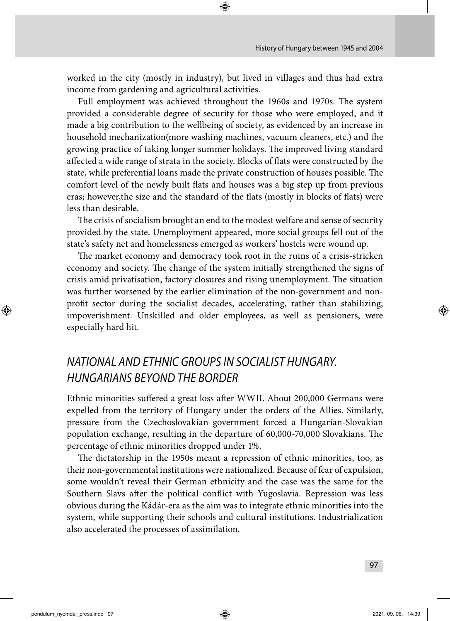worked in the city (mostly in industry), but lived in villages and thus had extra income from gardening and agricultural activities.

♠

Full employment was achieved throughout the 1960s and 1970s. The system provided a considerable degree of security for those who were employed, and it made a big contribution to the wellbeing of society, as evidenced by an increase in household mechanization(more washing machines, vacuum cleaners, etc.) and the growing practice of taking longer summer holidays. The improved living standard affected a wide range of strata in the society. Blocks of flats were constructed by the state, while preferential loans made the private construction of houses possible. The comfort level of the newly built flats and houses was a big step up from previous eras; however,the size and the standard of the flats (mostly in blocks of flats) were less than desirable.

The crisis of socialism brought an end to the modest welfare and sense of security provided by the state. Unemployment appeared, more social groups fell out of the state's safety net and homelessness emerged as workers' hostels were wound up.

The market economy and democracy took root in the ruins of a crisis-stricken economy and society. The change of the system initially strengthened the signs of crisis amid privatisation, factory closures and rising unemployment. The situation was further worsened by the earlier elimination of the non-government and nonprofit sector during the socialist decades, accelerating, rather than stabilizing, impoverishment. Unskilled and older employees, as well as pensioners, were especially hard hit.

# *NATIONAL AND ETHNIC GROUPS IN SOCIALIST HUNGARY. HUNGARIANS BEYOND THE BORDER*

Ethnic minorities suffered a great loss after WWII. About 200,000 Germans were expelled from the territory of Hungary under the orders of the Allies. Similarly, pressure from the Czechoslovakian government forced a Hungarian-Slovakian population exchange, resulting in the departure of 60,000-70,000 Slovakians. The percentage of ethnic minorities dropped under 1%.

The dictatorship in the 1950s meant a repression of ethnic minorities, too, as their non-governmental institutions were nationalized. Because of fear of expulsion, some wouldn't reveal their German ethnicity and the case was the same for the Southern Slavs after the political conflict with Yugoslavia. Repression was less obvious during the Kádár-era as the aim was to integrate ethnic minorities into the system, while supporting their schools and cultural institutions. Industrialization also accelerated the processes of assimilation.

97

⊕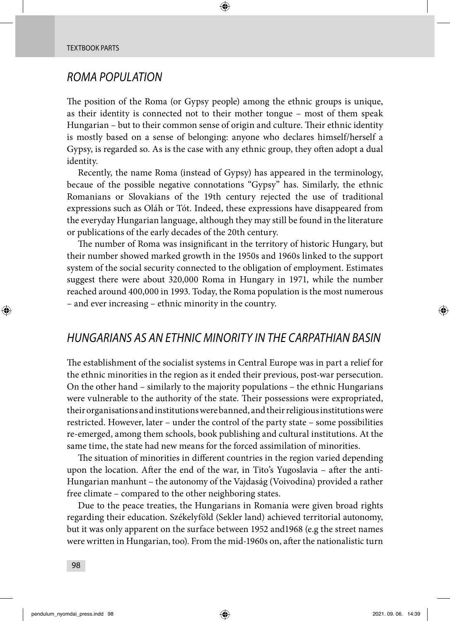## *ROMA POPULATION*

The position of the Roma (or Gypsy people) among the ethnic groups is unique, as their identity is connected not to their mother tongue – most of them speak Hungarian – but to their common sense of origin and culture. Their ethnic identity is mostly based on a sense of belonging: anyone who declares himself/herself a Gypsy, is regarded so. As is the case with any ethnic group, they often adopt a dual identity.

♠

Recently, the name Roma (instead of Gypsy) has appeared in the terminology, becaue of the possible negative connotations "Gypsy" has. Similarly, the ethnic Romanians or Slovakians of the 19th century rejected the use of traditional expressions such as Oláh or Tót. Indeed, these expressions have disappeared from the everyday Hungarian language, although they may still be found in the literature or publications of the early decades of the 20th century.

The number of Roma was insignificant in the territory of historic Hungary, but their number showed marked growth in the 1950s and 1960s linked to the support system of the social security connected to the obligation of employment. Estimates suggest there were about 320,000 Roma in Hungary in 1971, while the number reached around 400,000 in 1993. Today, the Roma population is the most numerous – and ever increasing – ethnic minority in the country.

### *HUNGARIANS AS AN ETHNIC MINORITY IN THE CARPATHIAN BASIN*

The establishment of the socialist systems in Central Europe was in part a relief for the ethnic minorities in the region as it ended their previous, post-war persecution. On the other hand – similarly to the majority populations – the ethnic Hungarians were vulnerable to the authority of the state. Their possessions were expropriated, their organisations and institutions were banned, and their religious institutions were restricted. However, later – under the control of the party state – some possibilities re-emerged, among them schools, book publishing and cultural institutions. At the same time, the state had new means for the forced assimilation of minorities.

The situation of minorities in different countries in the region varied depending upon the location. After the end of the war, in Tito's Yugoslavia – after the anti-Hungarian manhunt – the autonomy of the Vajdaság (Voivodina) provided a rather free climate – compared to the other neighboring states.

Due to the peace treaties, the Hungarians in Romania were given broad rights regarding their education. Székelyföld (Sekler land) achieved territorial autonomy, but it was only apparent on the surface between 1952 and1968 (e.g the street names were written in Hungarian, too). From the mid-1960s on, after the nationalistic turn

98

⊕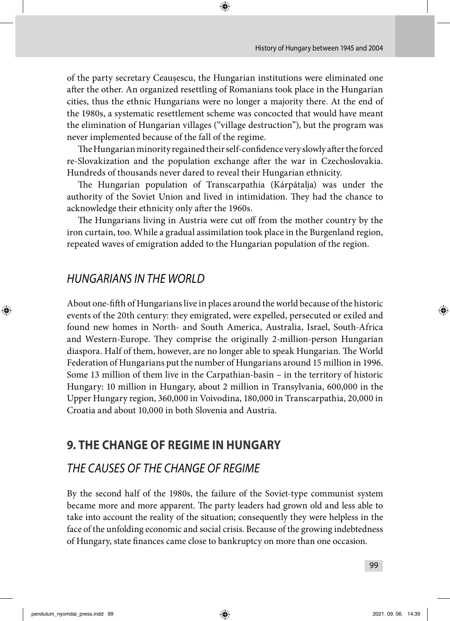of the party secretary Ceaușescu, the Hungarian institutions were eliminated one after the other. An organized resettling of Romanians took place in the Hungarian cities, thus the ethnic Hungarians were no longer a majority there. At the end of the 1980s, a systematic resettlement scheme was concocted that would have meant the elimination of Hungarian villages ("village destruction"), but the program was never implemented because of the fall of the regime.

♠

The Hungarian minority regained their self-confidence very slowly after the forced re-Slovakization and the population exchange after the war in Czechoslovakia. Hundreds of thousands never dared to reveal their Hungarian ethnicity.

The Hungarian population of Transcarpathia (Kárpátalja) was under the authority of the Soviet Union and lived in intimidation. They had the chance to acknowledge their ethnicity only after the 1960s.

The Hungarians living in Austria were cut off from the mother country by the iron curtain, too. While a gradual assimilation took place in the Burgenland region, repeated waves of emigration added to the Hungarian population of the region.

### *HUNGARIANS IN THE WORLD*

About one-fifth of Hungarians live in places around the world because of the historic events of the 20th century: they emigrated, were expelled, persecuted or exiled and found new homes in North- and South America, Australia, Israel, South-Africa and Western-Europe. They comprise the originally 2-million-person Hungarian diaspora. Half of them, however, are no longer able to speak Hungarian. The World Federation of Hungarians put the number of Hungarians around 15 million in 1996. Some 13 million of them live in the Carpathian-basin – in the territory of historic Hungary: 10 million in Hungary, about 2 million in Transylvania, 600,000 in the Upper Hungary region, 360,000 in Voivodina, 180,000 in Transcarpathia, 20,000 in Croatia and about 10,000 in both Slovenia and Austria.

# **9. THE CHANGE OF REGIME IN HUNGARY**

## *THE CAUSES OF THE CHANGE OF REGIME*

By the second half of the 1980s, the failure of the Soviet-type communist system became more and more apparent. The party leaders had grown old and less able to take into account the reality of the situation; consequently they were helpless in the face of the unfolding economic and social crisis. Because of the growing indebtedness of Hungary, state finances came close to bankruptcy on more than one occasion.

99

⊕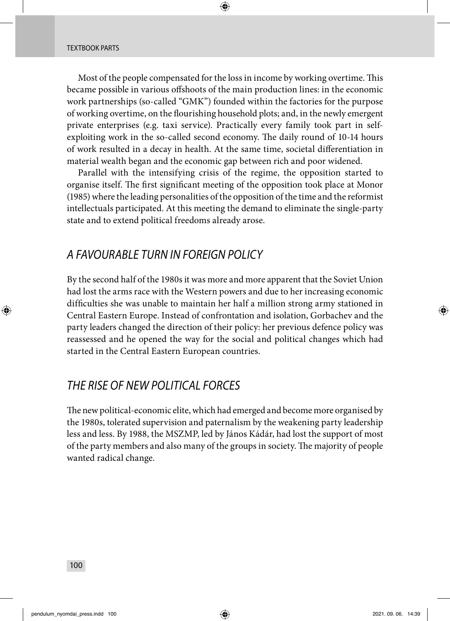Most of the people compensated for the loss in income by working overtime. This became possible in various offshoots of the main production lines: in the economic work partnerships (so-called "GMK") founded within the factories for the purpose of working overtime, on the flourishing household plots; and, in the newly emergent private enterprises (e.g. taxi service). Practically every family took part in selfexploiting work in the so-called second economy. The daily round of 10-14 hours of work resulted in a decay in health. At the same time, societal differentiation in material wealth began and the economic gap between rich and poor widened.

♠

Parallel with the intensifying crisis of the regime, the opposition started to organise itself. The first significant meeting of the opposition took place at Monor (1985) where the leading personalities of the opposition of the time and the reformist intellectuals participated. At this meeting the demand to eliminate the single-party state and to extend political freedoms already arose.

# *A FAVOURABLE TURN IN FOREIGN POLICY*

By the second half of the 1980s it was more and more apparent that the Soviet Union had lost the arms race with the Western powers and due to her increasing economic difficulties she was unable to maintain her half a million strong army stationed in Central Eastern Europe. Instead of confrontation and isolation, Gorbachev and the party leaders changed the direction of their policy: her previous defence policy was reassessed and he opened the way for the social and political changes which had started in the Central Eastern European countries.

# *THE RISE OF NEW POLITICAL FORCES*

The new political-economic elite, which had emerged and become more organised by the 1980s, tolerated supervision and paternalism by the weakening party leadership less and less. By 1988, the MSZMP, led by János Kádár, had lost the support of most of the party members and also many of the groups in society. The majority of people wanted radical change.

100

⊕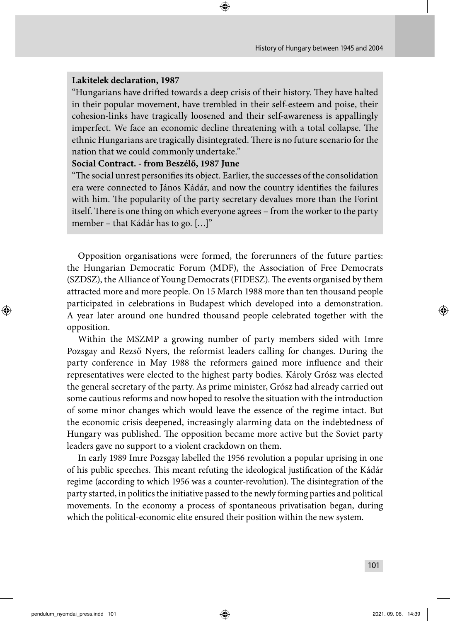#### **Lakitelek declaration, 1987**

"Hungarians have drifted towards a deep crisis of their history. They have halted in their popular movement, have trembled in their self-esteem and poise, their cohesion-links have tragically loosened and their self-awareness is appallingly imperfect. We face an economic decline threatening with a total collapse. The ethnic Hungarians are tragically disintegrated. There is no future scenario for the nation that we could commonly undertake."

⊕

#### **Social Contract. - from Beszélő, 1987 June**

"The social unrest personifies its object. Earlier, the successes of the consolidation era were connected to János Kádár, and now the country identifies the failures with him. The popularity of the party secretary devalues more than the Forint itself. There is one thing on which everyone agrees – from the worker to the party member – that Kádár has to go. […]"

Opposition organisations were formed, the forerunners of the future parties: the Hungarian Democratic Forum (MDF), the Association of Free Democrats (SZDSZ), the Alliance of Young Democrats (FIDESZ). The events organised by them attracted more and more people. On 15 March 1988 more than ten thousand people participated in celebrations in Budapest which developed into a demonstration. A year later around one hundred thousand people celebrated together with the opposition.

Within the MSZMP a growing number of party members sided with Imre Pozsgay and Rezső Nyers, the reformist leaders calling for changes. During the party conference in May 1988 the reformers gained more influence and their representatives were elected to the highest party bodies. Károly Grósz was elected the general secretary of the party. As prime minister, Grósz had already carried out some cautious reforms and now hoped to resolve the situation with the introduction of some minor changes which would leave the essence of the regime intact. But the economic crisis deepened, increasingly alarming data on the indebtedness of Hungary was published. The opposition became more active but the Soviet party leaders gave no support to a violent crackdown on them.

In early 1989 Imre Pozsgay labelled the 1956 revolution a popular uprising in one of his public speeches. This meant refuting the ideological justification of the Kádár regime (according to which 1956 was a counter-revolution). The disintegration of the party started, in politics the initiative passed to the newly forming parties and political movements. In the economy a process of spontaneous privatisation began, during which the political-economic elite ensured their position within the new system.

101

⊕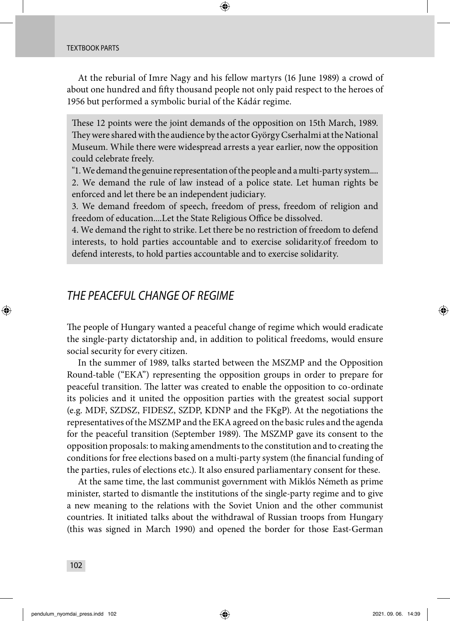At the reburial of Imre Nagy and his fellow martyrs (16 June 1989) a crowd of about one hundred and fifty thousand people not only paid respect to the heroes of 1956 but performed a symbolic burial of the Kádár regime.

⊕

These 12 points were the joint demands of the opposition on 15th March, 1989. They were shared with the audience by the actor György Cserhalmi at the National Museum. While there were widespread arrests a year earlier, now the opposition could celebrate freely.

"1. We demand the genuine representation of the people and a multi-party system.... 2. We demand the rule of law instead of a police state. Let human rights be enforced and let there be an independent judiciary.

3. We demand freedom of speech, freedom of press, freedom of religion and freedom of education....Let the State Religious Office be dissolved.

4. We demand the right to strike. Let there be no restriction of freedom to defend interests, to hold parties accountable and to exercise solidarity.of freedom to defend interests, to hold parties accountable and to exercise solidarity.

# *THE PEACEFUL CHANGE OF REGIME*

The people of Hungary wanted a peaceful change of regime which would eradicate the single-party dictatorship and, in addition to political freedoms, would ensure social security for every citizen.

In the summer of 1989, talks started between the MSZMP and the Opposition Round-table ("EKA") representing the opposition groups in order to prepare for peaceful transition. The latter was created to enable the opposition to co-ordinate its policies and it united the opposition parties with the greatest social support (e.g. MDF, SZDSZ, FIDESZ, SZDP, KDNP and the FKgP). At the negotiations the representatives of the MSZMP and the EKA agreed on the basic rules and the agenda for the peaceful transition (September 1989). The MSZMP gave its consent to the opposition proposals: to making amendments to the constitution and to creating the conditions for free elections based on a multi-party system (the financial funding of the parties, rules of elections etc.). It also ensured parliamentary consent for these.

At the same time, the last communist government with Miklós Németh as prime minister, started to dismantle the institutions of the single-party regime and to give a new meaning to the relations with the Soviet Union and the other communist countries. It initiated talks about the withdrawal of Russian troops from Hungary (this was signed in March 1990) and opened the border for those East-German

⊕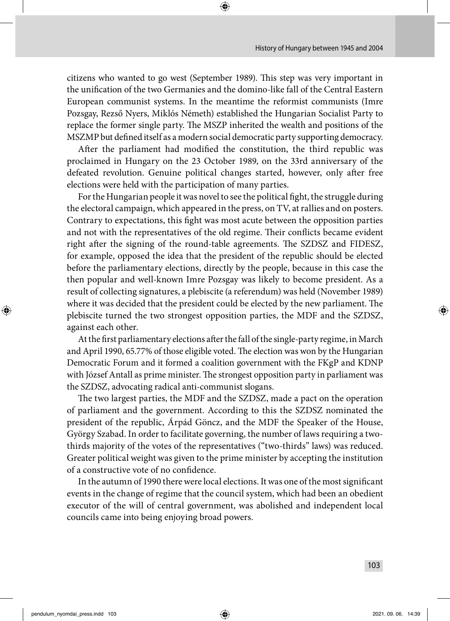citizens who wanted to go west (September 1989). This step was very important in the unification of the two Germanies and the domino-like fall of the Central Eastern European communist systems. In the meantime the reformist communists (Imre Pozsgay, Rezső Nyers, Miklós Németh) established the Hungarian Socialist Party to replace the former single party. The MSZP inherited the wealth and positions of the MSZMP but defined itself as a modern social democratic party supporting democracy.

⊕

After the parliament had modified the constitution, the third republic was proclaimed in Hungary on the 23 October 1989, on the 33rd anniversary of the defeated revolution. Genuine political changes started, however, only after free elections were held with the participation of many parties.

For the Hungarian people it was novel to see the political fight, the struggle during the electoral campaign, which appeared in the press, on TV, at rallies and on posters. Contrary to expectations, this fight was most acute between the opposition parties and not with the representatives of the old regime. Their conflicts became evident right after the signing of the round-table agreements. The SZDSZ and FIDESZ, for example, opposed the idea that the president of the republic should be elected before the parliamentary elections, directly by the people, because in this case the then popular and well-known Imre Pozsgay was likely to become president. As a result of collecting signatures, a plebiscite (a referendum) was held (November 1989) where it was decided that the president could be elected by the new parliament. The plebiscite turned the two strongest opposition parties, the MDF and the SZDSZ, against each other.

At the first parliamentary elections after the fall of the single-party regime, in March and April 1990, 65.77% of those eligible voted. The election was won by the Hungarian Democratic Forum and it formed a coalition government with the FKgP and KDNP with József Antall as prime minister. The strongest opposition party in parliament was the SZDSZ, advocating radical anti-communist slogans.

The two largest parties, the MDF and the SZDSZ, made a pact on the operation of parliament and the government. According to this the SZDSZ nominated the president of the republic, Árpád Göncz, and the MDF the Speaker of the House, György Szabad. In order to facilitate governing, the number of laws requiring a twothirds majority of the votes of the representatives ("two-thirds" laws) was reduced. Greater political weight was given to the prime minister by accepting the institution of a constructive vote of no confidence.

In the autumn of 1990 there were local elections. It was one of the most significant events in the change of regime that the council system, which had been an obedient executor of the will of central government, was abolished and independent local councils came into being enjoying broad powers.

⊕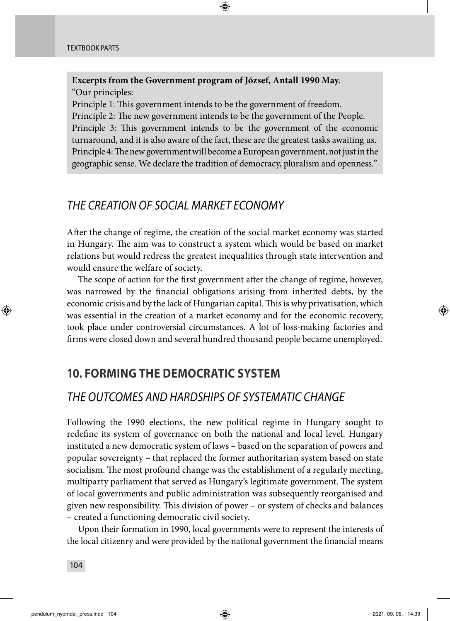**Excerpts from the Government program of József, Antall 1990 May.**  "Our principles:

Principle 1: This government intends to be the government of freedom. Principle 2: The new government intends to be the government of the People. Principle 3: This government intends to be the government of the economic turnaround, and it is also aware of the fact, these are the greatest tasks awaiting us. Principle 4: The new government will become a European government, not just in the geographic sense. We declare the tradition of democracy, pluralism and openness."

⊕

### *THE CREATION OF SOCIAL MARKET ECONOMY*

After the change of regime, the creation of the social market economy was started in Hungary. The aim was to construct a system which would be based on market relations but would redress the greatest inequalities through state intervention and would ensure the welfare of society.

The scope of action for the first government after the change of regime, however, was narrowed by the financial obligations arising from inherited debts, by the economic crisis and by the lack of Hungarian capital. This is why privatisation, which was essential in the creation of a market economy and for the economic recovery, took place under controversial circumstances. A lot of loss-making factories and firms were closed down and several hundred thousand people became unemployed.

# **10. FORMING THE DEMOCRATIC SYSTEM**

## *THE OUTCOMES AND HARDSHIPS OF SYSTEMATIC CHANGE*

Following the 1990 elections, the new political regime in Hungary sought to redefine its system of governance on both the national and local level. Hungary instituted a new democratic system of laws – based on the separation of powers and popular sovereignty – that replaced the former authoritarian system based on state socialism. The most profound change was the establishment of a regularly meeting, multiparty parliament that served as Hungary's legitimate government. The system of local governments and public administration was subsequently reorganised and given new responsibility. This division of power – or system of checks and balances – created a functioning democratic civil society.

Upon their formation in 1990, local governments were to represent the interests of the local citizenry and were provided by the national government the financial means

104

⊕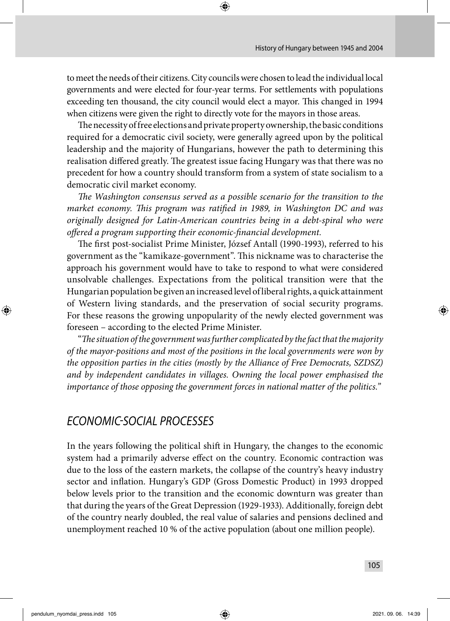to meet the needs of their citizens. City councils were chosen to lead the individual local governments and were elected for four-year terms. For settlements with populations exceeding ten thousand, the city council would elect a mayor. This changed in 1994 when citizens were given the right to directly vote for the mayors in those areas.

⊕

The necessity of free elections and private property ownership, the basic conditions required for a democratic civil society, were generally agreed upon by the political leadership and the majority of Hungarians, however the path to determining this realisation differed greatly. The greatest issue facing Hungary was that there was no precedent for how a country should transform from a system of state socialism to a democratic civil market economy.

*The Washington consensus served as a possible scenario for the transition to the market economy. This program was ratified in 1989, in Washington DC and was originally designed for Latin-American countries being in a debt-spiral who were offered a program supporting their economic-financial development.* 

The first post-socialist Prime Minister, József Antall (1990-1993), referred to his government as the "kamikaze-government". This nickname was to characterise the approach his government would have to take to respond to what were considered unsolvable challenges. Expectations from the political transition were that the Hungarian population be given an increased level of liberal rights, a quick attainment of Western living standards, and the preservation of social security programs. For these reasons the growing unpopularity of the newly elected government was foreseen – according to the elected Prime Minister.

"*The situation of the government was further complicated by the fact that the majority of the mayor-positions and most of the positions in the local governments were won by the opposition parties in the cities (mostly by the Alliance of Free Democrats, SZDSZ) and by independent candidates in villages. Owning the local power emphasised the importance of those opposing the government forces in national matter of the politics."* 

#### *ECONOMIC-SOCIAL PROCESSES*

In the years following the political shift in Hungary, the changes to the economic system had a primarily adverse effect on the country. Economic contraction was due to the loss of the eastern markets, the collapse of the country's heavy industry sector and inflation. Hungary's GDP (Gross Domestic Product) in 1993 dropped below levels prior to the transition and the economic downturn was greater than that during the years of the Great Depression (1929-1933). Additionally, foreign debt of the country nearly doubled, the real value of salaries and pensions declined and unemployment reached 10 % of the active population (about one million people).

105

⊕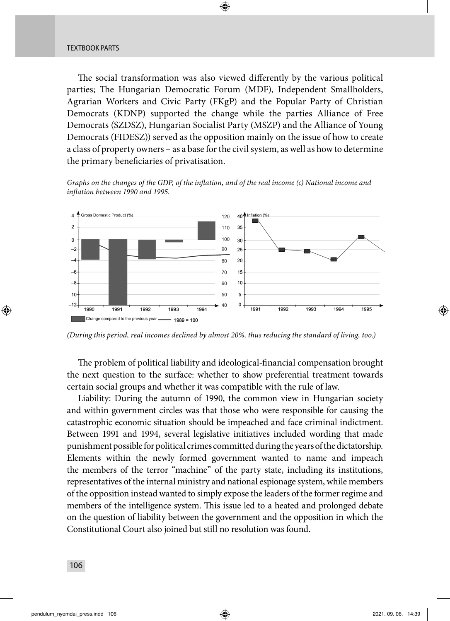#### TEXTBOOK PARTS

The social transformation was also viewed differently by the various political parties; The Hungarian Democratic Forum (MDF), Independent Smallholders, Agrarian Workers and Civic Party (FKgP) and the Popular Party of Christian Democrats (KDNP) supported the change while the parties Alliance of Free Democrats (SZDSZ), Hungarian Socialist Party (MSZP) and the Alliance of Young Democrats (FIDESZ)) served as the opposition mainly on the issue of how to create a class of property owners – as a base for the civil system, as well as how to determine the primary beneficiaries of privatisation.

⊕

*Graphs on the changes of the GDP, of the inflation, and of the real income (c) National income and inflation between 1990 and 1995.*



*(During this period, real incomes declined by almost 20%, thus reducing the standard of living, too.)*

The problem of political liability and ideological-financial compensation brought the next question to the surface: whether to show preferential treatment towards certain social groups and whether it was compatible with the rule of law.

Liability: During the autumn of 1990, the common view in Hungarian society and within government circles was that those who were responsible for causing the catastrophic economic situation should be impeached and face criminal indictment. Between 1991 and 1994, several legislative initiatives included wording that made punishment possible for political crimes committed during the years of the dictatorship. Elements within the newly formed government wanted to name and impeach the members of the terror "machine" of the party state, including its institutions, representatives of the internal ministry and national espionage system, while members of the opposition instead wanted to simply expose the leaders of the former regime and members of the intelligence system. This issue led to a heated and prolonged debate on the question of liability between the government and the opposition in which the Constitutional Court also joined but still no resolution was found.

106

⊕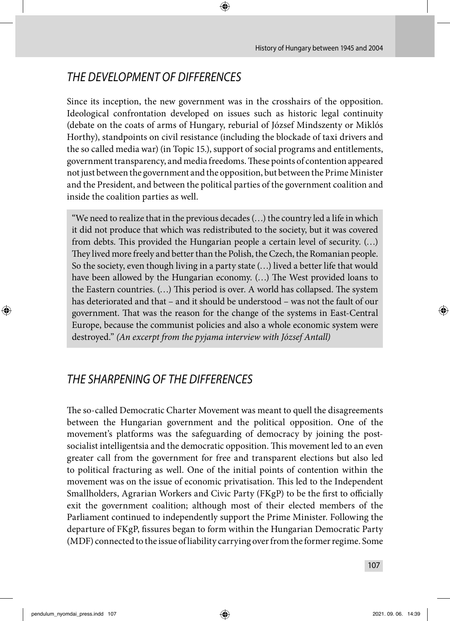# *THE DEVELOPMENT OF DIFFERENCES*

Since its inception, the new government was in the crosshairs of the opposition. Ideological confrontation developed on issues such as historic legal continuity (debate on the coats of arms of Hungary, reburial of József Mindszenty or Miklós Horthy), standpoints on civil resistance (including the blockade of taxi drivers and the so called media war) (in Topic 15.), support of social programs and entitlements, government transparency, and media freedoms. These points of contention appeared not just between the government and the opposition, but between the Prime Minister and the President, and between the political parties of the government coalition and inside the coalition parties as well.

⊕

"We need to realize that in the previous decades (…) the country led a life in which it did not produce that which was redistributed to the society, but it was covered from debts. This provided the Hungarian people a certain level of security. (…) They lived more freely and better than the Polish, the Czech, the Romanian people. So the society, even though living in a party state (…) lived a better life that would have been allowed by the Hungarian economy. (…) The West provided loans to the Eastern countries. (…) This period is over. A world has collapsed. The system has deteriorated and that – and it should be understood – was not the fault of our government. That was the reason for the change of the systems in East-Central Europe, because the communist policies and also a whole economic system were destroyed." *(An excerpt from the pyjama interview with József Antall)*

# *THE SHARPENING OF THE DIFFERENCES*

The so-called Democratic Charter Movement was meant to quell the disagreements between the Hungarian government and the political opposition. One of the movement's platforms was the safeguarding of democracy by joining the postsocialist intelligentsia and the democratic opposition. This movement led to an even greater call from the government for free and transparent elections but also led to political fracturing as well. One of the initial points of contention within the movement was on the issue of economic privatisation. This led to the Independent Smallholders, Agrarian Workers and Civic Party (FKgP) to be the first to officially exit the government coalition; although most of their elected members of the Parliament continued to independently support the Prime Minister. Following the departure of FKgP, fissures began to form within the Hungarian Democratic Party (MDF) connected to the issue of liability carrying over from the former regime. Some

107

⊕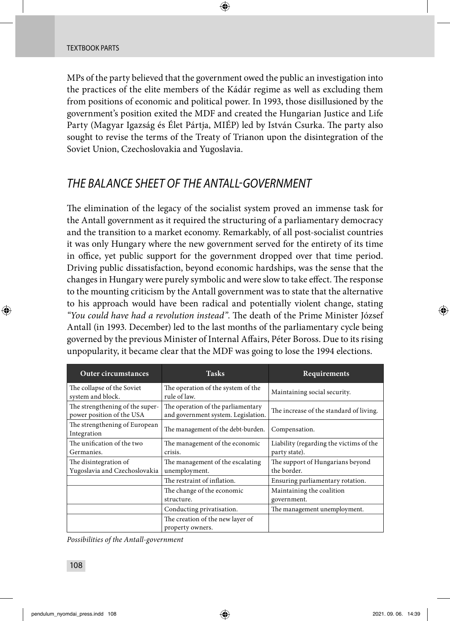MPs of the party believed that the government owed the public an investigation into the practices of the elite members of the Kádár regime as well as excluding them from positions of economic and political power. In 1993, those disillusioned by the government's position exited the MDF and created the Hungarian Justice and Life Party (Magyar Igazság és Élet Pártja, MIÉP) led by István Csurka. The party also sought to revise the terms of the Treaty of Trianon upon the disintegration of the Soviet Union, Czechoslovakia and Yugoslavia.

♠

# *THE BALANCE SHEET OF THE ANTALL-GOVERNMENT*

The elimination of the legacy of the socialist system proved an immense task for the Antall government as it required the structuring of a parliamentary democracy and the transition to a market economy. Remarkably, of all post-socialist countries it was only Hungary where the new government served for the entirety of its time in office, yet public support for the government dropped over that time period. Driving public dissatisfaction, beyond economic hardships, was the sense that the changes in Hungary were purely symbolic and were slow to take effect. The response to the mounting criticism by the Antall government was to state that the alternative to his approach would have been radical and potentially violent change, stating *"You could have had a revolution instead"*. The death of the Prime Minister József Antall (in 1993. December) led to the last months of the parliamentary cycle being governed by the previous Minister of Internal Affairs, Péter Boross. Due to its rising unpopularity, it became clear that the MDF was going to lose the 1994 elections.

| <b>Outer circumstances</b>                                   | <b>Tasks</b>                                                              | Requirements                            |  |
|--------------------------------------------------------------|---------------------------------------------------------------------------|-----------------------------------------|--|
| The collapse of the Soviet<br>system and block.              | The operation of the system of the<br>rule of law.                        | Maintaining social security.            |  |
| The strengthening of the super-<br>power position of the USA | The operation of the parliamentary<br>and government system. Legislation. | The increase of the standard of living. |  |
| The strengthening of European<br>Integration                 | The management of the debt-burden.                                        | Compensation.                           |  |
| The unification of the two                                   | The management of the economic                                            | Liability (regarding the victims of the |  |
| Germanies.                                                   | crisis.                                                                   | party state).                           |  |
| The disintegration of                                        | The management of the escalating                                          | The support of Hungarians beyond        |  |
| Yugoslavia and Czechoslovakia                                | unemployment.                                                             | the border.                             |  |
|                                                              | The restraint of inflation.                                               | Ensuring parliamentary rotation.        |  |
|                                                              | The change of the economic                                                | Maintaining the coalition               |  |
|                                                              | structure.                                                                | government.                             |  |
|                                                              | Conducting privatisation.                                                 | The management unemployment.            |  |
|                                                              | The creation of the new layer of                                          |                                         |  |
|                                                              | property owners.                                                          |                                         |  |

*Possibilities of the Antall-government*

108

⊕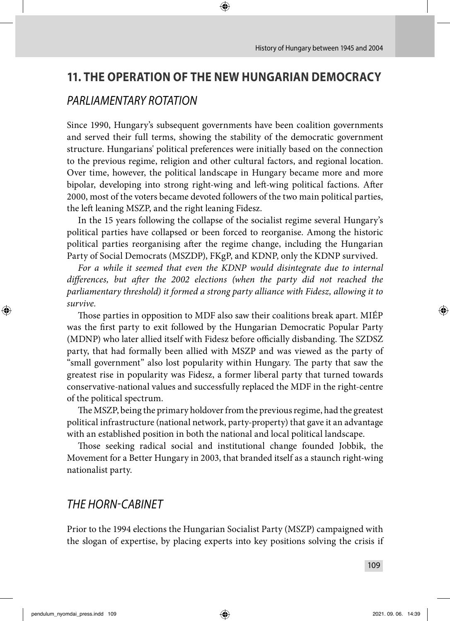# **11. THE OPERATION OF THE NEW HUNGARIAN DEMOCRACY**

⊕

## *PARLIAMENTARY ROTATION*

Since 1990, Hungary's subsequent governments have been coalition governments and served their full terms, showing the stability of the democratic government structure. Hungarians' political preferences were initially based on the connection to the previous regime, religion and other cultural factors, and regional location. Over time, however, the political landscape in Hungary became more and more bipolar, developing into strong right-wing and left-wing political factions. After 2000, most of the voters became devoted followers of the two main political parties, the left leaning MSZP, and the right leaning Fidesz.

In the 15 years following the collapse of the socialist regime several Hungary's political parties have collapsed or been forced to reorganise. Among the historic political parties reorganising after the regime change, including the Hungarian Party of Social Democrats (MSZDP), FKgP, and KDNP, only the KDNP survived.

For a while it seemed that even the KDNP would disintegrate due to internal *differences, but after the 2002 elections (when the party did not reached the parliamentary threshold) it formed a strong party alliance with Fidesz, allowing it to survive.*

Those parties in opposition to MDF also saw their coalitions break apart. MIÉP was the first party to exit followed by the Hungarian Democratic Popular Party (MDNP) who later allied itself with Fidesz before officially disbanding. The SZDSZ party, that had formally been allied with MSZP and was viewed as the party of "small government" also lost popularity within Hungary. The party that saw the greatest rise in popularity was Fidesz, a former liberal party that turned towards conservative-national values and successfully replaced the MDF in the right-centre of the political spectrum.

The MSZP, being the primary holdover from the previous regime, had the greatest political infrastructure (national network, party-property) that gave it an advantage with an established position in both the national and local political landscape.

Those seeking radical social and institutional change founded Jobbik, the Movement for a Better Hungary in 2003, that branded itself as a staunch right-wing nationalist party.

# *THE HORN-CABINET*

Prior to the 1994 elections the Hungarian Socialist Party (MSZP) campaigned with the slogan of expertise, by placing experts into key positions solving the crisis if

109

⊕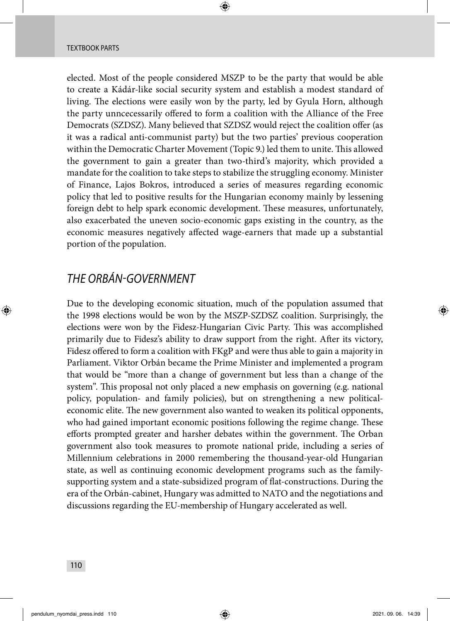elected. Most of the people considered MSZP to be the party that would be able to create a Kádár-like social security system and establish a modest standard of living. The elections were easily won by the party, led by Gyula Horn, although the party unncecessarily offered to form a coalition with the Alliance of the Free Democrats (SZDSZ). Many believed that SZDSZ would reject the coalition offer (as it was a radical anti-communist party) but the two parties' previous cooperation within the Democratic Charter Movement (Topic 9.) led them to unite. This allowed the government to gain a greater than two-third's majority, which provided a mandate for the coalition to take steps to stabilize the struggling economy. Minister of Finance, Lajos Bokros, introduced a series of measures regarding economic policy that led to positive results for the Hungarian economy mainly by lessening foreign debt to help spark economic development. These measures, unfortunately, also exacerbated the uneven socio-economic gaps existing in the country, as the economic measures negatively affected wage-earners that made up a substantial portion of the population.

⊕

# *THE ORBÁN-GOVERNMENT*

Due to the developing economic situation, much of the population assumed that the 1998 elections would be won by the MSZP-SZDSZ coalition. Surprisingly, the elections were won by the Fidesz-Hungarian Civic Party. This was accomplished primarily due to Fidesz's ability to draw support from the right. After its victory, Fidesz offered to form a coalition with FKgP and were thus able to gain a majority in Parliament. Viktor Orbán became the Prime Minister and implemented a program that would be "more than a change of government but less than a change of the system". This proposal not only placed a new emphasis on governing (e.g. national policy, population- and family policies), but on strengthening a new politicaleconomic elite. The new government also wanted to weaken its political opponents, who had gained important economic positions following the regime change. These efforts prompted greater and harsher debates within the government. The Orban government also took measures to promote national pride, including a series of Millennium celebrations in 2000 remembering the thousand-year-old Hungarian state, as well as continuing economic development programs such as the familysupporting system and a state-subsidized program of flat-constructions. During the era of the Orbán-cabinet, Hungary was admitted to NATO and the negotiations and discussions regarding the EU-membership of Hungary accelerated as well.

110

⊕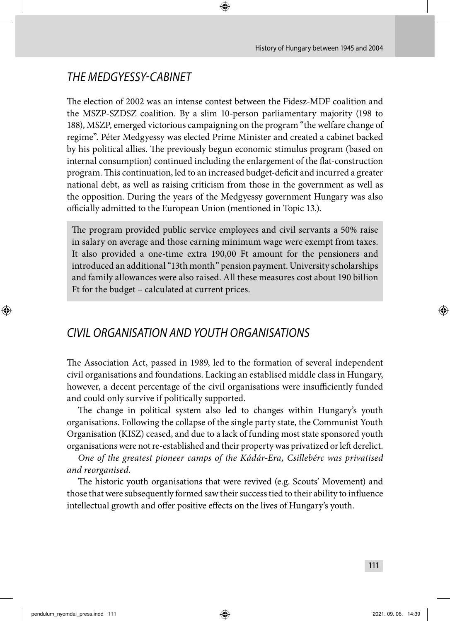# *THE MEDGYESSY-CABINET*

The election of 2002 was an intense contest between the Fidesz-MDF coalition and the MSZP-SZDSZ coalition. By a slim 10-person parliamentary majority (198 to 188), MSZP, emerged victorious campaigning on the program "the welfare change of regime". Péter Medgyessy was elected Prime Minister and created a cabinet backed by his political allies. The previously begun economic stimulus program (based on internal consumption) continued including the enlargement of the flat-construction program. This continuation, led to an increased budget-deficit and incurred a greater national debt, as well as raising criticism from those in the government as well as the opposition. During the years of the Medgyessy government Hungary was also officially admitted to the European Union (mentioned in Topic 13.).

♠

The program provided public service employees and civil servants a 50% raise in salary on average and those earning minimum wage were exempt from taxes. It also provided a one-time extra 190,00 Ft amount for the pensioners and introduced an additional "13th month" pension payment. University scholarships and family allowances were also raised. All these measures cost about 190 billion Ft for the budget – calculated at current prices.

#### *CIVIL ORGANISATION AND YOUTH ORGANISATIONS*

The Association Act, passed in 1989, led to the formation of several independent civil organisations and foundations. Lacking an establised middle class in Hungary, however, a decent percentage of the civil organisations were insufficiently funded and could only survive if politically supported.

The change in political system also led to changes within Hungary's youth organisations. Following the collapse of the single party state, the Communist Youth Organisation (KISZ) ceased, and due to a lack of funding most state sponsored youth organisations were not re-established and their property was privatized or left derelict.

*One of the greatest pioneer camps of the Kádár-Era, Csillebérc was privatised and reorganised.* 

The historic youth organisations that were revived (e.g. Scouts' Movement) and those that were subsequently formed saw their success tied to their ability to influence intellectual growth and offer positive effects on the lives of Hungary's youth.

⊕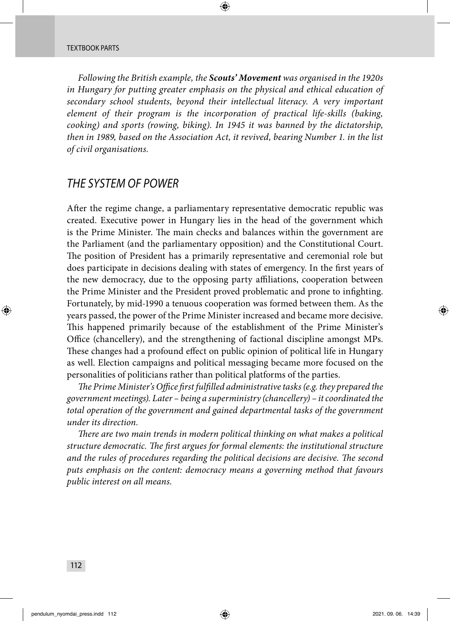*Following the British example, the Scouts' Movement was organised in the 1920s in Hungary for putting greater emphasis on the physical and ethical education of secondary school students, beyond their intellectual literacy. A very important element of their program is the incorporation of practical life-skills (baking, cooking) and sports (rowing, biking). In 1945 it was banned by the dictatorship, then in 1989, based on the Association Act, it revived, bearing Number 1. in the list of civil organisations.* 

⊕

### *THE SYSTEM OF POWER*

After the regime change, a parliamentary representative democratic republic was created. Executive power in Hungary lies in the head of the government which is the Prime Minister. The main checks and balances within the government are the Parliament (and the parliamentary opposition) and the Constitutional Court. The position of President has a primarily representative and ceremonial role but does participate in decisions dealing with states of emergency. In the first years of the new democracy, due to the opposing party affiliations, cooperation between the Prime Minister and the President proved problematic and prone to infighting. Fortunately, by mid-1990 a tenuous cooperation was formed between them. As the years passed, the power of the Prime Minister increased and became more decisive. This happened primarily because of the establishment of the Prime Minister's Office (chancellery), and the strengthening of factional discipline amongst MPs. These changes had a profound effect on public opinion of political life in Hungary as well. Election campaigns and political messaging became more focused on the personalities of politicians rather than political platforms of the parties.

*The Prime Minister's Office first fulfilled administrative tasks (e.g. they prepared the government meetings). Later – being a superministry (chancellery) – it coordinated the total operation of the government and gained departmental tasks of the government under its direction.* 

*There are two main trends in modern political thinking on what makes a political structure democratic. The first argues for formal elements: the institutional structure and the rules of procedures regarding the political decisions are decisive. The second puts emphasis on the content: democracy means a governing method that favours public interest on all means.* 

112

⊕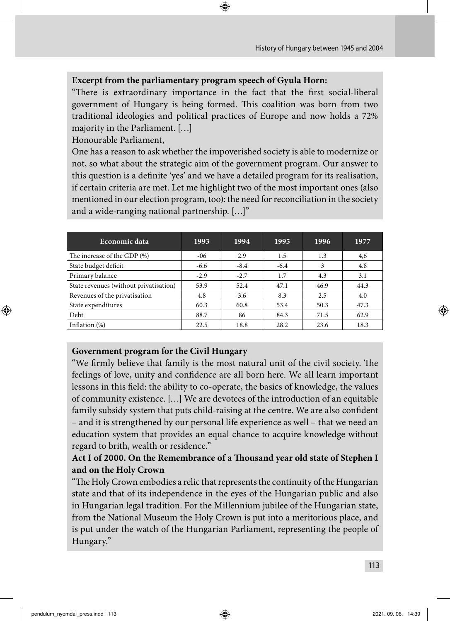#### **Excerpt from the parliamentary program speech of Gyula Horn:**

"There is extraordinary importance in the fact that the first social-liberal government of Hungary is being formed. This coalition was born from two traditional ideologies and political practices of Europe and now holds a 72% majority in the Parliament. […]

♠

Honourable Parliament,

One has a reason to ask whether the impoverished society is able to modernize or not, so what about the strategic aim of the government program. Our answer to this question is a definite 'yes' and we have a detailed program for its realisation, if certain criteria are met. Let me highlight two of the most important ones (also mentioned in our election program, too): the need for reconciliation in the society and a wide-ranging national partnership. […]"

| Economic data                          | 1993   | 1994   | 1995   | 1996 | 1977 |
|----------------------------------------|--------|--------|--------|------|------|
| The increase of the GDP (%)            | $-06$  | 2.9    | 1.5    | 1.3  | 4,6  |
| State budget deficit                   | $-6.6$ | $-8.4$ | $-6.4$ | 3    | 4.8  |
| Primary balance                        | $-2.9$ | $-2.7$ | 1.7    | 4.3  | 3.1  |
| State revenues (without privatisation) | 53.9   | 52.4   | 47.1   | 46.9 | 44.3 |
| Revenues of the privatisation          | 4.8    | 3.6    | 8.3    | 2.5  | 4.0  |
| State expenditures                     | 60.3   | 60.8   | 53.4   | 50.3 | 47.3 |
| Debt                                   | 88.7   | 86     | 84.3   | 71.5 | 62.9 |
| Inflation (%)                          | 22.5   | 18.8   | 28.2   | 23.6 | 18.3 |

#### **Government program for the Civil Hungary**

"We firmly believe that family is the most natural unit of the civil society. The feelings of love, unity and confidence are all born here. We all learn important lessons in this field: the ability to co-operate, the basics of knowledge, the values of community existence. […] We are devotees of the introduction of an equitable family subsidy system that puts child-raising at the centre. We are also confident – and it is strengthened by our personal life experience as well – that we need an education system that provides an equal chance to acquire knowledge without regard to brith, wealth or residence."

#### **Act I of 2000. On the Remembrance of a Thousand year old state of Stephen I and on the Holy Crown**

"The Holy Crown embodies a relic that represents the continuity of the Hungarian state and that of its independence in the eyes of the Hungarian public and also in Hungarian legal tradition. For the Millennium jubilee of the Hungarian state, from the National Museum the Holy Crown is put into a meritorious place, and is put under the watch of the Hungarian Parliament, representing the people of Hungary."

113

⊕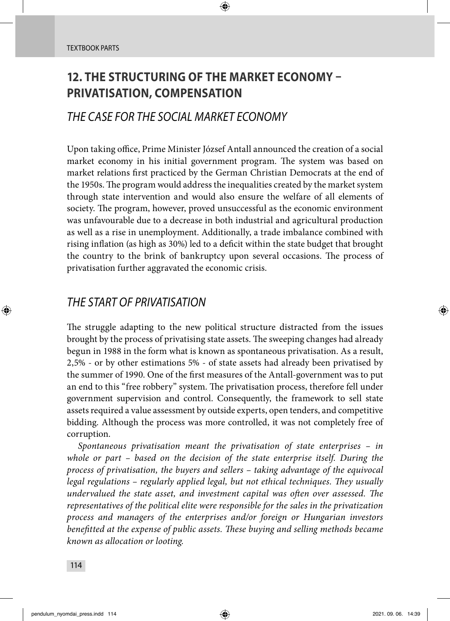# **12. THE STRUCTURING OF THE MARKET ECONOMY – PRIVATISATION, COMPENSATION**

♠

# *THE CASE FOR THE SOCIAL MARKET ECONOMY*

Upon taking office, Prime Minister József Antall announced the creation of a social market economy in his initial government program. The system was based on market relations first practiced by the German Christian Democrats at the end of the 1950s. The program would address the inequalities created by the market system through state intervention and would also ensure the welfare of all elements of society. The program, however, proved unsuccessful as the economic environment was unfavourable due to a decrease in both industrial and agricultural production as well as a rise in unemployment. Additionally, a trade imbalance combined with rising inflation (as high as 30%) led to a deficit within the state budget that brought the country to the brink of bankruptcy upon several occasions. The process of privatisation further aggravated the economic crisis.

#### *THE START OF PRIVATISATION*

The struggle adapting to the new political structure distracted from the issues brought by the process of privatising state assets. The sweeping changes had already begun in 1988 in the form what is known as spontaneous privatisation. As a result, 2,5% - or by other estimations 5% - of state assets had already been privatised by the summer of 1990. One of the first measures of the Antall-government was to put an end to this "free robbery" system. The privatisation process, therefore fell under government supervision and control. Consequently, the framework to sell state assets required a value assessment by outside experts, open tenders, and competitive bidding. Although the process was more controlled, it was not completely free of corruption.

*Spontaneous privatisation meant the privatisation of state enterprises – in whole or part – based on the decision of the state enterprise itself. During the process of privatisation, the buyers and sellers – taking advantage of the equivocal legal regulations – regularly applied legal, but not ethical techniques. They usually undervalued the state asset, and investment capital was often over assessed. The representatives of the political elite were responsible for the sales in the privatization process and managers of the enterprises and/or foreign or Hungarian investors benefitted at the expense of public assets. These buying and selling methods became known as allocation or looting.* 

114

⊕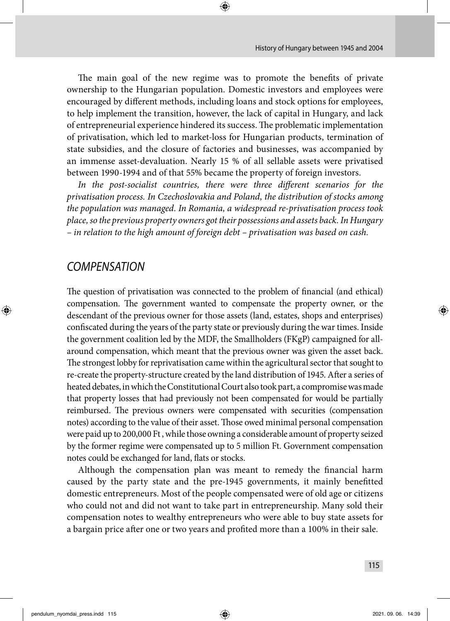The main goal of the new regime was to promote the benefits of private ownership to the Hungarian population. Domestic investors and employees were encouraged by different methods, including loans and stock options for employees, to help implement the transition, however, the lack of capital in Hungary, and lack of entrepreneurial experience hindered its success. The problematic implementation of privatisation, which led to market-loss for Hungarian products, termination of state subsidies, and the closure of factories and businesses, was accompanied by an immense asset-devaluation. Nearly 15 % of all sellable assets were privatised between 1990-1994 and of that 55% became the property of foreign investors.

⊕

In the post-socialist countries, there were three different scenarios for the *privatisation process. In Czechoslovakia and Poland, the distribution of stocks among the population was managed. In Romania, a widespread re-privatisation process took place, so the previous property owners got their possessions and assets back. In Hungary – in relation to the high amount of foreign debt – privatisation was based on cash.* 

### *COMPENSATION*

⊕

The question of privatisation was connected to the problem of financial (and ethical) compensation. The government wanted to compensate the property owner, or the descendant of the previous owner for those assets (land, estates, shops and enterprises) confiscated during the years of the party state or previously during the war times. Inside the government coalition led by the MDF, the Smallholders (FKgP) campaigned for allaround compensation, which meant that the previous owner was given the asset back. The strongest lobby for reprivatisation came within the agricultural sector that sought to re-create the property-structure created by the land distribution of 1945. After a series of heated debates, in which the Constitutional Court also took part, a compromise was made that property losses that had previously not been compensated for would be partially reimbursed. The previous owners were compensated with securities (compensation notes) according to the value of their asset. Those owed minimal personal compensation were paid up to 200,000 Ft , while those owning a considerable amount of property seized by the former regime were compensated up to 5 million Ft. Government compensation notes could be exchanged for land, flats or stocks.

Although the compensation plan was meant to remedy the financial harm caused by the party state and the pre-1945 governments, it mainly benefitted domestic entrepreneurs. Most of the people compensated were of old age or citizens who could not and did not want to take part in entrepreneurship. Many sold their compensation notes to wealthy entrepreneurs who were able to buy state assets for a bargain price after one or two years and profited more than a 100% in their sale.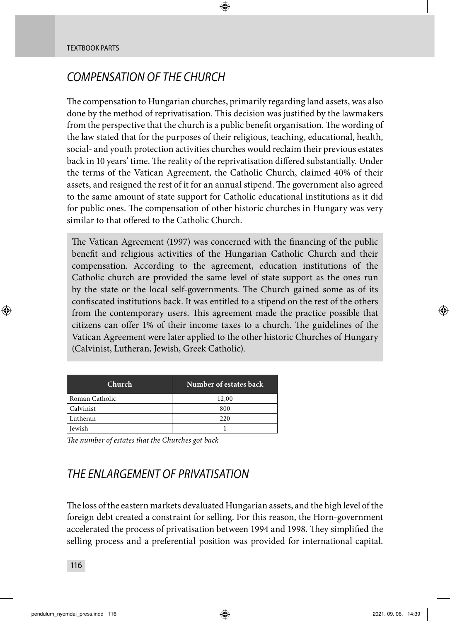# *COMPENSATION OF THE CHURCH*

The compensation to Hungarian churches, primarily regarding land assets, was also done by the method of reprivatisation. This decision was justified by the lawmakers from the perspective that the church is a public benefit organisation. The wording of the law stated that for the purposes of their religious, teaching, educational, health, social- and youth protection activities churches would reclaim their previous estates back in 10 years' time. The reality of the reprivatisation differed substantially. Under the terms of the Vatican Agreement, the Catholic Church, claimed 40% of their assets, and resigned the rest of it for an annual stipend. The government also agreed to the same amount of state support for Catholic educational institutions as it did for public ones. The compensation of other historic churches in Hungary was very similar to that offered to the Catholic Church.

♠

The Vatican Agreement (1997) was concerned with the financing of the public benefit and religious activities of the Hungarian Catholic Church and their compensation. According to the agreement, education institutions of the Catholic church are provided the same level of state support as the ones run by the state or the local self-governments. The Church gained some as of its confiscated institutions back. It was entitled to a stipend on the rest of the others from the contemporary users. This agreement made the practice possible that citizens can offer 1% of their income taxes to a church. The guidelines of the Vatican Agreement were later applied to the other historic Churches of Hungary (Calvinist, Lutheran, Jewish, Greek Catholic).

| <b>Church</b>  | Number of estates back |
|----------------|------------------------|
| Roman Catholic | 12,00                  |
| Calvinist      | 800                    |
| Lutheran       | 220                    |
| lewish         |                        |

*The number of estates that the Churches got back*

# *THE ENLARGEMENT OF PRIVATISATION*

The loss of the eastern markets devaluated Hungarian assets, and the high level of the foreign debt created a constraint for selling. For this reason, the Horn-government accelerated the process of privatisation between 1994 and 1998. They simplified the selling process and a preferential position was provided for international capital.

116

◈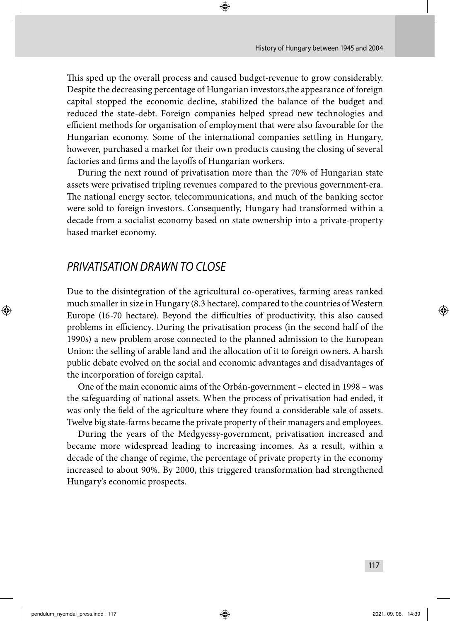This sped up the overall process and caused budget-revenue to grow considerably. Despite the decreasing percentage of Hungarian investors,the appearance of foreign capital stopped the economic decline, stabilized the balance of the budget and reduced the state-debt. Foreign companies helped spread new technologies and efficient methods for organisation of employment that were also favourable for the Hungarian economy. Some of the international companies settling in Hungary, however, purchased a market for their own products causing the closing of several factories and firms and the layoffs of Hungarian workers.

⊕

During the next round of privatisation more than the 70% of Hungarian state assets were privatised tripling revenues compared to the previous government-era. The national energy sector, telecommunications, and much of the banking sector were sold to foreign investors. Consequently, Hungary had transformed within a decade from a socialist economy based on state ownership into a private-property based market economy.

# *PRIVATISATION DRAWN TO CLOSE*

Due to the disintegration of the agricultural co-operatives, farming areas ranked much smaller in size in Hungary (8.3 hectare), compared to the countries of Western Europe (16-70 hectare). Beyond the difficulties of productivity, this also caused problems in efficiency. During the privatisation process (in the second half of the 1990s) a new problem arose connected to the planned admission to the European Union: the selling of arable land and the allocation of it to foreign owners. A harsh public debate evolved on the social and economic advantages and disadvantages of the incorporation of foreign capital.

One of the main economic aims of the Orbán-government – elected in 1998 – was the safeguarding of national assets. When the process of privatisation had ended, it was only the field of the agriculture where they found a considerable sale of assets. Twelve big state-farms became the private property of their managers and employees.

During the years of the Medgyessy-government, privatisation increased and became more widespread leading to increasing incomes. As a result, within a decade of the change of regime, the percentage of private property in the economy increased to about 90%. By 2000, this triggered transformation had strengthened Hungary's economic prospects.

117

⊕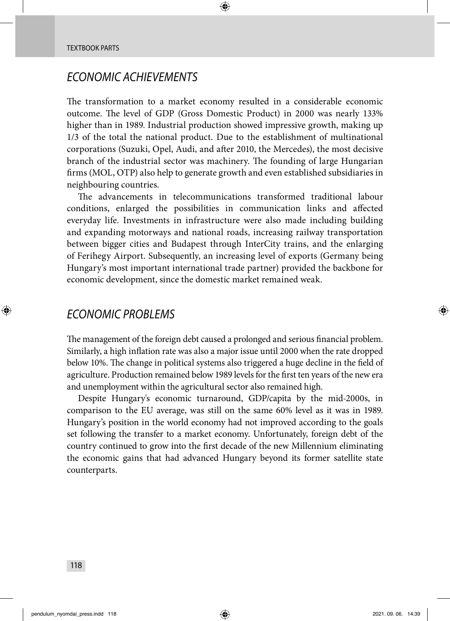# *ECONOMIC ACHIEVEMENTS*

The transformation to a market economy resulted in a considerable economic outcome. The level of GDP (Gross Domestic Product) in 2000 was nearly 133% higher than in 1989. Industrial production showed impressive growth, making up 1/3 of the total the national product. Due to the establishment of multinational corporations (Suzuki, Opel, Audi, and after 2010, the Mercedes), the most decisive branch of the industrial sector was machinery. The founding of large Hungarian firms (MOL, OTP) also help to generate growth and even established subsidiaries in neighbouring countries.

⊕

The advancements in telecommunications transformed traditional labour conditions, enlarged the possibilities in communication links and affected everyday life. Investments in infrastructure were also made including building and expanding motorways and national roads, increasing railway transportation between bigger cities and Budapest through InterCity trains, and the enlarging of Ferihegy Airport. Subsequently, an increasing level of exports (Germany being Hungary's most important international trade partner) provided the backbone for economic development, since the domestic market remained weak.

#### *ECONOMIC PROBLEMS*

⊕

The management of the foreign debt caused a prolonged and serious financial problem. Similarly, a high inflation rate was also a major issue until 2000 when the rate dropped below 10%. The change in political systems also triggered a huge decline in the field of agriculture. Production remained below 1989 levels for the first ten years of the new era and unemployment within the agricultural sector also remained high.

Despite Hungary's economic turnaround, GDP/capita by the mid-2000s, in comparison to the EU average, was still on the same 60% level as it was in 1989. Hungary's position in the world economy had not improved according to the goals set following the transfer to a market economy. Unfortunately, foreign debt of the country continued to grow into the first decade of the new Millennium eliminating the economic gains that had advanced Hungary beyond its former satellite state counterparts.

118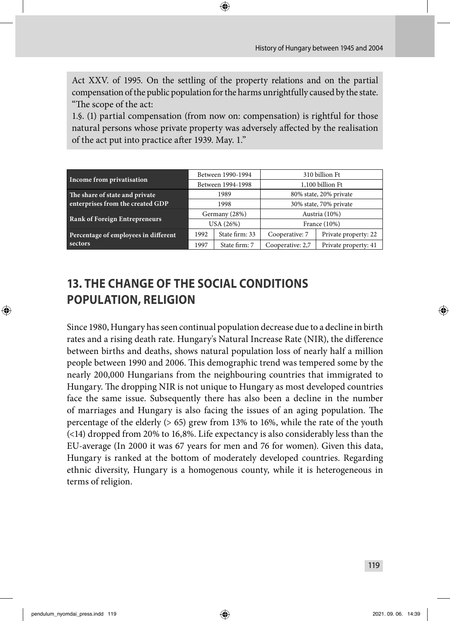Act XXV. of 1995. On the settling of the property relations and on the partial compensation of the public population for the harms unrightfully caused by the state. "The scope of the act:

⊕

1.§. (1) partial compensation (from now on: compensation) is rightful for those natural persons whose private property was adversely affected by the realisation of the act put into practice after 1939. May. 1."

| Income from privatisation            | Between 1990-1994 |                | 310 billion Ft         |                      |
|--------------------------------------|-------------------|----------------|------------------------|----------------------|
|                                      | Between 1994-1998 |                | 1,100 billion Ft       |                      |
| The share of state and private       | 1989              |                | 80% state, 20% private |                      |
| enterprises from the created GDP     | 1998              |                | 30% state, 70% private |                      |
|                                      | Germany (28%)     |                | Austria (10%)          |                      |
| Rank of Foreign Entrepreneurs        | USA (26%)         |                | France $(10\%)$        |                      |
| Percentage of employees in different | 1992              | State firm: 33 | Cooperative: 7         | Private property: 22 |
| sectors                              | 1997              | State firm: 7  | Cooperative: 2,7       | Private property: 41 |

# **13. THE CHANGE OF THE SOCIAL CONDITIONS POPULATION, RELIGION**

Since 1980, Hungary has seen continual population decrease due to a decline in birth rates and a rising death rate. Hungary's Natural Increase Rate (NIR), the difference between births and deaths, shows natural population loss of nearly half a million people between 1990 and 2006. This demographic trend was tempered some by the nearly 200,000 Hungarians from the neighbouring countries that immigrated to Hungary. The dropping NIR is not unique to Hungary as most developed countries face the same issue. Subsequently there has also been a decline in the number of marriages and Hungary is also facing the issues of an aging population. The percentage of the elderly (> 65) grew from 13% to 16%, while the rate of the youth (<14) dropped from 20% to 16,8%. Life expectancy is also considerably less than the EU-average (In 2000 it was 67 years for men and 76 for women). Given this data, Hungary is ranked at the bottom of moderately developed countries. Regarding ethnic diversity, Hungary is a homogenous county, while it is heterogeneous in terms of religion.

119

⊕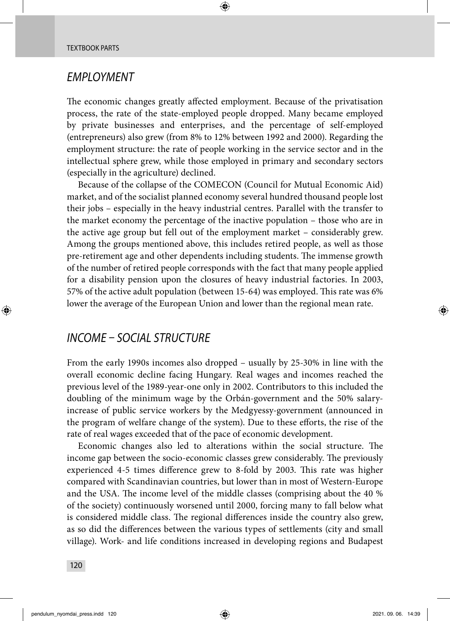#### *EMPLOYMENT*

The economic changes greatly affected employment. Because of the privatisation process, the rate of the state-employed people dropped. Many became employed by private businesses and enterprises, and the percentage of self-employed (entrepreneurs) also grew (from 8% to 12% between 1992 and 2000). Regarding the employment structure: the rate of people working in the service sector and in the intellectual sphere grew, while those employed in primary and secondary sectors (especially in the agriculture) declined.

⊕

Because of the collapse of the COMECON (Council for Mutual Economic Aid) market, and of the socialist planned economy several hundred thousand people lost their jobs – especially in the heavy industrial centres. Parallel with the transfer to the market economy the percentage of the inactive population – those who are in the active age group but fell out of the employment market – considerably grew. Among the groups mentioned above, this includes retired people, as well as those pre-retirement age and other dependents including students. The immense growth of the number of retired people corresponds with the fact that many people applied for a disability pension upon the closures of heavy industrial factories. In 2003, 57% of the active adult population (between 15-64) was employed. This rate was 6% lower the average of the European Union and lower than the regional mean rate.

### *INCOME – SOCIAL STRUCTURE*

From the early 1990s incomes also dropped – usually by 25-30% in line with the overall economic decline facing Hungary. Real wages and incomes reached the previous level of the 1989-year-one only in 2002. Contributors to this included the doubling of the minimum wage by the Orbán-government and the 50% salaryincrease of public service workers by the Medgyessy-government (announced in the program of welfare change of the system). Due to these efforts, the rise of the rate of real wages exceeded that of the pace of economic development.

Economic changes also led to alterations within the social structure. The income gap between the socio-economic classes grew considerably. The previously experienced 4-5 times difference grew to 8-fold by 2003. This rate was higher compared with Scandinavian countries, but lower than in most of Western-Europe and the USA. The income level of the middle classes (comprising about the 40 % of the society) continuously worsened until 2000, forcing many to fall below what is considered middle class. The regional differences inside the country also grew, as so did the differences between the various types of settlements (city and small village). Work- and life conditions increased in developing regions and Budapest

120

⊕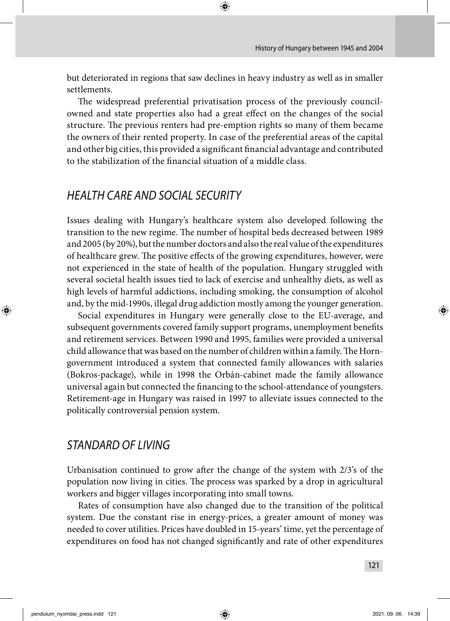but deteriorated in regions that saw declines in heavy industry as well as in smaller settlements.

⊕

The widespread preferential privatisation process of the previously councilowned and state properties also had a great effect on the changes of the social structure. The previous renters had pre-emption rights so many of them became the owners of their rented property. In case of the preferential areas of the capital and other big cities, this provided a significant financial advantage and contributed to the stabilization of the financial situation of a middle class.

# *HEALTH CARE AND SOCIAL SECURITY*

Issues dealing with Hungary's healthcare system also developed following the transition to the new regime. The number of hospital beds decreased between 1989 and 2005 (by 20%), but the number doctors and also the real value of the expenditures of healthcare grew. The positive effects of the growing expenditures, however, were not experienced in the state of health of the population. Hungary struggled with several societal health issues tied to lack of exercise and unhealthy diets, as well as high levels of harmful addictions, including smoking, the consumption of alcohol and, by the mid-1990s, illegal drug addiction mostly among the younger generation.

Social expenditures in Hungary were generally close to the EU-average, and subsequent governments covered family support programs, unemployment benefits and retirement services. Between 1990 and 1995, families were provided a universal child allowance that was based on the number of children within a family. The Horngovernment introduced a system that connected family allowances with salaries (Bokros-package), while in 1998 the Orbán-cabinet made the family allowance universal again but connected the financing to the school-attendance of youngsters. Retirement-age in Hungary was raised in 1997 to alleviate issues connected to the politically controversial pension system.

# *STANDARD OF LIVING*

Urbanisation continued to grow after the change of the system with 2/3's of the population now living in cities. The process was sparked by a drop in agricultural workers and bigger villages incorporating into small towns.

Rates of consumption have also changed due to the transition of the political system. Due the constant rise in energy-prices, a greater amount of money was needed to cover utilities. Prices have doubled in 15-years' time, yet the percentage of expenditures on food has not changed significantly and rate of other expenditures

121

⊕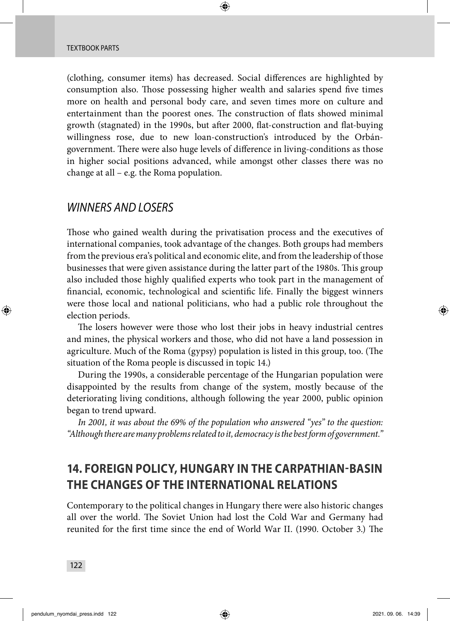#### TEXTBOOK PARTS

(clothing, consumer items) has decreased. Social differences are highlighted by consumption also. Those possessing higher wealth and salaries spend five times more on health and personal body care, and seven times more on culture and entertainment than the poorest ones. The construction of flats showed minimal growth (stagnated) in the 1990s, but after 2000, flat-construction and flat-buying willingness rose, due to new loan-construction's introduced by the Orbángovernment. There were also huge levels of difference in living-conditions as those in higher social positions advanced, while amongst other classes there was no change at all – e.g. the Roma population.

⊕

#### *WINNERS AND LOSERS*

Those who gained wealth during the privatisation process and the executives of international companies, took advantage of the changes. Both groups had members from the previous era's political and economic elite, and from the leadership of those businesses that were given assistance during the latter part of the 1980s. This group also included those highly qualified experts who took part in the management of financial, economic, technological and scientific life. Finally the biggest winners were those local and national politicians, who had a public role throughout the election periods.

The losers however were those who lost their jobs in heavy industrial centres and mines, the physical workers and those, who did not have a land possession in agriculture. Much of the Roma (gypsy) population is listed in this group, too. (The situation of the Roma people is discussed in topic 14.)

During the 1990s, a considerable percentage of the Hungarian population were disappointed by the results from change of the system, mostly because of the deteriorating living conditions, although following the year 2000, public opinion began to trend upward.

*In 2001, it was about the 69% of the population who answered "yes" to the question: "Although there are many problems related to it, democracy is the best form of government."*

# **14. FOREIGN POLICY, HUNGARY IN THE CARPATHIAN-BASIN THE CHANGES OF THE INTERNATIONAL RELATIONS**

Contemporary to the political changes in Hungary there were also historic changes all over the world. The Soviet Union had lost the Cold War and Germany had reunited for the first time since the end of World War II. (1990. October 3.) The

122

⊕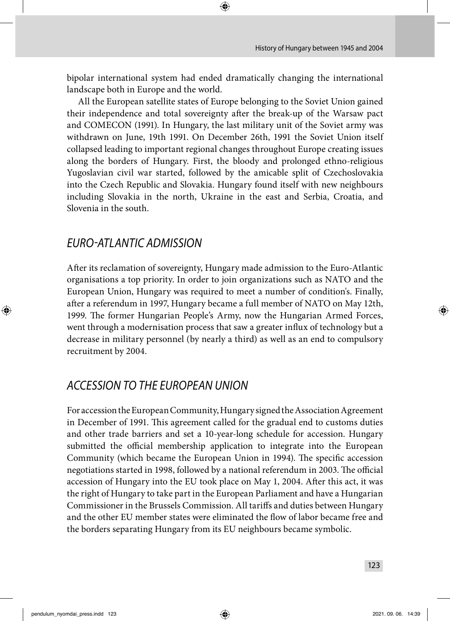bipolar international system had ended dramatically changing the international landscape both in Europe and the world.

⊕

All the European satellite states of Europe belonging to the Soviet Union gained their independence and total sovereignty after the break-up of the Warsaw pact and COMECON (1991). In Hungary, the last military unit of the Soviet army was withdrawn on June, 19th 1991. On December 26th, 1991 the Soviet Union itself collapsed leading to important regional changes throughout Europe creating issues along the borders of Hungary. First, the bloody and prolonged ethno-religious Yugoslavian civil war started, followed by the amicable split of Czechoslovakia into the Czech Republic and Slovakia. Hungary found itself with new neighbours including Slovakia in the north, Ukraine in the east and Serbia, Croatia, and Slovenia in the south.

#### *EURO-ATLANTIC ADMISSION*

After its reclamation of sovereignty, Hungary made admission to the Euro-Atlantic organisations a top priority. In order to join organizations such as NATO and the European Union, Hungary was required to meet a number of condition's. Finally, after a referendum in 1997, Hungary became a full member of NATO on May 12th, 1999. The former Hungarian People's Army, now the Hungarian Armed Forces, went through a modernisation process that saw a greater influx of technology but a decrease in military personnel (by nearly a third) as well as an end to compulsory recruitment by 2004.

# *ACCESSION TO THE EUROPEAN UNION*

For accession the European Community, Hungary signed the Association Agreement in December of 1991. This agreement called for the gradual end to customs duties and other trade barriers and set a 10-year-long schedule for accession. Hungary submitted the official membership application to integrate into the European Community (which became the European Union in 1994). The specific accession negotiations started in 1998, followed by a national referendum in 2003. The official accession of Hungary into the EU took place on May 1, 2004. After this act, it was the right of Hungary to take part in the European Parliament and have a Hungarian Commissioner in the Brussels Commission. All tariffs and duties between Hungary and the other EU member states were eliminated the flow of labor became free and the borders separating Hungary from its EU neighbours became symbolic.

123

⊕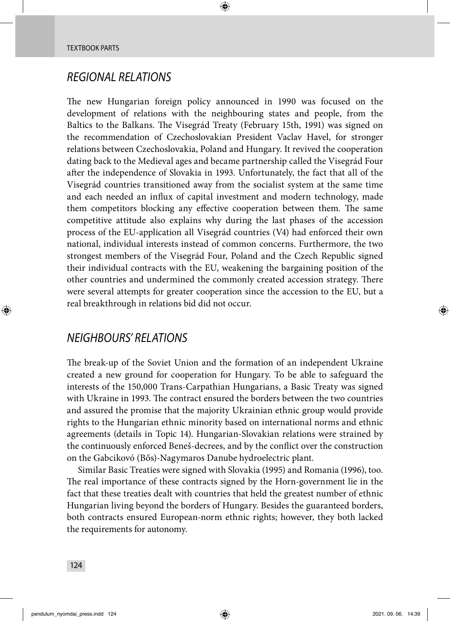# *REGIONAL RELATIONS*

The new Hungarian foreign policy announced in 1990 was focused on the development of relations with the neighbouring states and people, from the Baltics to the Balkans. The Visegrád Treaty (February 15th, 1991) was signed on the recommendation of Czechoslovakian President Vaclav Havel, for stronger relations between Czechoslovakia, Poland and Hungary. It revived the cooperation dating back to the Medieval ages and became partnership called the Visegrád Four after the independence of Slovakia in 1993. Unfortunately, the fact that all of the Visegrád countries transitioned away from the socialist system at the same time and each needed an influx of capital investment and modern technology, made them competitors blocking any effective cooperation between them. The same competitive attitude also explains why during the last phases of the accession process of the EU-application all Visegrád countries (V4) had enforced their own national, individual interests instead of common concerns. Furthermore, the two strongest members of the Visegrád Four, Poland and the Czech Republic signed their individual contracts with the EU, weakening the bargaining position of the other countries and undermined the commonly created accession strategy. There were several attempts for greater cooperation since the accession to the EU, but a real breakthrough in relations bid did not occur.

⊕

# *NEIGHBOURS' RELATIONS*

The break-up of the Soviet Union and the formation of an independent Ukraine created a new ground for cooperation for Hungary. To be able to safeguard the interests of the 150,000 Trans-Carpathian Hungarians, a Basic Treaty was signed with Ukraine in 1993. The contract ensured the borders between the two countries and assured the promise that the majority Ukrainian ethnic group would provide rights to the Hungarian ethnic minority based on international norms and ethnic agreements (details in Topic 14). Hungarian-Slovakian relations were strained by the continuously enforced Beneš-decrees, and by the conflict over the construction on the Gabcikovó (Bős)-Nagymaros Danube hydroelectric plant.

Similar Basic Treaties were signed with Slovakia (1995) and Romania (1996), too. The real importance of these contracts signed by the Horn-government lie in the fact that these treaties dealt with countries that held the greatest number of ethnic Hungarian living beyond the borders of Hungary. Besides the guaranteed borders, both contracts ensured European-norm ethnic rights; however, they both lacked the requirements for autonomy.

124

⊕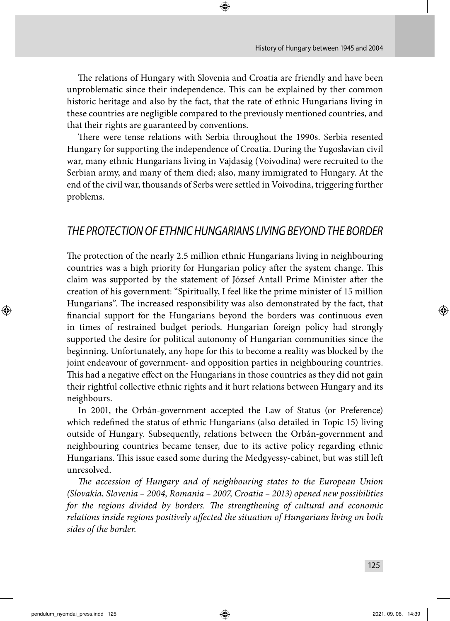The relations of Hungary with Slovenia and Croatia are friendly and have been unproblematic since their independence. This can be explained by ther common historic heritage and also by the fact, that the rate of ethnic Hungarians living in these countries are negligible compared to the previously mentioned countries, and that their rights are guaranteed by conventions.

⊕

There were tense relations with Serbia throughout the 1990s. Serbia resented Hungary for supporting the independence of Croatia. During the Yugoslavian civil war, many ethnic Hungarians living in Vajdaság (Voivodina) were recruited to the Serbian army, and many of them died; also, many immigrated to Hungary. At the end of the civil war, thousands of Serbs were settled in Voivodina, triggering further problems.

#### *THE PROTECTION OF ETHNIC HUNGARIANS LIVING BEYOND THE BORDER*

The protection of the nearly 2.5 million ethnic Hungarians living in neighbouring countries was a high priority for Hungarian policy after the system change. This claim was supported by the statement of József Antall Prime Minister after the creation of his government: "Spiritually, I feel like the prime minister of 15 million Hungarians". The increased responsibility was also demonstrated by the fact, that financial support for the Hungarians beyond the borders was continuous even in times of restrained budget periods. Hungarian foreign policy had strongly supported the desire for political autonomy of Hungarian communities since the beginning. Unfortunately, any hope for this to become a reality was blocked by the joint endeavour of government- and opposition parties in neighbouring countries. This had a negative effect on the Hungarians in those countries as they did not gain their rightful collective ethnic rights and it hurt relations between Hungary and its neighbours.

In 2001, the Orbán-government accepted the Law of Status (or Preference) which redefined the status of ethnic Hungarians (also detailed in Topic 15) living outside of Hungary. Subsequently, relations between the Orbán-government and neighbouring countries became tenser, due to its active policy regarding ethnic Hungarians. This issue eased some during the Medgyessy-cabinet, but was still left unresolved.

*The accession of Hungary and of neighbouring states to the European Union (Slovakia, Slovenia – 2004, Romania – 2007, Croatia – 2013) opened new possibilities for the regions divided by borders. The strengthening of cultural and economic relations inside regions positively affected the situation of Hungarians living on both sides of the border.*

125

⊕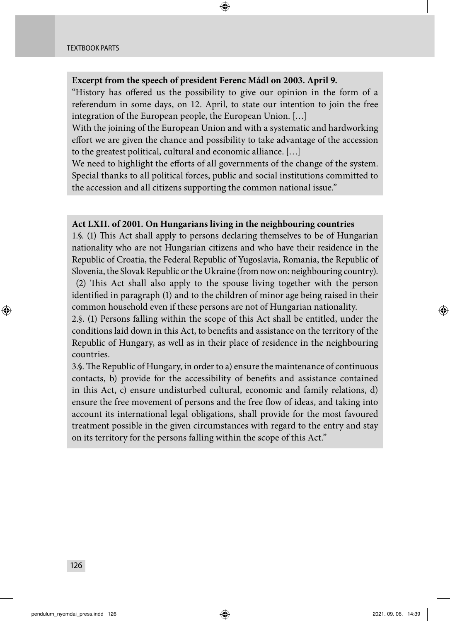#### **Excerpt from the speech of president Ferenc Mádl on 2003. April 9.**

"History has offered us the possibility to give our opinion in the form of a referendum in some days, on 12. April, to state our intention to join the free integration of the European people, the European Union. […]

⊕

With the joining of the European Union and with a systematic and hardworking effort we are given the chance and possibility to take advantage of the accession to the greatest political, cultural and economic alliance. […]

We need to highlight the efforts of all governments of the change of the system. Special thanks to all political forces, public and social institutions committed to the accession and all citizens supporting the common national issue."

#### **Act LXII. of 2001. On Hungarians living in the neighbouring countries**

1.§. (1) This Act shall apply to persons declaring themselves to be of Hungarian nationality who are not Hungarian citizens and who have their residence in the Republic of Croatia, the Federal Republic of Yugoslavia, Romania, the Republic of Slovenia, the Slovak Republic or the Ukraine (from now on: neighbouring country). (2) This Act shall also apply to the spouse living together with the person identified in paragraph (1) and to the children of minor age being raised in their common household even if these persons are not of Hungarian nationality.

2.§. (1) Persons falling within the scope of this Act shall be entitled, under the conditions laid down in this Act, to benefits and assistance on the territory of the Republic of Hungary, as well as in their place of residence in the neighbouring countries.

3.§. The Republic of Hungary, in order to a) ensure the maintenance of continuous contacts, b) provide for the accessibility of benefits and assistance contained in this Act, c) ensure undisturbed cultural, economic and family relations, d) ensure the free movement of persons and the free flow of ideas, and taking into account its international legal obligations, shall provide for the most favoured treatment possible in the given circumstances with regard to the entry and stay on its territory for the persons falling within the scope of this Act."

126

⊕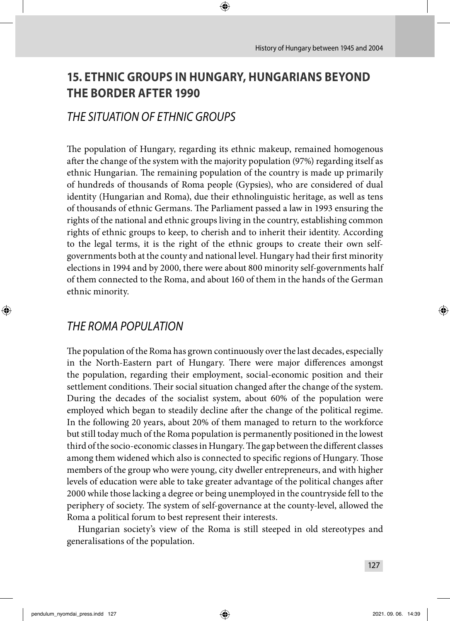# **15. ETHNIC GROUPS IN HUNGARY, HUNGARIANS BEYOND THE BORDER AFTER 1990**

⊕

# *THE SITUATION OF ETHNIC GROUPS*

The population of Hungary, regarding its ethnic makeup, remained homogenous after the change of the system with the majority population (97%) regarding itself as ethnic Hungarian. The remaining population of the country is made up primarily of hundreds of thousands of Roma people (Gypsies), who are considered of dual identity (Hungarian and Roma), due their ethnolinguistic heritage, as well as tens of thousands of ethnic Germans. The Parliament passed a law in 1993 ensuring the rights of the national and ethnic groups living in the country, establishing common rights of ethnic groups to keep, to cherish and to inherit their identity. According to the legal terms, it is the right of the ethnic groups to create their own selfgovernments both at the county and national level. Hungary had their first minority elections in 1994 and by 2000, there were about 800 minority self-governments half of them connected to the Roma, and about 160 of them in the hands of the German ethnic minority.

#### *THE ROMA POPULATION*

⊕

The population of the Roma has grown continuously over the last decades, especially in the North-Eastern part of Hungary. There were major differences amongst the population, regarding their employment, social-economic position and their settlement conditions. Their social situation changed after the change of the system. During the decades of the socialist system, about 60% of the population were employed which began to steadily decline after the change of the political regime. In the following 20 years, about 20% of them managed to return to the workforce but still today much of the Roma population is permanently positioned in the lowest third of the socio-economic classes in Hungary. The gap between the different classes among them widened which also is connected to specific regions of Hungary. Those members of the group who were young, city dweller entrepreneurs, and with higher levels of education were able to take greater advantage of the political changes after 2000 while those lacking a degree or being unemployed in the countryside fell to the periphery of society. The system of self-governance at the county-level, allowed the Roma a political forum to best represent their interests.

Hungarian society's view of the Roma is still steeped in old stereotypes and generalisations of the population.

127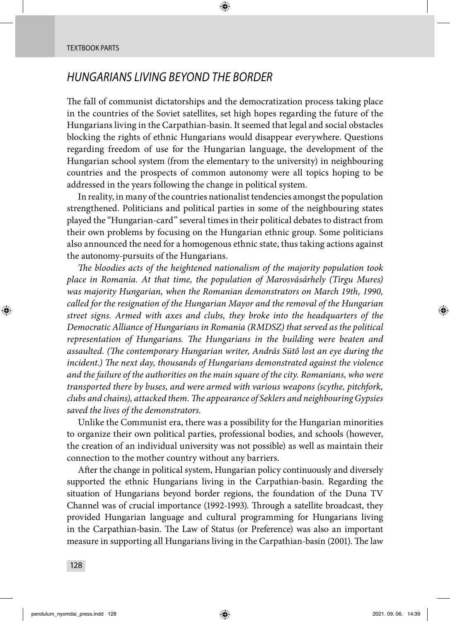# *HUNGARIANS LIVING BEYOND THE BORDER*

The fall of communist dictatorships and the democratization process taking place in the countries of the Soviet satellites, set high hopes regarding the future of the Hungarians living in the Carpathian-basin. It seemed that legal and social obstacles blocking the rights of ethnic Hungarians would disappear everywhere. Questions regarding freedom of use for the Hungarian language, the development of the Hungarian school system (from the elementary to the university) in neighbouring countries and the prospects of common autonomy were all topics hoping to be addressed in the years following the change in political system.

⊕

In reality, in many of the countries nationalist tendencies amongst the population strengthened. Politicians and political parties in some of the neighbouring states played the "Hungarian-card" several times in their political debates to distract from their own problems by focusing on the Hungarian ethnic group. Some politicians also announced the need for a homogenous ethnic state, thus taking actions against the autonomy-pursuits of the Hungarians.

*The bloodies acts of the heightened nationalism of the majority population took place in Romania. At that time, the population of Marosvásárhely (Tirgu Mures) was majority Hungarian, when the Romanian demonstrators on March 19th, 1990, called for the resignation of the Hungarian Mayor and the removal of the Hungarian street signs. Armed with axes and clubs, they broke into the headquarters of the Democratic Alliance of Hungarians in Romania (RMDSZ) that served as the political representation of Hungarians. The Hungarians in the building were beaten and assaulted. (The contemporary Hungarian writer, András Sütő lost an eye during the incident.) The next day, thousands of Hungarians demonstrated against the violence and the failure of the authorities on the main square of the city. Romanians, who were transported there by buses, and were armed with various weapons (scythe, pitchfork, clubs and chains), attacked them. The appearance of Seklers and neighbouring Gypsies saved the lives of the demonstrators.*

Unlike the Communist era, there was a possibility for the Hungarian minorities to organize their own political parties, professional bodies, and schools (however, the creation of an individual university was not possible) as well as maintain their connection to the mother country without any barriers.

After the change in political system, Hungarian policy continuously and diversely supported the ethnic Hungarians living in the Carpathian-basin. Regarding the situation of Hungarians beyond border regions, the foundation of the Duna TV Channel was of crucial importance (1992-1993). Through a satellite broadcast, they provided Hungarian language and cultural programming for Hungarians living in the Carpathian-basin. The Law of Status (or Preference) was also an important measure in supporting all Hungarians living in the Carpathian-basin (2001). The law

128

⊕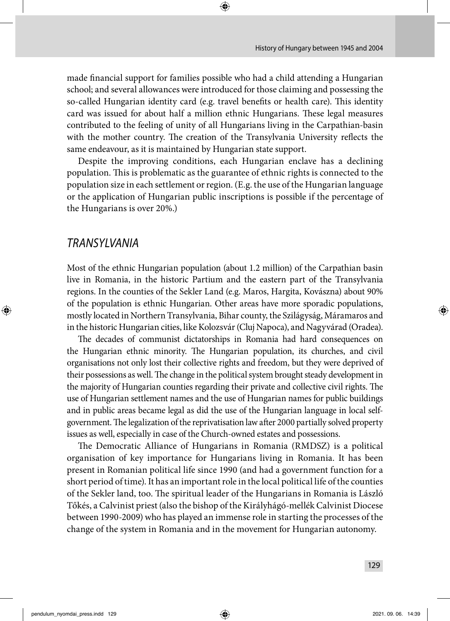made financial support for families possible who had a child attending a Hungarian school; and several allowances were introduced for those claiming and possessing the so-called Hungarian identity card (e.g. travel benefits or health care). This identity card was issued for about half a million ethnic Hungarians. These legal measures contributed to the feeling of unity of all Hungarians living in the Carpathian-basin with the mother country. The creation of the Transylvania University reflects the same endeavour, as it is maintained by Hungarian state support.

⊕

Despite the improving conditions, each Hungarian enclave has a declining population. This is problematic as the guarantee of ethnic rights is connected to the population size in each settlement or region. (E.g. the use of the Hungarian language or the application of Hungarian public inscriptions is possible if the percentage of the Hungarians is over 20%.)

#### *TRANSYLVANIA*

⊕

Most of the ethnic Hungarian population (about 1.2 million) of the Carpathian basin live in Romania, in the historic Partium and the eastern part of the Transylvania regions. In the counties of the Sekler Land (e.g. Maros, Hargita, Kovászna) about 90% of the population is ethnic Hungarian. Other areas have more sporadic populations, mostly located in Northern Transylvania, Bihar county, the Szilágyság, Máramaros and in the historic Hungarian cities, like Kolozsvár (Cluj Napoca), and Nagyvárad (Oradea).

The decades of communist dictatorships in Romania had hard consequences on the Hungarian ethnic minority. The Hungarian population, its churches, and civil organisations not only lost their collective rights and freedom, but they were deprived of their possessions as well. The change in the political system brought steady development in the majority of Hungarian counties regarding their private and collective civil rights. The use of Hungarian settlement names and the use of Hungarian names for public buildings and in public areas became legal as did the use of the Hungarian language in local selfgovernment. The legalization of the reprivatisation law after 2000 partially solved property issues as well, especially in case of the Church-owned estates and possessions.

The Democratic Alliance of Hungarians in Romania (RMDSZ) is a political organisation of key importance for Hungarians living in Romania. It has been present in Romanian political life since 1990 (and had a government function for a short period of time). It has an important role in the local political life of the counties of the Sekler land, too. The spiritual leader of the Hungarians in Romania is László Tőkés, a Calvinist priest (also the bishop of the Királyhágó-mellék Calvinist Diocese between 1990-2009) who has played an immense role in starting the processes of the change of the system in Romania and in the movement for Hungarian autonomy.

129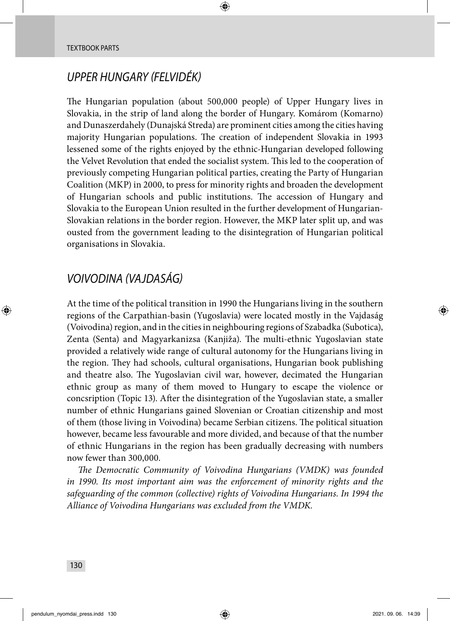# *UPPER HUNGARY (FELVIDÉK)*

The Hungarian population (about 500,000 people) of Upper Hungary lives in Slovakia, in the strip of land along the border of Hungary. Komárom (Komarno) and Dunaszerdahely (Dunajská Streda) are prominent cities among the cities having majority Hungarian populations. The creation of independent Slovakia in 1993 lessened some of the rights enjoyed by the ethnic-Hungarian developed following the Velvet Revolution that ended the socialist system. This led to the cooperation of previously competing Hungarian political parties, creating the Party of Hungarian Coalition (MKP) in 2000, to press for minority rights and broaden the development of Hungarian schools and public institutions. The accession of Hungary and Slovakia to the European Union resulted in the further development of Hungarian-Slovakian relations in the border region. However, the MKP later split up, and was ousted from the government leading to the disintegration of Hungarian political organisations in Slovakia.

⊕

# *VOIVODINA (VAJDASÁG)*

At the time of the political transition in 1990 the Hungarians living in the southern regions of the Carpathian-basin (Yugoslavia) were located mostly in the Vajdaság (Voivodina) region, and in the cities in neighbouring regions of Szabadka (Subotica), Zenta (Senta) and Magyarkanizsa (Kanjiža). The multi-ethnic Yugoslavian state provided a relatively wide range of cultural autonomy for the Hungarians living in the region. They had schools, cultural organisations, Hungarian book publishing and theatre also. The Yugoslavian civil war, however, decimated the Hungarian ethnic group as many of them moved to Hungary to escape the violence or concsription (Topic 13). After the disintegration of the Yugoslavian state, a smaller number of ethnic Hungarians gained Slovenian or Croatian citizenship and most of them (those living in Voivodina) became Serbian citizens. The political situation however, became less favourable and more divided, and because of that the number of ethnic Hungarians in the region has been gradually decreasing with numbers now fewer than 300,000.

*The Democratic Community of Voivodina Hungarians (VMDK) was founded in 1990. Its most important aim was the enforcement of minority rights and the safeguarding of the common (collective) rights of Voivodina Hungarians. In 1994 the Alliance of Voivodina Hungarians was excluded from the VMDK.* 

130

⊕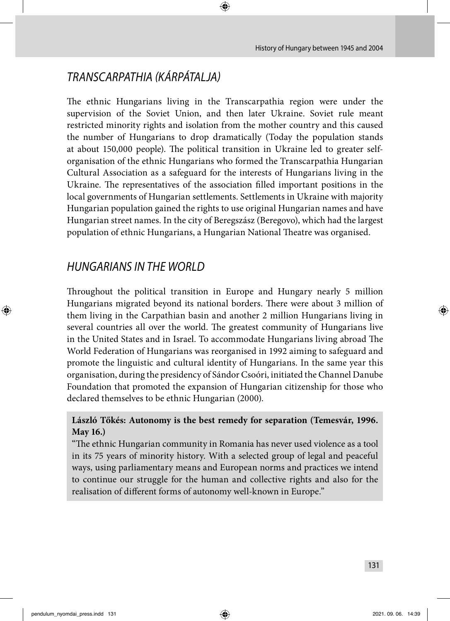# *TRANSCARPATHIA (KÁRPÁTALJA)*

The ethnic Hungarians living in the Transcarpathia region were under the supervision of the Soviet Union, and then later Ukraine. Soviet rule meant restricted minority rights and isolation from the mother country and this caused the number of Hungarians to drop dramatically (Today the population stands at about 150,000 people). The political transition in Ukraine led to greater selforganisation of the ethnic Hungarians who formed the Transcarpathia Hungarian Cultural Association as a safeguard for the interests of Hungarians living in the Ukraine. The representatives of the association filled important positions in the local governments of Hungarian settlements. Settlements in Ukraine with majority Hungarian population gained the rights to use original Hungarian names and have Hungarian street names. In the city of Beregszász (Beregovo), which had the largest population of ethnic Hungarians, a Hungarian National Theatre was organised.

⊕

# *HUNGARIANS IN THE WORLD*

Throughout the political transition in Europe and Hungary nearly 5 million Hungarians migrated beyond its national borders. There were about 3 million of them living in the Carpathian basin and another 2 million Hungarians living in several countries all over the world. The greatest community of Hungarians live in the United States and in Israel. To accommodate Hungarians living abroad The World Federation of Hungarians was reorganised in 1992 aiming to safeguard and promote the linguistic and cultural identity of Hungarians. In the same year this organisation, during the presidency of Sándor Csoóri, initiated the Channel Danube Foundation that promoted the expansion of Hungarian citizenship for those who declared themselves to be ethnic Hungarian (2000).

#### **László Tőkés: Autonomy is the best remedy for separation (Temesvár, 1996. May 16.)**

"The ethnic Hungarian community in Romania has never used violence as a tool in its 75 years of minority history. With a selected group of legal and peaceful ways, using parliamentary means and European norms and practices we intend to continue our struggle for the human and collective rights and also for the realisation of different forms of autonomy well-known in Europe."

131

⊕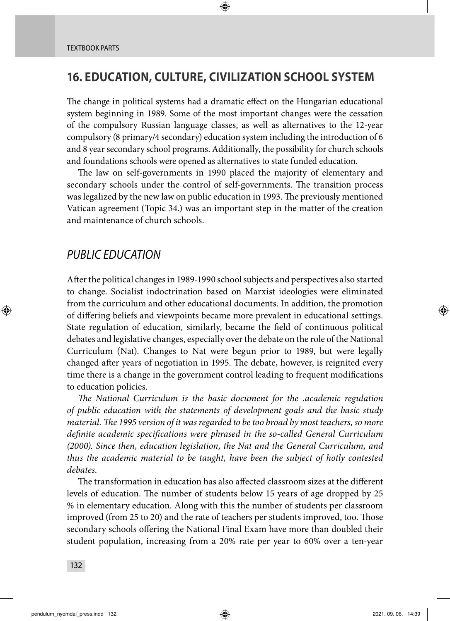# **16. EDUCATION, CULTURE, CIVILIZATION SCHOOL SYSTEM**

♠

The change in political systems had a dramatic effect on the Hungarian educational system beginning in 1989. Some of the most important changes were the cessation of the compulsory Russian language classes, as well as alternatives to the 12-year compulsory (8 primary/4 secondary) education system including the introduction of 6 and 8 year secondary school programs. Additionally, the possibility for church schools and foundations schools were opened as alternatives to state funded education.

The law on self-governments in 1990 placed the majority of elementary and secondary schools under the control of self-governments. The transition process was legalized by the new law on public education in 1993. The previously mentioned Vatican agreement (Topic 34.) was an important step in the matter of the creation and maintenance of church schools.

# *PUBLIC EDUCATION*

⊕

After the political changes in 1989-1990 school subjects and perspectives also started to change. Socialist indoctrination based on Marxist ideologies were eliminated from the curriculum and other educational documents. In addition, the promotion of differing beliefs and viewpoints became more prevalent in educational settings. State regulation of education, similarly, became the field of continuous political debates and legislative changes, especially over the debate on the role of the National Curriculum (Nat). Changes to Nat were begun prior to 1989, but were legally changed after years of negotiation in 1995. The debate, however, is reignited every time there is a change in the government control leading to frequent modifications to education policies.

*The National Curriculum is the basic document for the .academic regulation of public education with the statements of development goals and the basic study material. The 1995 version of it was regarded to be too broad by most teachers, so more definite academic specifications were phrased in the so-called General Curriculum (2000). Since then, education legislation, the Nat and the General Curriculum, and thus the academic material to be taught, have been the subject of hotly contested debates.* 

The transformation in education has also affected classroom sizes at the different levels of education. The number of students below 15 years of age dropped by 25 % in elementary education. Along with this the number of students per classroom improved (from 25 to 20) and the rate of teachers per students improved, too. Those secondary schools offering the National Final Exam have more than doubled their student population, increasing from a 20% rate per year to 60% over a ten-year

132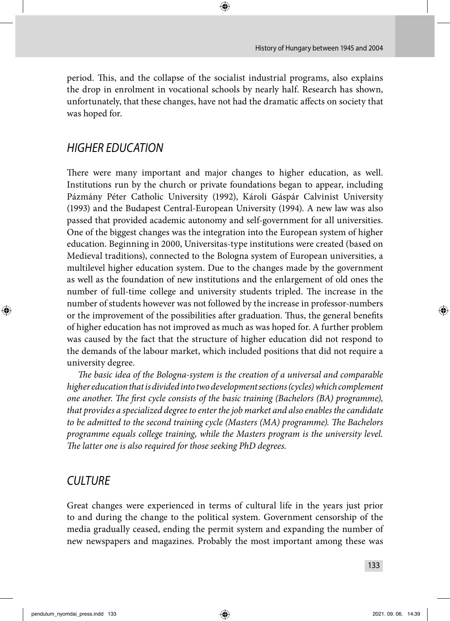period. This, and the collapse of the socialist industrial programs, also explains the drop in enrolment in vocational schools by nearly half. Research has shown, unfortunately, that these changes, have not had the dramatic affects on society that was hoped for.

⊕

## *HIGHER EDUCATION*

There were many important and major changes to higher education, as well. Institutions run by the church or private foundations began to appear, including Pázmány Péter Catholic University (1992), Károli Gáspár Calvinist University (1993) and the Budapest Central-European University (1994). A new law was also passed that provided academic autonomy and self-government for all universities. One of the biggest changes was the integration into the European system of higher education. Beginning in 2000, Universitas-type institutions were created (based on Medieval traditions), connected to the Bologna system of European universities, a multilevel higher education system. Due to the changes made by the government as well as the foundation of new institutions and the enlargement of old ones the number of full-time college and university students tripled. The increase in the number of students however was not followed by the increase in professor-numbers or the improvement of the possibilities after graduation. Thus, the general benefits of higher education has not improved as much as was hoped for. A further problem was caused by the fact that the structure of higher education did not respond to the demands of the labour market, which included positions that did not require a university degree.

*The basic idea of the Bologna-system is the creation of a universal and comparable higher education that is divided into two development sections (cycles) which complement one another. The first cycle consists of the basic training (Bachelors (BA) programme), that provides a specialized degree to enter the job market and also enables the candidate to be admitted to the second training cycle (Masters (MA) programme). The Bachelors programme equals college training, while the Masters program is the university level. The latter one is also required for those seeking PhD degrees.*

#### *CULTURE*

⊕

Great changes were experienced in terms of cultural life in the years just prior to and during the change to the political system. Government censorship of the media gradually ceased, ending the permit system and expanding the number of new newspapers and magazines. Probably the most important among these was

133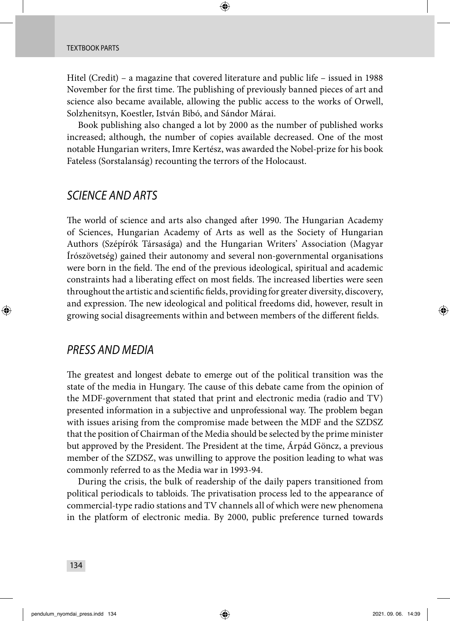Hitel (Credit) – a magazine that covered literature and public life – issued in 1988 November for the first time. The publishing of previously banned pieces of art and science also became available, allowing the public access to the works of Orwell, Solzhenitsyn, Koestler, István Bibó, and Sándor Márai.

⊕

Book publishing also changed a lot by 2000 as the number of published works increased; although, the number of copies available decreased. One of the most notable Hungarian writers, Imre Kertész, was awarded the Nobel-prize for his book Fateless (Sorstalanság) recounting the terrors of the Holocaust.

# *SCIENCE AND ARTS*

The world of science and arts also changed after 1990. The Hungarian Academy of Sciences, Hungarian Academy of Arts as well as the Society of Hungarian Authors (Szépírók Társasága) and the Hungarian Writers' Association (Magyar Írószövetség) gained their autonomy and several non-governmental organisations were born in the field. The end of the previous ideological, spiritual and academic constraints had a liberating effect on most fields. The increased liberties were seen throughout the artistic and scientific fields, providing for greater diversity, discovery, and expression. The new ideological and political freedoms did, however, result in growing social disagreements within and between members of the different fields.

## *PRESS AND MEDIA*

⊕

The greatest and longest debate to emerge out of the political transition was the state of the media in Hungary. The cause of this debate came from the opinion of the MDF-government that stated that print and electronic media (radio and TV) presented information in a subjective and unprofessional way. The problem began with issues arising from the compromise made between the MDF and the SZDSZ that the position of Chairman of the Media should be selected by the prime minister but approved by the President. The President at the time, Árpád Göncz, a previous member of the SZDSZ, was unwilling to approve the position leading to what was commonly referred to as the Media war in 1993-94.

During the crisis, the bulk of readership of the daily papers transitioned from political periodicals to tabloids. The privatisation process led to the appearance of commercial-type radio stations and TV channels all of which were new phenomena in the platform of electronic media. By 2000, public preference turned towards